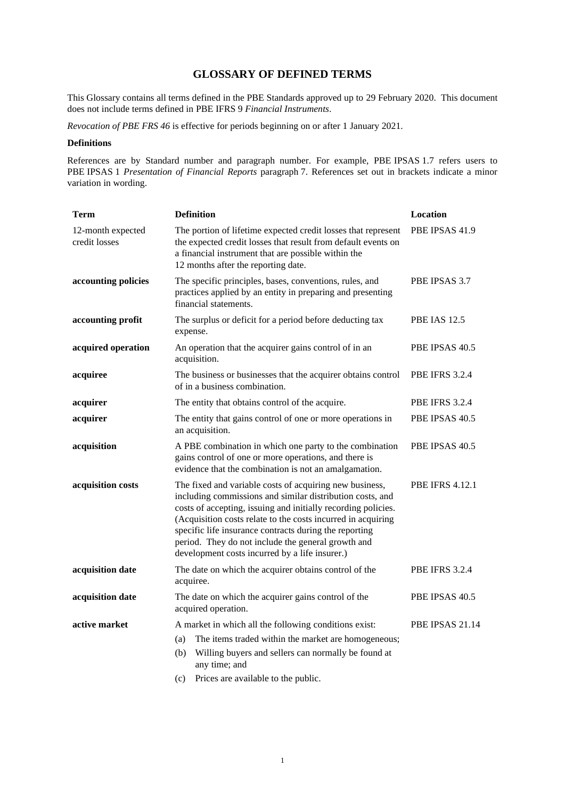This Glossary contains all terms defined in the PBE Standards approved up to 29 February 2020. This document does not include terms defined in PBE IFRS 9 *Financial Instruments*.

*Revocation of PBE FRS 46* is effective for periods beginning on or after 1 January 2021.

#### **Definitions**

References are by Standard number and paragraph number. For example, PBE IPSAS 1.7 refers users to PBE IPSAS 1 *Presentation of Financial Reports* paragraph 7. References set out in brackets indicate a minor variation in wording.

| Term                               | <b>Definition</b>                                                                                                                                                                                                                                                                                                                                                                                                       | Location               |
|------------------------------------|-------------------------------------------------------------------------------------------------------------------------------------------------------------------------------------------------------------------------------------------------------------------------------------------------------------------------------------------------------------------------------------------------------------------------|------------------------|
| 12-month expected<br>credit losses | The portion of lifetime expected credit losses that represent<br>the expected credit losses that result from default events on<br>a financial instrument that are possible within the<br>12 months after the reporting date.                                                                                                                                                                                            | PBE IPSAS 41.9         |
| accounting policies                | The specific principles, bases, conventions, rules, and<br>practices applied by an entity in preparing and presenting<br>financial statements.                                                                                                                                                                                                                                                                          | PBE IPSAS 3.7          |
| accounting profit                  | The surplus or deficit for a period before deducting tax<br>expense.                                                                                                                                                                                                                                                                                                                                                    | <b>PBE IAS 12.5</b>    |
| acquired operation                 | An operation that the acquirer gains control of in an<br>acquisition.                                                                                                                                                                                                                                                                                                                                                   | PBE IPSAS 40.5         |
| acquiree                           | The business or businesses that the acquirer obtains control<br>of in a business combination.                                                                                                                                                                                                                                                                                                                           | <b>PBE IFRS 3.2.4</b>  |
| acquirer                           | The entity that obtains control of the acquire.                                                                                                                                                                                                                                                                                                                                                                         | <b>PBE IFRS 3.2.4</b>  |
| acquirer                           | The entity that gains control of one or more operations in<br>an acquisition.                                                                                                                                                                                                                                                                                                                                           | PBE IPSAS 40.5         |
| acquisition                        | A PBE combination in which one party to the combination<br>gains control of one or more operations, and there is<br>evidence that the combination is not an amalgamation.                                                                                                                                                                                                                                               | PBE IPSAS 40.5         |
| acquisition costs                  | The fixed and variable costs of acquiring new business,<br>including commissions and similar distribution costs, and<br>costs of accepting, issuing and initially recording policies.<br>(Acquisition costs relate to the costs incurred in acquiring<br>specific life insurance contracts during the reporting<br>period. They do not include the general growth and<br>development costs incurred by a life insurer.) | <b>PBE IFRS 4.12.1</b> |
| acquisition date                   | The date on which the acquirer obtains control of the<br>acquiree.                                                                                                                                                                                                                                                                                                                                                      | <b>PBE IFRS 3.2.4</b>  |
| acquisition date                   | The date on which the acquirer gains control of the<br>acquired operation.                                                                                                                                                                                                                                                                                                                                              | PBE IPSAS 40.5         |
| active market                      | A market in which all the following conditions exist:                                                                                                                                                                                                                                                                                                                                                                   | PBE IPSAS 21.14        |
|                                    | The items traded within the market are homogeneous;<br>(a)                                                                                                                                                                                                                                                                                                                                                              |                        |
|                                    | (b)<br>Willing buyers and sellers can normally be found at<br>any time; and                                                                                                                                                                                                                                                                                                                                             |                        |
|                                    | (c)<br>Prices are available to the public.                                                                                                                                                                                                                                                                                                                                                                              |                        |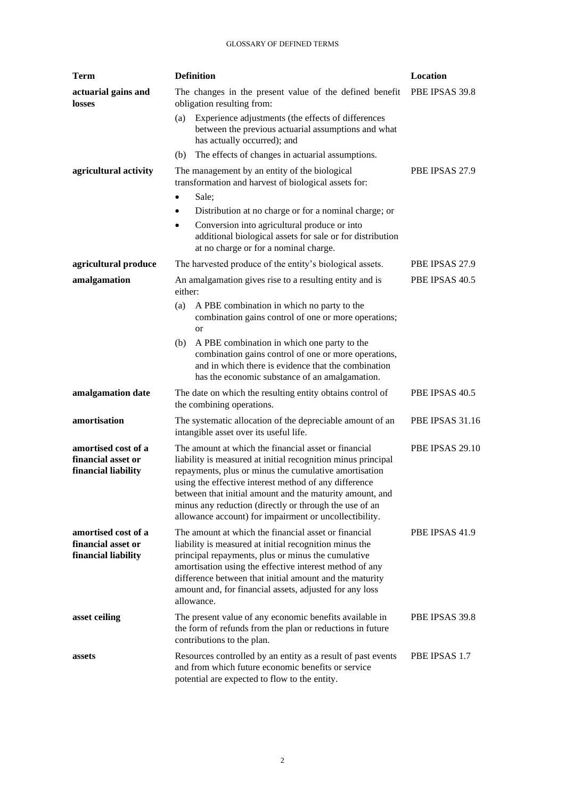| <b>Term</b>                                                      | <b>Definition</b>                                                                                                                                                                                                                                                                                                                                                                                                      | Location               |
|------------------------------------------------------------------|------------------------------------------------------------------------------------------------------------------------------------------------------------------------------------------------------------------------------------------------------------------------------------------------------------------------------------------------------------------------------------------------------------------------|------------------------|
| actuarial gains and<br>losses                                    | The changes in the present value of the defined benefit<br>obligation resulting from:                                                                                                                                                                                                                                                                                                                                  | PBE IPSAS 39.8         |
|                                                                  | Experience adjustments (the effects of differences<br>(a)<br>between the previous actuarial assumptions and what<br>has actually occurred); and                                                                                                                                                                                                                                                                        |                        |
|                                                                  | The effects of changes in actuarial assumptions.<br>(b)                                                                                                                                                                                                                                                                                                                                                                |                        |
| agricultural activity                                            | The management by an entity of the biological<br>transformation and harvest of biological assets for:                                                                                                                                                                                                                                                                                                                  | PBE IPSAS 27.9         |
|                                                                  | Sale:<br>$\bullet$                                                                                                                                                                                                                                                                                                                                                                                                     |                        |
|                                                                  | Distribution at no charge or for a nominal charge; or                                                                                                                                                                                                                                                                                                                                                                  |                        |
|                                                                  | Conversion into agricultural produce or into<br>$\bullet$<br>additional biological assets for sale or for distribution<br>at no charge or for a nominal charge.                                                                                                                                                                                                                                                        |                        |
| agricultural produce                                             | The harvested produce of the entity's biological assets.                                                                                                                                                                                                                                                                                                                                                               | PBE IPSAS 27.9         |
| amalgamation                                                     | An amalgamation gives rise to a resulting entity and is<br>either:                                                                                                                                                                                                                                                                                                                                                     | PBE IPSAS 40.5         |
|                                                                  | A PBE combination in which no party to the<br>(a)<br>combination gains control of one or more operations;<br><sub>or</sub>                                                                                                                                                                                                                                                                                             |                        |
|                                                                  | A PBE combination in which one party to the<br>(b)<br>combination gains control of one or more operations,<br>and in which there is evidence that the combination<br>has the economic substance of an amalgamation.                                                                                                                                                                                                    |                        |
| amalgamation date                                                | The date on which the resulting entity obtains control of<br>the combining operations.                                                                                                                                                                                                                                                                                                                                 | PBE IPSAS 40.5         |
| amortisation                                                     | The systematic allocation of the depreciable amount of an<br>intangible asset over its useful life.                                                                                                                                                                                                                                                                                                                    | <b>PBE IPSAS 31.16</b> |
| amortised cost of a<br>financial asset or<br>financial liability | The amount at which the financial asset or financial<br>liability is measured at initial recognition minus principal<br>repayments, plus or minus the cumulative amortisation<br>using the effective interest method of any difference<br>between that initial amount and the maturity amount, and<br>minus any reduction (directly or through the use of an<br>allowance account) for impairment or uncollectibility. | PBE IPSAS 29.10        |
| amortised cost of a<br>financial asset or<br>financial liability | The amount at which the financial asset or financial<br>liability is measured at initial recognition minus the<br>principal repayments, plus or minus the cumulative<br>amortisation using the effective interest method of any<br>difference between that initial amount and the maturity<br>amount and, for financial assets, adjusted for any loss<br>allowance.                                                    | PBE IPSAS 41.9         |
| asset ceiling                                                    | The present value of any economic benefits available in<br>the form of refunds from the plan or reductions in future<br>contributions to the plan.                                                                                                                                                                                                                                                                     | PBE IPSAS 39.8         |
| assets                                                           | Resources controlled by an entity as a result of past events<br>and from which future economic benefits or service<br>potential are expected to flow to the entity.                                                                                                                                                                                                                                                    | PBE IPSAS 1.7          |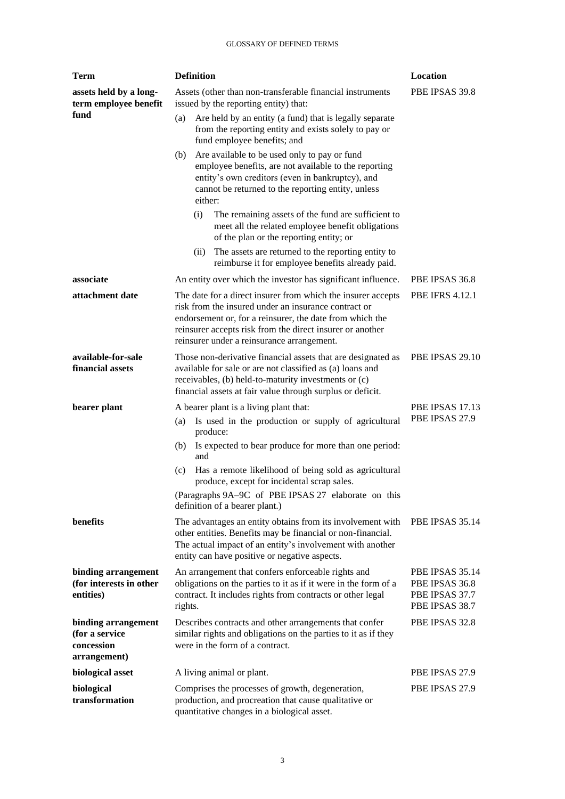| Term                                                                | <b>Definition</b>                                                                                                                                                                                                                                                                                                     | Location                                                              |  |  |
|---------------------------------------------------------------------|-----------------------------------------------------------------------------------------------------------------------------------------------------------------------------------------------------------------------------------------------------------------------------------------------------------------------|-----------------------------------------------------------------------|--|--|
| assets held by a long-<br>term employee benefit                     | Assets (other than non-transferable financial instruments<br>issued by the reporting entity) that:                                                                                                                                                                                                                    | PBE IPSAS 39.8                                                        |  |  |
| fund                                                                | Are held by an entity (a fund) that is legally separate<br>(a)<br>from the reporting entity and exists solely to pay or<br>fund employee benefits; and                                                                                                                                                                |                                                                       |  |  |
|                                                                     | Are available to be used only to pay or fund<br>(b)<br>employee benefits, are not available to the reporting<br>entity's own creditors (even in bankruptcy), and<br>cannot be returned to the reporting entity, unless<br>either:                                                                                     |                                                                       |  |  |
|                                                                     | (i)<br>The remaining assets of the fund are sufficient to<br>meet all the related employee benefit obligations<br>of the plan or the reporting entity; or                                                                                                                                                             |                                                                       |  |  |
|                                                                     | The assets are returned to the reporting entity to<br>(i)<br>reimburse it for employee benefits already paid.                                                                                                                                                                                                         |                                                                       |  |  |
| associate                                                           | An entity over which the investor has significant influence.                                                                                                                                                                                                                                                          | PBE IPSAS 36.8                                                        |  |  |
| attachment date                                                     | The date for a direct insurer from which the insurer accepts<br><b>PBE IFRS 4.12.1</b><br>risk from the insured under an insurance contract or<br>endorsement or, for a reinsurer, the date from which the<br>reinsurer accepts risk from the direct insurer or another<br>reinsurer under a reinsurance arrangement. |                                                                       |  |  |
| available-for-sale<br>financial assets                              | Those non-derivative financial assets that are designated as<br>available for sale or are not classified as (a) loans and<br>receivables, (b) held-to-maturity investments or (c)<br>financial assets at fair value through surplus or deficit.                                                                       | PBE IPSAS 29.10                                                       |  |  |
| bearer plant                                                        | A bearer plant is a living plant that:                                                                                                                                                                                                                                                                                | PBE IPSAS 17.13                                                       |  |  |
|                                                                     | Is used in the production or supply of agricultural<br>(a)<br>produce:                                                                                                                                                                                                                                                | PBE IPSAS 27.9                                                        |  |  |
|                                                                     | Is expected to bear produce for more than one period:<br>(b)<br>and                                                                                                                                                                                                                                                   |                                                                       |  |  |
|                                                                     | Has a remote likelihood of being sold as agricultural<br>(c)<br>produce, except for incidental scrap sales.                                                                                                                                                                                                           |                                                                       |  |  |
|                                                                     | (Paragraphs 9A-9C of PBE IPSAS 27 elaborate on this<br>definition of a bearer plant.)                                                                                                                                                                                                                                 |                                                                       |  |  |
| benefits                                                            | The advantages an entity obtains from its involvement with<br>other entities. Benefits may be financial or non-financial.<br>The actual impact of an entity's involvement with another<br>entity can have positive or negative aspects.                                                                               | PBE IPSAS 35.14                                                       |  |  |
| binding arrangement<br>(for interests in other<br>entities)         | An arrangement that confers enforceable rights and<br>obligations on the parties to it as if it were in the form of a<br>contract. It includes rights from contracts or other legal<br>rights.                                                                                                                        | PBE IPSAS 35.14<br>PBE IPSAS 36.8<br>PBE IPSAS 37.7<br>PBE IPSAS 38.7 |  |  |
| binding arrangement<br>(for a service<br>concession<br>arrangement) | Describes contracts and other arrangements that confer<br>similar rights and obligations on the parties to it as if they<br>were in the form of a contract.                                                                                                                                                           | PBE IPSAS 32.8                                                        |  |  |
| biological asset                                                    | A living animal or plant.                                                                                                                                                                                                                                                                                             | PBE IPSAS 27.9                                                        |  |  |
| biological<br>transformation                                        | Comprises the processes of growth, degeneration,<br>production, and procreation that cause qualitative or<br>quantitative changes in a biological asset.                                                                                                                                                              | PBE IPSAS 27.9                                                        |  |  |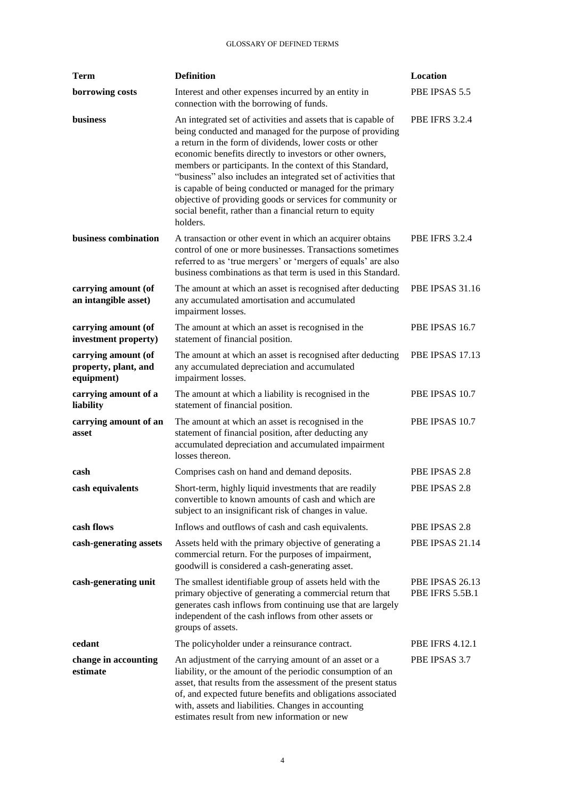| Term                                                      | <b>Definition</b>                                                                                                                                                                                                                                                                                                                                                                                                                                                                                                                                                               | Location                                  |
|-----------------------------------------------------------|---------------------------------------------------------------------------------------------------------------------------------------------------------------------------------------------------------------------------------------------------------------------------------------------------------------------------------------------------------------------------------------------------------------------------------------------------------------------------------------------------------------------------------------------------------------------------------|-------------------------------------------|
| borrowing costs                                           | Interest and other expenses incurred by an entity in<br>connection with the borrowing of funds.                                                                                                                                                                                                                                                                                                                                                                                                                                                                                 | PBE IPSAS 5.5                             |
| <b>business</b>                                           | An integrated set of activities and assets that is capable of<br>being conducted and managed for the purpose of providing<br>a return in the form of dividends, lower costs or other<br>economic benefits directly to investors or other owners,<br>members or participants. In the context of this Standard,<br>"business" also includes an integrated set of activities that<br>is capable of being conducted or managed for the primary<br>objective of providing goods or services for community or<br>social benefit, rather than a financial return to equity<br>holders. | <b>PBE IFRS 3.2.4</b>                     |
| business combination                                      | A transaction or other event in which an acquirer obtains<br>control of one or more businesses. Transactions sometimes<br>referred to as 'true mergers' or 'mergers of equals' are also<br>business combinations as that term is used in this Standard.                                                                                                                                                                                                                                                                                                                         | <b>PBE IFRS 3.2.4</b>                     |
| carrying amount (of<br>an intangible asset)               | The amount at which an asset is recognised after deducting<br>any accumulated amortisation and accumulated<br>impairment losses.                                                                                                                                                                                                                                                                                                                                                                                                                                                | <b>PBE IPSAS 31.16</b>                    |
| carrying amount (of<br>investment property)               | The amount at which an asset is recognised in the<br>statement of financial position.                                                                                                                                                                                                                                                                                                                                                                                                                                                                                           | PBE IPSAS 16.7                            |
| carrying amount (of<br>property, plant, and<br>equipment) | The amount at which an asset is recognised after deducting<br>any accumulated depreciation and accumulated<br>impairment losses.                                                                                                                                                                                                                                                                                                                                                                                                                                                | PBE IPSAS 17.13                           |
| carrying amount of a<br>liability                         | The amount at which a liability is recognised in the<br>statement of financial position.                                                                                                                                                                                                                                                                                                                                                                                                                                                                                        | PBE IPSAS 10.7                            |
| carrying amount of an<br>asset                            | The amount at which an asset is recognised in the<br>statement of financial position, after deducting any<br>accumulated depreciation and accumulated impairment<br>losses thereon.                                                                                                                                                                                                                                                                                                                                                                                             | PBE IPSAS 10.7                            |
| cash                                                      | Comprises cash on hand and demand deposits.                                                                                                                                                                                                                                                                                                                                                                                                                                                                                                                                     | PBE IPSAS 2.8                             |
| cash equivalents                                          | Short-term, highly liquid investments that are readily<br>convertible to known amounts of cash and which are<br>subject to an insignificant risk of changes in value.                                                                                                                                                                                                                                                                                                                                                                                                           | PBE IPSAS 2.8                             |
| cash flows                                                | Inflows and outflows of cash and cash equivalents.                                                                                                                                                                                                                                                                                                                                                                                                                                                                                                                              | PBE IPSAS 2.8                             |
| cash-generating assets                                    | Assets held with the primary objective of generating a<br>commercial return. For the purposes of impairment,<br>goodwill is considered a cash-generating asset.                                                                                                                                                                                                                                                                                                                                                                                                                 | PBE IPSAS 21.14                           |
| cash-generating unit                                      | The smallest identifiable group of assets held with the<br>primary objective of generating a commercial return that<br>generates cash inflows from continuing use that are largely<br>independent of the cash inflows from other assets or<br>groups of assets.                                                                                                                                                                                                                                                                                                                 | PBE IPSAS 26.13<br><b>PBE IFRS 5.5B.1</b> |
| cedant                                                    | The policyholder under a reinsurance contract.                                                                                                                                                                                                                                                                                                                                                                                                                                                                                                                                  | <b>PBE IFRS 4.12.1</b>                    |
| change in accounting<br>estimate                          | An adjustment of the carrying amount of an asset or a<br>liability, or the amount of the periodic consumption of an<br>asset, that results from the assessment of the present status<br>of, and expected future benefits and obligations associated<br>with, assets and liabilities. Changes in accounting<br>estimates result from new information or new                                                                                                                                                                                                                      | PBE IPSAS 3.7                             |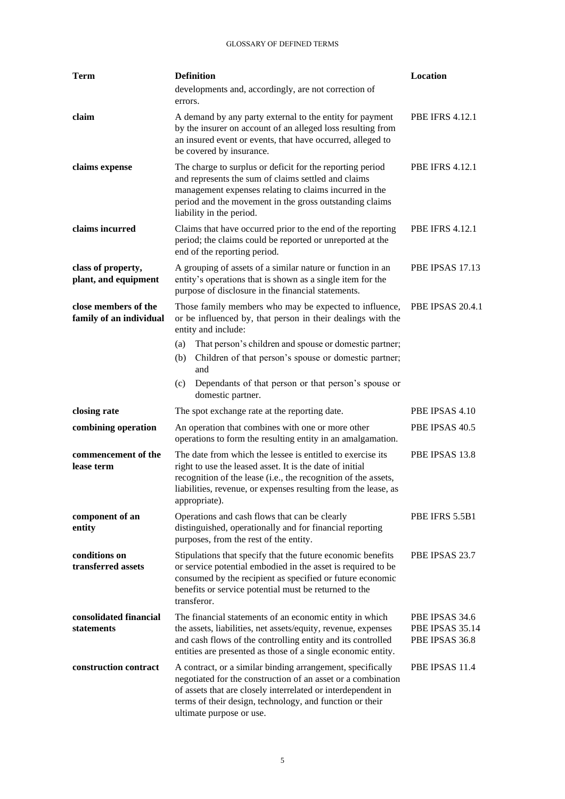| <b>Term</b>                                     | <b>Definition</b><br>developments and, accordingly, are not correction of<br>errors.                                                                                                                                                                                               | Location                                            |
|-------------------------------------------------|------------------------------------------------------------------------------------------------------------------------------------------------------------------------------------------------------------------------------------------------------------------------------------|-----------------------------------------------------|
| claim                                           | A demand by any party external to the entity for payment<br>by the insurer on account of an alleged loss resulting from<br>an insured event or events, that have occurred, alleged to<br>be covered by insurance.                                                                  | <b>PBE IFRS 4.12.1</b>                              |
| claims expense                                  | The charge to surplus or deficit for the reporting period<br>and represents the sum of claims settled and claims<br>management expenses relating to claims incurred in the<br>period and the movement in the gross outstanding claims<br>liability in the period.                  | <b>PBE IFRS 4.12.1</b>                              |
| claims incurred                                 | Claims that have occurred prior to the end of the reporting<br>period; the claims could be reported or unreported at the<br>end of the reporting period.                                                                                                                           | <b>PBE IFRS 4.12.1</b>                              |
| class of property,<br>plant, and equipment      | A grouping of assets of a similar nature or function in an<br>entity's operations that is shown as a single item for the<br>purpose of disclosure in the financial statements.                                                                                                     | <b>PBE IPSAS 17.13</b>                              |
| close members of the<br>family of an individual | Those family members who may be expected to influence,<br>or be influenced by, that person in their dealings with the<br>entity and include:                                                                                                                                       | <b>PBE IPSAS 20.4.1</b>                             |
|                                                 | That person's children and spouse or domestic partner;<br>(a)<br>Children of that person's spouse or domestic partner;<br>(b)<br>and                                                                                                                                               |                                                     |
|                                                 | Dependants of that person or that person's spouse or<br>(c)<br>domestic partner.                                                                                                                                                                                                   |                                                     |
| closing rate                                    | The spot exchange rate at the reporting date.                                                                                                                                                                                                                                      | PBE IPSAS 4.10                                      |
| combining operation                             | An operation that combines with one or more other<br>operations to form the resulting entity in an amalgamation.                                                                                                                                                                   | PBE IPSAS 40.5                                      |
| commencement of the<br>lease term               | The date from which the lessee is entitled to exercise its<br>right to use the leased asset. It is the date of initial<br>recognition of the lease (i.e., the recognition of the assets,<br>liabilities, revenue, or expenses resulting from the lease, as<br>appropriate).        | PBE IPSAS 13.8                                      |
| component of an<br>entity                       | Operations and cash flows that can be clearly<br>distinguished, operationally and for financial reporting<br>purposes, from the rest of the entity.                                                                                                                                | PBE IFRS 5.5B1                                      |
| conditions on<br>transferred assets             | Stipulations that specify that the future economic benefits<br>or service potential embodied in the asset is required to be<br>consumed by the recipient as specified or future economic<br>benefits or service potential must be returned to the<br>transferor.                   | PBE IPSAS 23.7                                      |
| consolidated financial<br>statements            | The financial statements of an economic entity in which<br>the assets, liabilities, net assets/equity, revenue, expenses<br>and cash flows of the controlling entity and its controlled<br>entities are presented as those of a single economic entity.                            | PBE IPSAS 34.6<br>PBE IPSAS 35.14<br>PBE IPSAS 36.8 |
| construction contract                           | A contract, or a similar binding arrangement, specifically<br>negotiated for the construction of an asset or a combination<br>of assets that are closely interrelated or interdependent in<br>terms of their design, technology, and function or their<br>ultimate purpose or use. | PBE IPSAS 11.4                                      |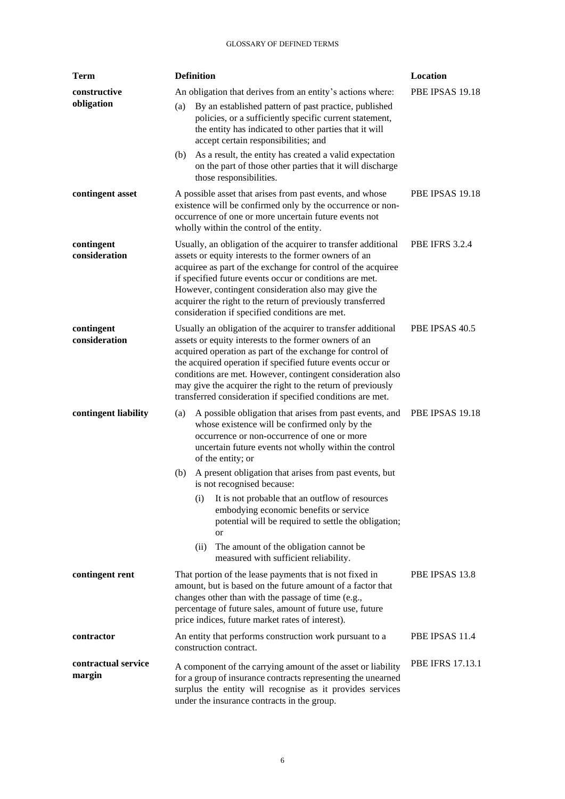| <b>Term</b>                   | <b>Definition</b>                                                                                                                                                                                                                                                                                                                                                                                                                           | Location                |  |
|-------------------------------|---------------------------------------------------------------------------------------------------------------------------------------------------------------------------------------------------------------------------------------------------------------------------------------------------------------------------------------------------------------------------------------------------------------------------------------------|-------------------------|--|
| constructive                  | PBE IPSAS 19.18<br>An obligation that derives from an entity's actions where:                                                                                                                                                                                                                                                                                                                                                               |                         |  |
| obligation                    | By an established pattern of past practice, published<br>(a)<br>policies, or a sufficiently specific current statement,<br>the entity has indicated to other parties that it will<br>accept certain responsibilities; and                                                                                                                                                                                                                   |                         |  |
|                               | As a result, the entity has created a valid expectation<br>(b)<br>on the part of those other parties that it will discharge<br>those responsibilities.                                                                                                                                                                                                                                                                                      |                         |  |
| contingent asset              | A possible asset that arises from past events, and whose<br>existence will be confirmed only by the occurrence or non-<br>occurrence of one or more uncertain future events not<br>wholly within the control of the entity.                                                                                                                                                                                                                 | PBE IPSAS 19.18         |  |
| contingent<br>consideration   | Usually, an obligation of the acquirer to transfer additional<br>assets or equity interests to the former owners of an<br>acquiree as part of the exchange for control of the acquiree<br>if specified future events occur or conditions are met.<br>However, contingent consideration also may give the<br>acquirer the right to the return of previously transferred<br>consideration if specified conditions are met.                    | <b>PBE IFRS 3.2.4</b>   |  |
| contingent<br>consideration   | Usually an obligation of the acquirer to transfer additional<br>assets or equity interests to the former owners of an<br>acquired operation as part of the exchange for control of<br>the acquired operation if specified future events occur or<br>conditions are met. However, contingent consideration also<br>may give the acquirer the right to the return of previously<br>transferred consideration if specified conditions are met. | PBE IPSAS 40.5          |  |
| contingent liability          | A possible obligation that arises from past events, and<br>(a)<br>whose existence will be confirmed only by the<br>occurrence or non-occurrence of one or more<br>uncertain future events not wholly within the control<br>of the entity; or                                                                                                                                                                                                | PBE IPSAS 19.18         |  |
|                               | A present obligation that arises from past events, but<br>(b)<br>is not recognised because:                                                                                                                                                                                                                                                                                                                                                 |                         |  |
|                               | It is not probable that an outflow of resources<br>(i)<br>embodying economic benefits or service<br>potential will be required to settle the obligation;<br><sub>or</sub>                                                                                                                                                                                                                                                                   |                         |  |
|                               | The amount of the obligation cannot be<br>(ii)<br>measured with sufficient reliability.                                                                                                                                                                                                                                                                                                                                                     |                         |  |
| contingent rent               | That portion of the lease payments that is not fixed in<br>amount, but is based on the future amount of a factor that<br>changes other than with the passage of time (e.g.,<br>percentage of future sales, amount of future use, future<br>price indices, future market rates of interest).                                                                                                                                                 | PBE IPSAS 13.8          |  |
| contractor                    | An entity that performs construction work pursuant to a<br>construction contract.                                                                                                                                                                                                                                                                                                                                                           | PBE IPSAS 11.4          |  |
| contractual service<br>margin | A component of the carrying amount of the asset or liability<br>for a group of insurance contracts representing the unearned<br>surplus the entity will recognise as it provides services<br>under the insurance contracts in the group.                                                                                                                                                                                                    | <b>PBE IFRS 17.13.1</b> |  |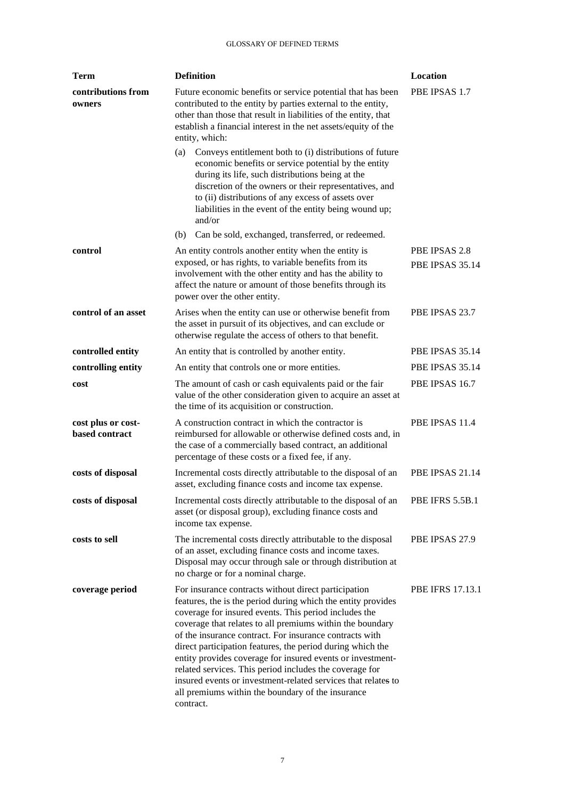| <b>Term</b>                          | <b>Definition</b>                                                                                                                                                                                                                                                                                                                                                                                                                                                                                                                                                                                                               | Location                         |
|--------------------------------------|---------------------------------------------------------------------------------------------------------------------------------------------------------------------------------------------------------------------------------------------------------------------------------------------------------------------------------------------------------------------------------------------------------------------------------------------------------------------------------------------------------------------------------------------------------------------------------------------------------------------------------|----------------------------------|
| contributions from<br>owners         | Future economic benefits or service potential that has been<br>contributed to the entity by parties external to the entity,<br>other than those that result in liabilities of the entity, that<br>establish a financial interest in the net assets/equity of the<br>entity, which:                                                                                                                                                                                                                                                                                                                                              | PBE IPSAS 1.7                    |
|                                      | Conveys entitlement both to (i) distributions of future<br>(a)<br>economic benefits or service potential by the entity<br>during its life, such distributions being at the<br>discretion of the owners or their representatives, and<br>to (ii) distributions of any excess of assets over<br>liabilities in the event of the entity being wound up;<br>and/or                                                                                                                                                                                                                                                                  |                                  |
|                                      | Can be sold, exchanged, transferred, or redeemed.<br>(b)                                                                                                                                                                                                                                                                                                                                                                                                                                                                                                                                                                        |                                  |
| control                              | An entity controls another entity when the entity is<br>exposed, or has rights, to variable benefits from its<br>involvement with the other entity and has the ability to<br>affect the nature or amount of those benefits through its<br>power over the other entity.                                                                                                                                                                                                                                                                                                                                                          | PBE IPSAS 2.8<br>PBE IPSAS 35.14 |
| control of an asset                  | Arises when the entity can use or otherwise benefit from<br>the asset in pursuit of its objectives, and can exclude or<br>otherwise regulate the access of others to that benefit.                                                                                                                                                                                                                                                                                                                                                                                                                                              | PBE IPSAS 23.7                   |
| controlled entity                    | An entity that is controlled by another entity.                                                                                                                                                                                                                                                                                                                                                                                                                                                                                                                                                                                 | PBE IPSAS 35.14                  |
| controlling entity                   | An entity that controls one or more entities.                                                                                                                                                                                                                                                                                                                                                                                                                                                                                                                                                                                   | PBE IPSAS 35.14                  |
| cost                                 | The amount of cash or cash equivalents paid or the fair<br>value of the other consideration given to acquire an asset at<br>the time of its acquisition or construction.                                                                                                                                                                                                                                                                                                                                                                                                                                                        | PBE IPSAS 16.7                   |
| cost plus or cost-<br>based contract | A construction contract in which the contractor is<br>reimbursed for allowable or otherwise defined costs and, in<br>the case of a commercially based contract, an additional<br>percentage of these costs or a fixed fee, if any.                                                                                                                                                                                                                                                                                                                                                                                              | PBE IPSAS 11.4                   |
| costs of disposal                    | Incremental costs directly attributable to the disposal of an<br>asset, excluding finance costs and income tax expense.                                                                                                                                                                                                                                                                                                                                                                                                                                                                                                         | <b>PBE IPSAS 21.14</b>           |
| costs of disposal                    | Incremental costs directly attributable to the disposal of an<br>asset (or disposal group), excluding finance costs and<br>income tax expense.                                                                                                                                                                                                                                                                                                                                                                                                                                                                                  | <b>PBE IFRS 5.5B.1</b>           |
| costs to sell                        | The incremental costs directly attributable to the disposal<br>of an asset, excluding finance costs and income taxes.<br>Disposal may occur through sale or through distribution at<br>no charge or for a nominal charge.                                                                                                                                                                                                                                                                                                                                                                                                       | PBE IPSAS 27.9                   |
| coverage period                      | For insurance contracts without direct participation<br>features, the is the period during which the entity provides<br>coverage for insured events. This period includes the<br>coverage that relates to all premiums within the boundary<br>of the insurance contract. For insurance contracts with<br>direct participation features, the period during which the<br>entity provides coverage for insured events or investment-<br>related services. This period includes the coverage for<br>insured events or investment-related services that relates to<br>all premiums within the boundary of the insurance<br>contract. | <b>PBE IFRS 17.13.1</b>          |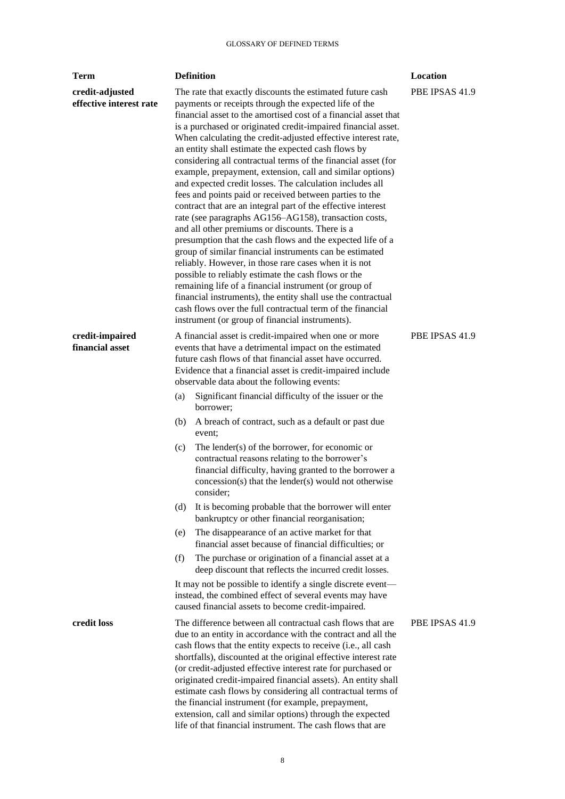| <b>Term</b>                                |     | <b>Definition</b>                                                                                                                                                                                                                                                                                                                                                                                                                                                                                                                                                                                                                                                                                                                                                                                                                                                                                                                                                                                                                                                                                                                                                                                                                                                                                  | Location       |
|--------------------------------------------|-----|----------------------------------------------------------------------------------------------------------------------------------------------------------------------------------------------------------------------------------------------------------------------------------------------------------------------------------------------------------------------------------------------------------------------------------------------------------------------------------------------------------------------------------------------------------------------------------------------------------------------------------------------------------------------------------------------------------------------------------------------------------------------------------------------------------------------------------------------------------------------------------------------------------------------------------------------------------------------------------------------------------------------------------------------------------------------------------------------------------------------------------------------------------------------------------------------------------------------------------------------------------------------------------------------------|----------------|
| credit-adjusted<br>effective interest rate |     | The rate that exactly discounts the estimated future cash<br>payments or receipts through the expected life of the<br>financial asset to the amortised cost of a financial asset that<br>is a purchased or originated credit-impaired financial asset.<br>When calculating the credit-adjusted effective interest rate,<br>an entity shall estimate the expected cash flows by<br>considering all contractual terms of the financial asset (for<br>example, prepayment, extension, call and similar options)<br>and expected credit losses. The calculation includes all<br>fees and points paid or received between parties to the<br>contract that are an integral part of the effective interest<br>rate (see paragraphs AG156-AG158), transaction costs,<br>and all other premiums or discounts. There is a<br>presumption that the cash flows and the expected life of a<br>group of similar financial instruments can be estimated<br>reliably. However, in those rare cases when it is not<br>possible to reliably estimate the cash flows or the<br>remaining life of a financial instrument (or group of<br>financial instruments), the entity shall use the contractual<br>cash flows over the full contractual term of the financial<br>instrument (or group of financial instruments). | PBE IPSAS 41.9 |
| credit-impaired<br>financial asset         |     | A financial asset is credit-impaired when one or more<br>events that have a detrimental impact on the estimated<br>future cash flows of that financial asset have occurred.<br>Evidence that a financial asset is credit-impaired include<br>observable data about the following events:                                                                                                                                                                                                                                                                                                                                                                                                                                                                                                                                                                                                                                                                                                                                                                                                                                                                                                                                                                                                           | PBE IPSAS 41.9 |
|                                            | (a) | Significant financial difficulty of the issuer or the<br>borrower;                                                                                                                                                                                                                                                                                                                                                                                                                                                                                                                                                                                                                                                                                                                                                                                                                                                                                                                                                                                                                                                                                                                                                                                                                                 |                |
|                                            | (b) | A breach of contract, such as a default or past due<br>event;                                                                                                                                                                                                                                                                                                                                                                                                                                                                                                                                                                                                                                                                                                                                                                                                                                                                                                                                                                                                                                                                                                                                                                                                                                      |                |
|                                            | (c) | The lender(s) of the borrower, for economic or<br>contractual reasons relating to the borrower's<br>financial difficulty, having granted to the borrower a<br>concession(s) that the lender(s) would not otherwise<br>consider;                                                                                                                                                                                                                                                                                                                                                                                                                                                                                                                                                                                                                                                                                                                                                                                                                                                                                                                                                                                                                                                                    |                |
|                                            | (d) | It is becoming probable that the borrower will enter<br>bankruptcy or other financial reorganisation;                                                                                                                                                                                                                                                                                                                                                                                                                                                                                                                                                                                                                                                                                                                                                                                                                                                                                                                                                                                                                                                                                                                                                                                              |                |
|                                            | (e) | The disappearance of an active market for that<br>financial asset because of financial difficulties; or                                                                                                                                                                                                                                                                                                                                                                                                                                                                                                                                                                                                                                                                                                                                                                                                                                                                                                                                                                                                                                                                                                                                                                                            |                |
|                                            | (f) | The purchase or origination of a financial asset at a<br>deep discount that reflects the incurred credit losses.                                                                                                                                                                                                                                                                                                                                                                                                                                                                                                                                                                                                                                                                                                                                                                                                                                                                                                                                                                                                                                                                                                                                                                                   |                |
|                                            |     | It may not be possible to identify a single discrete event—<br>instead, the combined effect of several events may have<br>caused financial assets to become credit-impaired.                                                                                                                                                                                                                                                                                                                                                                                                                                                                                                                                                                                                                                                                                                                                                                                                                                                                                                                                                                                                                                                                                                                       |                |
| credit loss                                |     | The difference between all contractual cash flows that are<br>due to an entity in accordance with the contract and all the<br>cash flows that the entity expects to receive (i.e., all cash<br>shortfalls), discounted at the original effective interest rate<br>(or credit-adjusted effective interest rate for purchased or<br>originated credit-impaired financial assets). An entity shall<br>estimate cash flows by considering all contractual terms of<br>the financial instrument (for example, prepayment,<br>extension, call and similar options) through the expected<br>life of that financial instrument. The cash flows that are                                                                                                                                                                                                                                                                                                                                                                                                                                                                                                                                                                                                                                                    | PBE IPSAS 41.9 |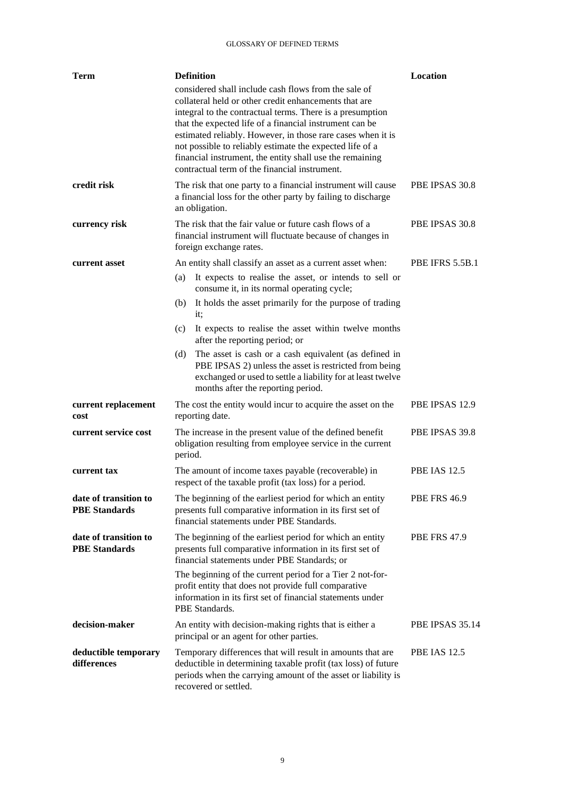| <b>Term</b>                                   |         | <b>Definition</b>                                                                                                                                                                                                                                                                                                                                                                                                                                                             | Location               |
|-----------------------------------------------|---------|-------------------------------------------------------------------------------------------------------------------------------------------------------------------------------------------------------------------------------------------------------------------------------------------------------------------------------------------------------------------------------------------------------------------------------------------------------------------------------|------------------------|
|                                               |         | considered shall include cash flows from the sale of<br>collateral held or other credit enhancements that are<br>integral to the contractual terms. There is a presumption<br>that the expected life of a financial instrument can be<br>estimated reliably. However, in those rare cases when it is<br>not possible to reliably estimate the expected life of a<br>financial instrument, the entity shall use the remaining<br>contractual term of the financial instrument. |                        |
| credit risk                                   |         | The risk that one party to a financial instrument will cause<br>a financial loss for the other party by failing to discharge<br>an obligation.                                                                                                                                                                                                                                                                                                                                | PBE IPSAS 30.8         |
| currency risk                                 |         | The risk that the fair value or future cash flows of a<br>financial instrument will fluctuate because of changes in<br>foreign exchange rates.                                                                                                                                                                                                                                                                                                                                | PBE IPSAS 30.8         |
| current asset                                 |         | An entity shall classify an asset as a current asset when:                                                                                                                                                                                                                                                                                                                                                                                                                    | <b>PBE IFRS 5.5B.1</b> |
|                                               | (a)     | It expects to realise the asset, or intends to sell or<br>consume it, in its normal operating cycle;                                                                                                                                                                                                                                                                                                                                                                          |                        |
|                                               | (b)     | It holds the asset primarily for the purpose of trading<br>it;                                                                                                                                                                                                                                                                                                                                                                                                                |                        |
|                                               | (c)     | It expects to realise the asset within twelve months<br>after the reporting period; or                                                                                                                                                                                                                                                                                                                                                                                        |                        |
|                                               | (d)     | The asset is cash or a cash equivalent (as defined in<br>PBE IPSAS 2) unless the asset is restricted from being<br>exchanged or used to settle a liability for at least twelve<br>months after the reporting period.                                                                                                                                                                                                                                                          |                        |
| current replacement<br>cost                   |         | The cost the entity would incur to acquire the asset on the<br>reporting date.                                                                                                                                                                                                                                                                                                                                                                                                | PBE IPSAS 12.9         |
| current service cost                          | period. | The increase in the present value of the defined benefit<br>obligation resulting from employee service in the current                                                                                                                                                                                                                                                                                                                                                         | PBE IPSAS 39.8         |
| current tax                                   |         | The amount of income taxes payable (recoverable) in<br>respect of the taxable profit (tax loss) for a period.                                                                                                                                                                                                                                                                                                                                                                 | <b>PBE IAS 12.5</b>    |
| date of transition to<br><b>PBE Standards</b> |         | The beginning of the earliest period for which an entity<br>presents full comparative information in its first set of<br>financial statements under PBE Standards.                                                                                                                                                                                                                                                                                                            | <b>PBE FRS 46.9</b>    |
| date of transition to<br><b>PBE Standards</b> |         | The beginning of the earliest period for which an entity<br>presents full comparative information in its first set of<br>financial statements under PBE Standards; or                                                                                                                                                                                                                                                                                                         | <b>PBE FRS 47.9</b>    |
|                                               |         | The beginning of the current period for a Tier 2 not-for-<br>profit entity that does not provide full comparative<br>information in its first set of financial statements under<br>PBE Standards.                                                                                                                                                                                                                                                                             |                        |
| decision-maker                                |         | An entity with decision-making rights that is either a<br>principal or an agent for other parties.                                                                                                                                                                                                                                                                                                                                                                            | PBE IPSAS 35.14        |
| deductible temporary<br>differences           |         | Temporary differences that will result in amounts that are<br>deductible in determining taxable profit (tax loss) of future<br>periods when the carrying amount of the asset or liability is<br>recovered or settled.                                                                                                                                                                                                                                                         | <b>PBE IAS 12.5</b>    |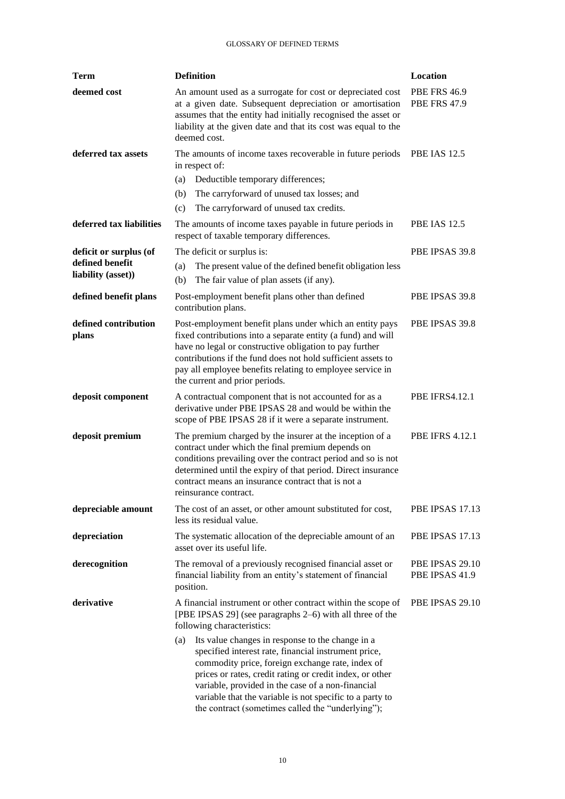| <b>Term</b>                                                     | <b>Definition</b>                                                                                                                                                                                                                                                                                                                                                                                                                                                                                                                                                | Location                                   |
|-----------------------------------------------------------------|------------------------------------------------------------------------------------------------------------------------------------------------------------------------------------------------------------------------------------------------------------------------------------------------------------------------------------------------------------------------------------------------------------------------------------------------------------------------------------------------------------------------------------------------------------------|--------------------------------------------|
| deemed cost                                                     | An amount used as a surrogate for cost or depreciated cost<br>at a given date. Subsequent depreciation or amortisation<br>assumes that the entity had initially recognised the asset or<br>liability at the given date and that its cost was equal to the<br>deemed cost.                                                                                                                                                                                                                                                                                        | <b>PBE FRS 46.9</b><br><b>PBE FRS 47.9</b> |
| deferred tax assets                                             | The amounts of income taxes recoverable in future periods<br>in respect of:<br>Deductible temporary differences;<br>(a)<br>The carryforward of unused tax losses; and<br>(b)<br>The carryforward of unused tax credits.<br>(c)                                                                                                                                                                                                                                                                                                                                   | <b>PBE IAS 12.5</b>                        |
| deferred tax liabilities                                        | The amounts of income taxes payable in future periods in<br>respect of taxable temporary differences.                                                                                                                                                                                                                                                                                                                                                                                                                                                            | <b>PBE IAS 12.5</b>                        |
| deficit or surplus (of<br>defined benefit<br>liability (asset)) | The deficit or surplus is:<br>The present value of the defined benefit obligation less<br>(a)<br>The fair value of plan assets (if any).<br>(b)                                                                                                                                                                                                                                                                                                                                                                                                                  | PBE IPSAS 39.8                             |
| defined benefit plans                                           | Post-employment benefit plans other than defined<br>contribution plans.                                                                                                                                                                                                                                                                                                                                                                                                                                                                                          | PBE IPSAS 39.8                             |
| defined contribution<br>plans                                   | Post-employment benefit plans under which an entity pays<br>fixed contributions into a separate entity (a fund) and will<br>have no legal or constructive obligation to pay further<br>contributions if the fund does not hold sufficient assets to<br>pay all employee benefits relating to employee service in<br>the current and prior periods.                                                                                                                                                                                                               | PBE IPSAS 39.8                             |
| deposit component                                               | A contractual component that is not accounted for as a<br>derivative under PBE IPSAS 28 and would be within the<br>scope of PBE IPSAS 28 if it were a separate instrument.                                                                                                                                                                                                                                                                                                                                                                                       | <b>PBE IFRS4.12.1</b>                      |
| deposit premium                                                 | The premium charged by the insurer at the inception of a<br>contract under which the final premium depends on<br>conditions prevailing over the contract period and so is not<br>determined until the expiry of that period. Direct insurance<br>contract means an insurance contract that is not a<br>reinsurance contract.                                                                                                                                                                                                                                     | <b>PBE IFRS 4.12.1</b>                     |
| depreciable amount                                              | The cost of an asset, or other amount substituted for cost,<br>less its residual value.                                                                                                                                                                                                                                                                                                                                                                                                                                                                          | PBE IPSAS 17.13                            |
| depreciation                                                    | The systematic allocation of the depreciable amount of an<br>asset over its useful life.                                                                                                                                                                                                                                                                                                                                                                                                                                                                         | <b>PBE IPSAS 17.13</b>                     |
| derecognition                                                   | The removal of a previously recognised financial asset or<br>financial liability from an entity's statement of financial<br>position.                                                                                                                                                                                                                                                                                                                                                                                                                            | PBE IPSAS 29.10<br>PBE IPSAS 41.9          |
| derivative                                                      | A financial instrument or other contract within the scope of<br>[PBE IPSAS 29] (see paragraphs 2-6) with all three of the<br>following characteristics:<br>Its value changes in response to the change in a<br>(a)<br>specified interest rate, financial instrument price,<br>commodity price, foreign exchange rate, index of<br>prices or rates, credit rating or credit index, or other<br>variable, provided in the case of a non-financial<br>variable that the variable is not specific to a party to<br>the contract (sometimes called the "underlying"); | PBE IPSAS 29.10                            |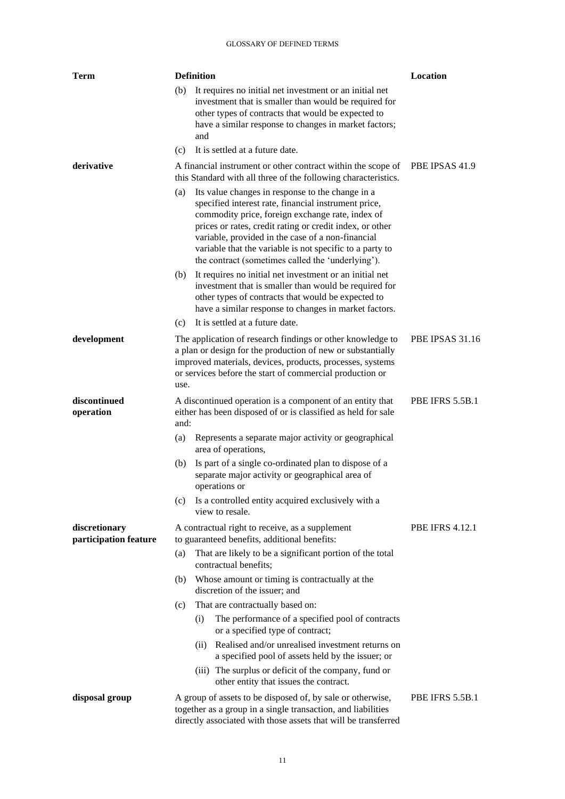| <b>Term</b>                            |      | <b>Definition</b>                                                                                                                                                                                                                                                                                                                                                                              | Location               |
|----------------------------------------|------|------------------------------------------------------------------------------------------------------------------------------------------------------------------------------------------------------------------------------------------------------------------------------------------------------------------------------------------------------------------------------------------------|------------------------|
|                                        | (b)  | It requires no initial net investment or an initial net<br>investment that is smaller than would be required for<br>other types of contracts that would be expected to<br>have a similar response to changes in market factors;<br>and                                                                                                                                                         |                        |
|                                        | (c)  | It is settled at a future date.                                                                                                                                                                                                                                                                                                                                                                |                        |
| derivative                             |      | A financial instrument or other contract within the scope of<br>this Standard with all three of the following characteristics.                                                                                                                                                                                                                                                                 | PBE IPSAS 41.9         |
|                                        | (a)  | Its value changes in response to the change in a<br>specified interest rate, financial instrument price,<br>commodity price, foreign exchange rate, index of<br>prices or rates, credit rating or credit index, or other<br>variable, provided in the case of a non-financial<br>variable that the variable is not specific to a party to<br>the contract (sometimes called the 'underlying'). |                        |
|                                        | (b)  | It requires no initial net investment or an initial net<br>investment that is smaller than would be required for<br>other types of contracts that would be expected to<br>have a similar response to changes in market factors.                                                                                                                                                                |                        |
|                                        | (c)  | It is settled at a future date.                                                                                                                                                                                                                                                                                                                                                                |                        |
| development                            | use. | The application of research findings or other knowledge to<br>a plan or design for the production of new or substantially<br>improved materials, devices, products, processes, systems<br>or services before the start of commercial production or                                                                                                                                             | <b>PBE IPSAS 31.16</b> |
| discontinued<br>operation              | and: | A discontinued operation is a component of an entity that<br>either has been disposed of or is classified as held for sale                                                                                                                                                                                                                                                                     | PBE IFRS 5.5B.1        |
|                                        | (a)  | Represents a separate major activity or geographical<br>area of operations,                                                                                                                                                                                                                                                                                                                    |                        |
|                                        | (b)  | Is part of a single co-ordinated plan to dispose of a<br>separate major activity or geographical area of<br>operations or                                                                                                                                                                                                                                                                      |                        |
|                                        | (c)  | Is a controlled entity acquired exclusively with a<br>view to resale.                                                                                                                                                                                                                                                                                                                          |                        |
| discretionary<br>participation feature |      | A contractual right to receive, as a supplement<br>to guaranteed benefits, additional benefits:                                                                                                                                                                                                                                                                                                | <b>PBE IFRS 4.12.1</b> |
|                                        | (a)  | That are likely to be a significant portion of the total<br>contractual benefits;                                                                                                                                                                                                                                                                                                              |                        |
|                                        | (b)  | Whose amount or timing is contractually at the<br>discretion of the issuer; and                                                                                                                                                                                                                                                                                                                |                        |
|                                        | (c)  | That are contractually based on:                                                                                                                                                                                                                                                                                                                                                               |                        |
|                                        |      | The performance of a specified pool of contracts<br>(i)<br>or a specified type of contract;                                                                                                                                                                                                                                                                                                    |                        |
|                                        |      | Realised and/or unrealised investment returns on<br>(ii)<br>a specified pool of assets held by the issuer; or                                                                                                                                                                                                                                                                                  |                        |
|                                        |      | (iii) The surplus or deficit of the company, fund or<br>other entity that issues the contract.                                                                                                                                                                                                                                                                                                 |                        |
| disposal group                         |      | A group of assets to be disposed of, by sale or otherwise,<br>together as a group in a single transaction, and liabilities<br>directly associated with those assets that will be transferred                                                                                                                                                                                                   | <b>PBE IFRS 5.5B.1</b> |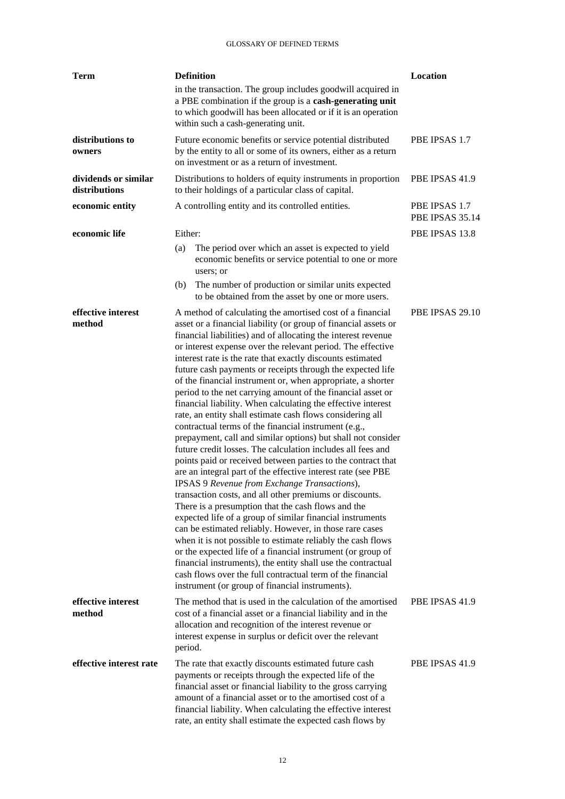| <b>Term</b>                           | <b>Definition</b><br>in the transaction. The group includes goodwill acquired in<br>a PBE combination if the group is a cash-generating unit<br>to which goodwill has been allocated or if it is an operation<br>within such a cash-generating unit.                                                                                                                                                                                                                                                                                                                                                                                                                                                                                                                                                                                                                                                                                                                                                                                                                                                                                                                                                                                                                                                                                                                                                                                                                                                                                                                               | Location                         |
|---------------------------------------|------------------------------------------------------------------------------------------------------------------------------------------------------------------------------------------------------------------------------------------------------------------------------------------------------------------------------------------------------------------------------------------------------------------------------------------------------------------------------------------------------------------------------------------------------------------------------------------------------------------------------------------------------------------------------------------------------------------------------------------------------------------------------------------------------------------------------------------------------------------------------------------------------------------------------------------------------------------------------------------------------------------------------------------------------------------------------------------------------------------------------------------------------------------------------------------------------------------------------------------------------------------------------------------------------------------------------------------------------------------------------------------------------------------------------------------------------------------------------------------------------------------------------------------------------------------------------------|----------------------------------|
| distributions to<br>owners            | Future economic benefits or service potential distributed<br>by the entity to all or some of its owners, either as a return<br>on investment or as a return of investment.                                                                                                                                                                                                                                                                                                                                                                                                                                                                                                                                                                                                                                                                                                                                                                                                                                                                                                                                                                                                                                                                                                                                                                                                                                                                                                                                                                                                         | PBE IPSAS 1.7                    |
| dividends or similar<br>distributions | Distributions to holders of equity instruments in proportion<br>to their holdings of a particular class of capital.                                                                                                                                                                                                                                                                                                                                                                                                                                                                                                                                                                                                                                                                                                                                                                                                                                                                                                                                                                                                                                                                                                                                                                                                                                                                                                                                                                                                                                                                | PBE IPSAS 41.9                   |
| economic entity                       | A controlling entity and its controlled entities.                                                                                                                                                                                                                                                                                                                                                                                                                                                                                                                                                                                                                                                                                                                                                                                                                                                                                                                                                                                                                                                                                                                                                                                                                                                                                                                                                                                                                                                                                                                                  | PBE IPSAS 1.7<br>PBE IPSAS 35.14 |
| economic life                         | Either:                                                                                                                                                                                                                                                                                                                                                                                                                                                                                                                                                                                                                                                                                                                                                                                                                                                                                                                                                                                                                                                                                                                                                                                                                                                                                                                                                                                                                                                                                                                                                                            | PBE IPSAS 13.8                   |
|                                       | (a)<br>The period over which an asset is expected to yield<br>economic benefits or service potential to one or more<br>users; or                                                                                                                                                                                                                                                                                                                                                                                                                                                                                                                                                                                                                                                                                                                                                                                                                                                                                                                                                                                                                                                                                                                                                                                                                                                                                                                                                                                                                                                   |                                  |
|                                       | The number of production or similar units expected<br>(b)<br>to be obtained from the asset by one or more users.                                                                                                                                                                                                                                                                                                                                                                                                                                                                                                                                                                                                                                                                                                                                                                                                                                                                                                                                                                                                                                                                                                                                                                                                                                                                                                                                                                                                                                                                   |                                  |
| effective interest<br>method          | A method of calculating the amortised cost of a financial<br>asset or a financial liability (or group of financial assets or<br>financial liabilities) and of allocating the interest revenue<br>or interest expense over the relevant period. The effective<br>interest rate is the rate that exactly discounts estimated<br>future cash payments or receipts through the expected life<br>of the financial instrument or, when appropriate, a shorter<br>period to the net carrying amount of the financial asset or<br>financial liability. When calculating the effective interest<br>rate, an entity shall estimate cash flows considering all<br>contractual terms of the financial instrument (e.g.,<br>prepayment, call and similar options) but shall not consider<br>future credit losses. The calculation includes all fees and<br>points paid or received between parties to the contract that<br>are an integral part of the effective interest rate (see PBE<br>IPSAS 9 Revenue from Exchange Transactions),<br>transaction costs, and all other premiums or discounts.<br>There is a presumption that the cash flows and the<br>expected life of a group of similar financial instruments<br>can be estimated reliably. However, in those rare cases<br>when it is not possible to estimate reliably the cash flows<br>or the expected life of a financial instrument (or group of<br>financial instruments), the entity shall use the contractual<br>cash flows over the full contractual term of the financial<br>instrument (or group of financial instruments). | <b>PBE IPSAS 29.10</b>           |
| effective interest<br>method          | The method that is used in the calculation of the amortised<br>cost of a financial asset or a financial liability and in the<br>allocation and recognition of the interest revenue or<br>interest expense in surplus or deficit over the relevant<br>period.                                                                                                                                                                                                                                                                                                                                                                                                                                                                                                                                                                                                                                                                                                                                                                                                                                                                                                                                                                                                                                                                                                                                                                                                                                                                                                                       | PBE IPSAS 41.9                   |
| effective interest rate               | The rate that exactly discounts estimated future cash<br>payments or receipts through the expected life of the<br>financial asset or financial liability to the gross carrying<br>amount of a financial asset or to the amortised cost of a<br>financial liability. When calculating the effective interest<br>rate, an entity shall estimate the expected cash flows by                                                                                                                                                                                                                                                                                                                                                                                                                                                                                                                                                                                                                                                                                                                                                                                                                                                                                                                                                                                                                                                                                                                                                                                                           | PBE IPSAS 41.9                   |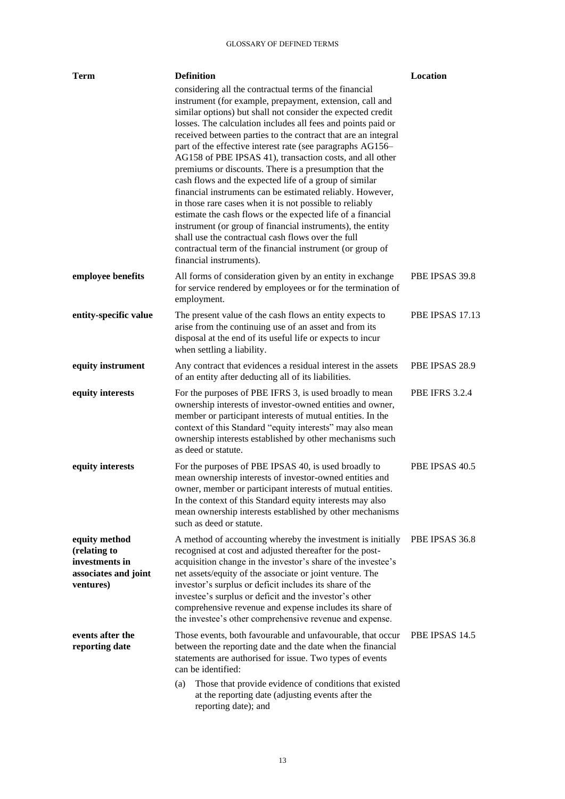| <b>Term</b>                                                                          | <b>Definition</b>                                                                                                                                                                                                                                                                                                                                                                                                                                                                                                                                                                                                                                                                                                                                                                                                                                                                                                                                                   | Location               |
|--------------------------------------------------------------------------------------|---------------------------------------------------------------------------------------------------------------------------------------------------------------------------------------------------------------------------------------------------------------------------------------------------------------------------------------------------------------------------------------------------------------------------------------------------------------------------------------------------------------------------------------------------------------------------------------------------------------------------------------------------------------------------------------------------------------------------------------------------------------------------------------------------------------------------------------------------------------------------------------------------------------------------------------------------------------------|------------------------|
|                                                                                      | considering all the contractual terms of the financial<br>instrument (for example, prepayment, extension, call and<br>similar options) but shall not consider the expected credit<br>losses. The calculation includes all fees and points paid or<br>received between parties to the contract that are an integral<br>part of the effective interest rate (see paragraphs AG156–<br>AG158 of PBE IPSAS 41), transaction costs, and all other<br>premiums or discounts. There is a presumption that the<br>cash flows and the expected life of a group of similar<br>financial instruments can be estimated reliably. However,<br>in those rare cases when it is not possible to reliably<br>estimate the cash flows or the expected life of a financial<br>instrument (or group of financial instruments), the entity<br>shall use the contractual cash flows over the full<br>contractual term of the financial instrument (or group of<br>financial instruments). |                        |
| employee benefits                                                                    | All forms of consideration given by an entity in exchange<br>for service rendered by employees or for the termination of<br>employment.                                                                                                                                                                                                                                                                                                                                                                                                                                                                                                                                                                                                                                                                                                                                                                                                                             | PBE IPSAS 39.8         |
| entity-specific value                                                                | The present value of the cash flows an entity expects to<br>arise from the continuing use of an asset and from its<br>disposal at the end of its useful life or expects to incur<br>when settling a liability.                                                                                                                                                                                                                                                                                                                                                                                                                                                                                                                                                                                                                                                                                                                                                      | <b>PBE IPSAS 17.13</b> |
| equity instrument                                                                    | Any contract that evidences a residual interest in the assets<br>of an entity after deducting all of its liabilities.                                                                                                                                                                                                                                                                                                                                                                                                                                                                                                                                                                                                                                                                                                                                                                                                                                               | PBE IPSAS 28.9         |
| equity interests                                                                     | For the purposes of PBE IFRS 3, is used broadly to mean<br>ownership interests of investor-owned entities and owner,<br>member or participant interests of mutual entities. In the<br>context of this Standard "equity interests" may also mean<br>ownership interests established by other mechanisms such<br>as deed or statute.                                                                                                                                                                                                                                                                                                                                                                                                                                                                                                                                                                                                                                  | <b>PBE IFRS 3.2.4</b>  |
| equity interests                                                                     | For the purposes of PBE IPSAS 40, is used broadly to<br>mean ownership interests of investor-owned entities and<br>owner, member or participant interests of mutual entities.<br>In the context of this Standard equity interests may also<br>mean ownership interests established by other mechanisms<br>such as deed or statute.                                                                                                                                                                                                                                                                                                                                                                                                                                                                                                                                                                                                                                  | PBE IPSAS 40.5         |
| equity method<br>(relating to<br>investments in<br>associates and joint<br>ventures) | A method of accounting whereby the investment is initially<br>recognised at cost and adjusted thereafter for the post-<br>acquisition change in the investor's share of the investee's<br>net assets/equity of the associate or joint venture. The<br>investor's surplus or deficit includes its share of the<br>investee's surplus or deficit and the investor's other<br>comprehensive revenue and expense includes its share of<br>the investee's other comprehensive revenue and expense.                                                                                                                                                                                                                                                                                                                                                                                                                                                                       | PBE IPSAS 36.8         |
| events after the<br>reporting date                                                   | Those events, both favourable and unfavourable, that occur<br>between the reporting date and the date when the financial<br>statements are authorised for issue. Two types of events<br>can be identified:                                                                                                                                                                                                                                                                                                                                                                                                                                                                                                                                                                                                                                                                                                                                                          | PBE IPSAS 14.5         |
|                                                                                      | Those that provide evidence of conditions that existed<br>(a)<br>at the reporting date (adjusting events after the<br>reporting date); and                                                                                                                                                                                                                                                                                                                                                                                                                                                                                                                                                                                                                                                                                                                                                                                                                          |                        |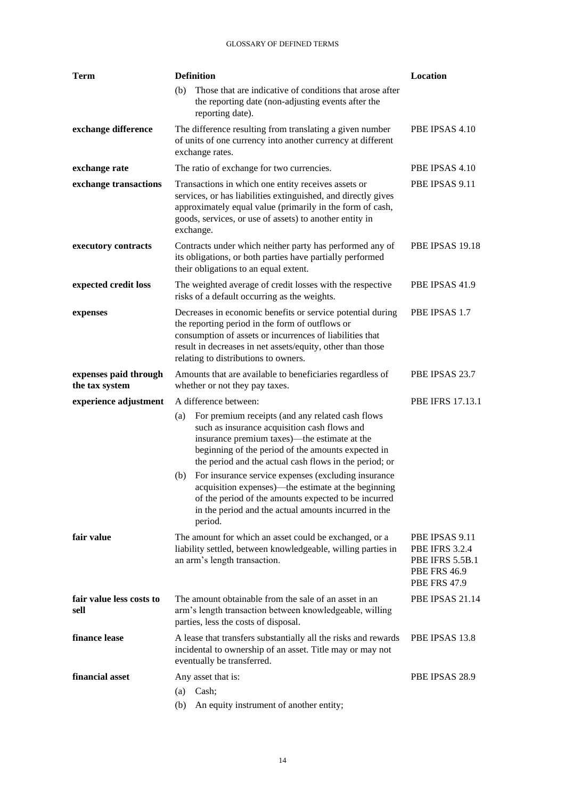| <b>Term</b>                             |            | <b>Definition</b>                                                                                                                                                                                                                                                               | <b>Location</b>                                                                                                 |
|-----------------------------------------|------------|---------------------------------------------------------------------------------------------------------------------------------------------------------------------------------------------------------------------------------------------------------------------------------|-----------------------------------------------------------------------------------------------------------------|
|                                         | (b)        | Those that are indicative of conditions that arose after<br>the reporting date (non-adjusting events after the<br>reporting date).                                                                                                                                              |                                                                                                                 |
| exchange difference                     |            | The difference resulting from translating a given number<br>of units of one currency into another currency at different<br>exchange rates.                                                                                                                                      | PBE IPSAS 4.10                                                                                                  |
| exchange rate                           |            | The ratio of exchange for two currencies.                                                                                                                                                                                                                                       | PBE IPSAS 4.10                                                                                                  |
| exchange transactions                   |            | Transactions in which one entity receives assets or<br>services, or has liabilities extinguished, and directly gives<br>approximately equal value (primarily in the form of cash,<br>goods, services, or use of assets) to another entity in<br>exchange.                       | PBE IPSAS 9.11                                                                                                  |
| executory contracts                     |            | Contracts under which neither party has performed any of<br>its obligations, or both parties have partially performed<br>their obligations to an equal extent.                                                                                                                  | PBE IPSAS 19.18                                                                                                 |
| expected credit loss                    |            | The weighted average of credit losses with the respective<br>risks of a default occurring as the weights.                                                                                                                                                                       | PBE IPSAS 41.9                                                                                                  |
| expenses                                |            | Decreases in economic benefits or service potential during<br>the reporting period in the form of outflows or<br>consumption of assets or incurrences of liabilities that<br>result in decreases in net assets/equity, other than those<br>relating to distributions to owners. | PBE IPSAS 1.7                                                                                                   |
| expenses paid through<br>the tax system |            | Amounts that are available to beneficiaries regardless of<br>whether or not they pay taxes.                                                                                                                                                                                     | PBE IPSAS 23.7                                                                                                  |
| experience adjustment                   |            | A difference between:                                                                                                                                                                                                                                                           | <b>PBE IFRS 17.13.1</b>                                                                                         |
|                                         | (a)        | For premium receipts (and any related cash flows<br>such as insurance acquisition cash flows and<br>insurance premium taxes)—the estimate at the<br>beginning of the period of the amounts expected in<br>the period and the actual cash flows in the period; or                |                                                                                                                 |
|                                         | (b)        | For insurance service expenses (excluding insurance<br>acquisition expenses)—the estimate at the beginning<br>of the period of the amounts expected to be incurred<br>in the period and the actual amounts incurred in the<br>period.                                           |                                                                                                                 |
| fair value                              |            | The amount for which an asset could be exchanged, or a<br>liability settled, between knowledgeable, willing parties in<br>an arm's length transaction.                                                                                                                          | PBE IPSAS 9.11<br><b>PBE IFRS 3.2.4</b><br><b>PBE IFRS 5.5B.1</b><br><b>PBE FRS 46.9</b><br><b>PBE FRS 47.9</b> |
| fair value less costs to<br>sell        |            | The amount obtainable from the sale of an asset in an<br>arm's length transaction between knowledgeable, willing<br>parties, less the costs of disposal.                                                                                                                        | <b>PBE IPSAS 21.14</b>                                                                                          |
| finance lease                           |            | A lease that transfers substantially all the risks and rewards<br>incidental to ownership of an asset. Title may or may not<br>eventually be transferred.                                                                                                                       | PBE IPSAS 13.8                                                                                                  |
| financial asset                         | (a)<br>(b) | Any asset that is:<br>Cash;<br>An equity instrument of another entity;                                                                                                                                                                                                          | PBE IPSAS 28.9                                                                                                  |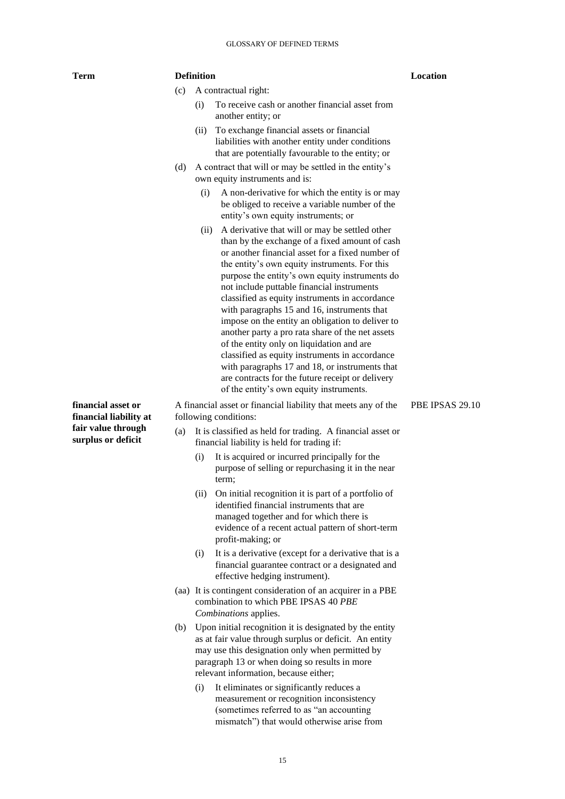| Term               | <b>Definition</b> |                                                                                                                                                                                                                                                                                                                                                                                                                                                                                                                                                                                                                                                                                                                                                                | Location        |
|--------------------|-------------------|----------------------------------------------------------------------------------------------------------------------------------------------------------------------------------------------------------------------------------------------------------------------------------------------------------------------------------------------------------------------------------------------------------------------------------------------------------------------------------------------------------------------------------------------------------------------------------------------------------------------------------------------------------------------------------------------------------------------------------------------------------------|-----------------|
|                    | (c)               | A contractual right:                                                                                                                                                                                                                                                                                                                                                                                                                                                                                                                                                                                                                                                                                                                                           |                 |
|                    | (i)               | To receive cash or another financial asset from<br>another entity; or                                                                                                                                                                                                                                                                                                                                                                                                                                                                                                                                                                                                                                                                                          |                 |
|                    | (ii)              | To exchange financial assets or financial<br>liabilities with another entity under conditions<br>that are potentially favourable to the entity; or                                                                                                                                                                                                                                                                                                                                                                                                                                                                                                                                                                                                             |                 |
|                    | (d)               | A contract that will or may be settled in the entity's<br>own equity instruments and is:                                                                                                                                                                                                                                                                                                                                                                                                                                                                                                                                                                                                                                                                       |                 |
|                    | (i)               | A non-derivative for which the entity is or may<br>be obliged to receive a variable number of the<br>entity's own equity instruments; or                                                                                                                                                                                                                                                                                                                                                                                                                                                                                                                                                                                                                       |                 |
|                    | (ii)              | A derivative that will or may be settled other<br>than by the exchange of a fixed amount of cash<br>or another financial asset for a fixed number of<br>the entity's own equity instruments. For this<br>purpose the entity's own equity instruments do<br>not include puttable financial instruments<br>classified as equity instruments in accordance<br>with paragraphs 15 and 16, instruments that<br>impose on the entity an obligation to deliver to<br>another party a pro rata share of the net assets<br>of the entity only on liquidation and are<br>classified as equity instruments in accordance<br>with paragraphs 17 and 18, or instruments that<br>are contracts for the future receipt or delivery<br>of the entity's own equity instruments. |                 |
| financial asset or |                   | A financial asset or financial liability that meets any of the                                                                                                                                                                                                                                                                                                                                                                                                                                                                                                                                                                                                                                                                                                 | PBE IPSAS 29.10 |

A financial asset or financial liability that meets any of the following conditions:

- (a) It is classified as held for trading. A financial asset or financial liability is held for trading if:
	- (i) It is acquired or incurred principally for the purpose of selling or repurchasing it in the near term;
	- (ii) On initial recognition it is part of a portfolio of identified financial instruments that are managed together and for which there is evidence of a recent actual pattern of short-term profit-making; or
	- (i) It is a derivative (except for a derivative that is a financial guarantee contract or a designated and effective hedging instrument).
- (aa) It is contingent consideration of an acquirer in a PBE combination to which PBE IPSAS 40 *PBE Combinations* applies.
- (b) Upon initial recognition it is designated by the entity as at fair value through surplus or deficit. An entity may use this designation only when permitted by paragraph 13 or when doing so results in more relevant information, because either;
	- (i) It eliminates or significantly reduces a measurement or recognition inconsistency (sometimes referred to as "an accounting mismatch") that would otherwise arise from

**financial asset or financial liability at fair value through surplus or deficit**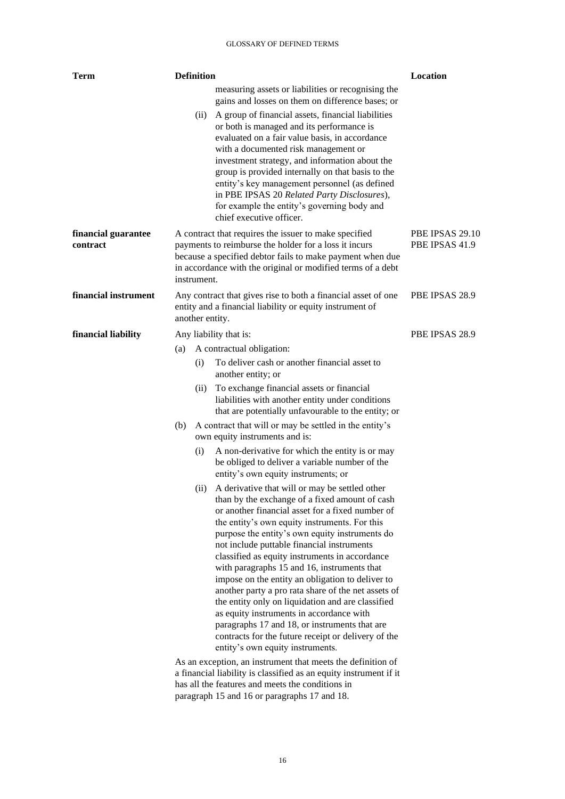| Term                            | <b>Definition</b> |                 |                                                                                                                                                                                                                                                                                                                                                                                                                                                                                                                                                                                                                                                                                                                                                                | Location                          |
|---------------------------------|-------------------|-----------------|----------------------------------------------------------------------------------------------------------------------------------------------------------------------------------------------------------------------------------------------------------------------------------------------------------------------------------------------------------------------------------------------------------------------------------------------------------------------------------------------------------------------------------------------------------------------------------------------------------------------------------------------------------------------------------------------------------------------------------------------------------------|-----------------------------------|
|                                 |                   | (ii)            | measuring assets or liabilities or recognising the<br>gains and losses on them on difference bases; or<br>A group of financial assets, financial liabilities<br>or both is managed and its performance is<br>evaluated on a fair value basis, in accordance<br>with a documented risk management or<br>investment strategy, and information about the<br>group is provided internally on that basis to the<br>entity's key management personnel (as defined<br>in PBE IPSAS 20 Related Party Disclosures),<br>for example the entity's governing body and<br>chief executive officer.                                                                                                                                                                          |                                   |
| financial guarantee<br>contract |                   | instrument.     | A contract that requires the issuer to make specified<br>payments to reimburse the holder for a loss it incurs<br>because a specified debtor fails to make payment when due<br>in accordance with the original or modified terms of a debt                                                                                                                                                                                                                                                                                                                                                                                                                                                                                                                     | PBE IPSAS 29.10<br>PBE IPSAS 41.9 |
| financial instrument            |                   | another entity. | Any contract that gives rise to both a financial asset of one<br>entity and a financial liability or equity instrument of                                                                                                                                                                                                                                                                                                                                                                                                                                                                                                                                                                                                                                      | PBE IPSAS 28.9                    |
| financial liability             |                   |                 | Any liability that is:                                                                                                                                                                                                                                                                                                                                                                                                                                                                                                                                                                                                                                                                                                                                         | PBE IPSAS 28.9                    |
|                                 | (a)               |                 | A contractual obligation:                                                                                                                                                                                                                                                                                                                                                                                                                                                                                                                                                                                                                                                                                                                                      |                                   |
|                                 |                   | (i)             | To deliver cash or another financial asset to<br>another entity; or                                                                                                                                                                                                                                                                                                                                                                                                                                                                                                                                                                                                                                                                                            |                                   |
|                                 |                   | (ii)            | To exchange financial assets or financial<br>liabilities with another entity under conditions<br>that are potentially unfavourable to the entity; or                                                                                                                                                                                                                                                                                                                                                                                                                                                                                                                                                                                                           |                                   |
|                                 | (b)               |                 | A contract that will or may be settled in the entity's<br>own equity instruments and is:                                                                                                                                                                                                                                                                                                                                                                                                                                                                                                                                                                                                                                                                       |                                   |
|                                 |                   | (i)             | A non-derivative for which the entity is or may<br>be obliged to deliver a variable number of the<br>entity's own equity instruments; or                                                                                                                                                                                                                                                                                                                                                                                                                                                                                                                                                                                                                       |                                   |
|                                 |                   | (ii)            | A derivative that will or may be settled other<br>than by the exchange of a fixed amount of cash<br>or another financial asset for a fixed number of<br>the entity's own equity instruments. For this<br>purpose the entity's own equity instruments do<br>not include puttable financial instruments<br>classified as equity instruments in accordance<br>with paragraphs 15 and 16, instruments that<br>impose on the entity an obligation to deliver to<br>another party a pro rata share of the net assets of<br>the entity only on liquidation and are classified<br>as equity instruments in accordance with<br>paragraphs 17 and 18, or instruments that are<br>contracts for the future receipt or delivery of the<br>entity's own equity instruments. |                                   |
|                                 |                   |                 | As an exception, an instrument that meets the definition of<br>a financial liability is classified as an equity instrument if it<br>has all the features and meets the conditions in                                                                                                                                                                                                                                                                                                                                                                                                                                                                                                                                                                           |                                   |

paragraph 15 and 16 or paragraphs 17 and 18.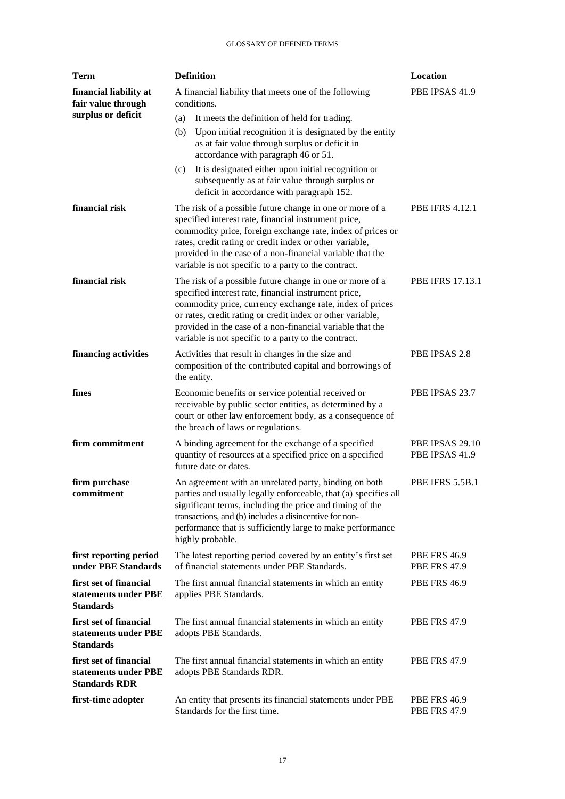| Term                                                                   | <b>Definition</b>                                                                                                                                                                                                                                                                                                                                               | Location                                   |
|------------------------------------------------------------------------|-----------------------------------------------------------------------------------------------------------------------------------------------------------------------------------------------------------------------------------------------------------------------------------------------------------------------------------------------------------------|--------------------------------------------|
| financial liability at<br>fair value through                           | A financial liability that meets one of the following<br>conditions.                                                                                                                                                                                                                                                                                            | PBE IPSAS 41.9                             |
| surplus or deficit                                                     | It meets the definition of held for trading.<br>(a)                                                                                                                                                                                                                                                                                                             |                                            |
|                                                                        | Upon initial recognition it is designated by the entity<br>(b)<br>as at fair value through surplus or deficit in<br>accordance with paragraph 46 or 51.                                                                                                                                                                                                         |                                            |
|                                                                        | It is designated either upon initial recognition or<br>(c)<br>subsequently as at fair value through surplus or<br>deficit in accordance with paragraph 152.                                                                                                                                                                                                     |                                            |
| financial risk                                                         | The risk of a possible future change in one or more of a<br>specified interest rate, financial instrument price,<br>commodity price, foreign exchange rate, index of prices or<br>rates, credit rating or credit index or other variable,<br>provided in the case of a non-financial variable that the<br>variable is not specific to a party to the contract.  | <b>PBE IFRS 4.12.1</b>                     |
| financial risk                                                         | The risk of a possible future change in one or more of a<br>specified interest rate, financial instrument price,<br>commodity price, currency exchange rate, index of prices<br>or rates, credit rating or credit index or other variable,<br>provided in the case of a non-financial variable that the<br>variable is not specific to a party to the contract. | <b>PBE IFRS 17.13.1</b>                    |
| financing activities                                                   | Activities that result in changes in the size and<br>composition of the contributed capital and borrowings of<br>the entity.                                                                                                                                                                                                                                    | PBE IPSAS 2.8                              |
| fines                                                                  | Economic benefits or service potential received or<br>receivable by public sector entities, as determined by a<br>court or other law enforcement body, as a consequence of<br>the breach of laws or regulations.                                                                                                                                                | PBE IPSAS 23.7                             |
| firm commitment                                                        | A binding agreement for the exchange of a specified<br>quantity of resources at a specified price on a specified<br>future date or dates.                                                                                                                                                                                                                       | <b>PBE IPSAS 29.10</b><br>PBE IPSAS 41.9   |
| firm purchase<br>commitment                                            | An agreement with an unrelated party, binding on both<br>parties and usually legally enforceable, that (a) specifies all<br>significant terms, including the price and timing of the<br>transactions, and (b) includes a disincentive for non-<br>performance that is sufficiently large to make performance<br>highly probable.                                | <b>PBE IFRS 5.5B.1</b>                     |
| first reporting period<br>under PBE Standards                          | The latest reporting period covered by an entity's first set<br>of financial statements under PBE Standards.                                                                                                                                                                                                                                                    | <b>PBE FRS 46.9</b><br><b>PBE FRS 47.9</b> |
| first set of financial<br>statements under PBE<br><b>Standards</b>     | The first annual financial statements in which an entity<br>applies PBE Standards.                                                                                                                                                                                                                                                                              | <b>PBE FRS 46.9</b>                        |
| first set of financial<br>statements under PBE<br><b>Standards</b>     | The first annual financial statements in which an entity<br>adopts PBE Standards.                                                                                                                                                                                                                                                                               | <b>PBE FRS 47.9</b>                        |
| first set of financial<br>statements under PBE<br><b>Standards RDR</b> | The first annual financial statements in which an entity<br>adopts PBE Standards RDR.                                                                                                                                                                                                                                                                           | <b>PBE FRS 47.9</b>                        |
| first-time adopter                                                     | An entity that presents its financial statements under PBE<br>Standards for the first time.                                                                                                                                                                                                                                                                     | <b>PBE FRS 46.9</b><br><b>PBE FRS 47.9</b> |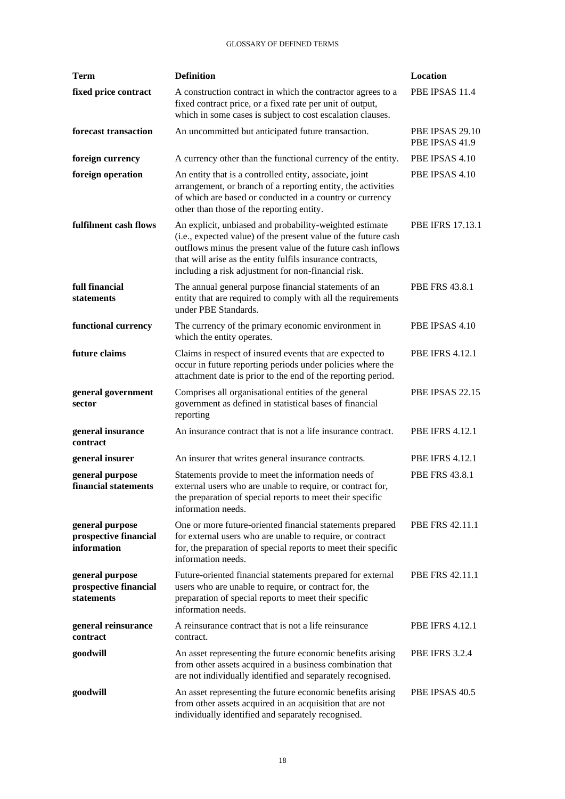| <b>Term</b>                                             | <b>Definition</b>                                                                                                                                                                                                                                                                                             | Location                          |
|---------------------------------------------------------|---------------------------------------------------------------------------------------------------------------------------------------------------------------------------------------------------------------------------------------------------------------------------------------------------------------|-----------------------------------|
| fixed price contract                                    | A construction contract in which the contractor agrees to a<br>fixed contract price, or a fixed rate per unit of output,<br>which in some cases is subject to cost escalation clauses.                                                                                                                        | PBE IPSAS 11.4                    |
| forecast transaction                                    | An uncommitted but anticipated future transaction.                                                                                                                                                                                                                                                            | PBE IPSAS 29.10<br>PBE IPSAS 41.9 |
| foreign currency                                        | A currency other than the functional currency of the entity.                                                                                                                                                                                                                                                  | PBE IPSAS 4.10                    |
| foreign operation                                       | An entity that is a controlled entity, associate, joint<br>arrangement, or branch of a reporting entity, the activities<br>of which are based or conducted in a country or currency<br>other than those of the reporting entity.                                                                              | PBE IPSAS 4.10                    |
| fulfilment cash flows                                   | An explicit, unbiased and probability-weighted estimate<br>(i.e., expected value) of the present value of the future cash<br>outflows minus the present value of the future cash inflows<br>that will arise as the entity fulfils insurance contracts,<br>including a risk adjustment for non-financial risk. | <b>PBE IFRS 17.13.1</b>           |
| full financial<br>statements                            | The annual general purpose financial statements of an<br>entity that are required to comply with all the requirements<br>under PBE Standards.                                                                                                                                                                 | <b>PBE FRS 43.8.1</b>             |
| functional currency                                     | The currency of the primary economic environment in<br>which the entity operates.                                                                                                                                                                                                                             | PBE IPSAS 4.10                    |
| future claims                                           | Claims in respect of insured events that are expected to<br>occur in future reporting periods under policies where the<br>attachment date is prior to the end of the reporting period.                                                                                                                        | <b>PBE IFRS 4.12.1</b>            |
| general government<br>sector                            | Comprises all organisational entities of the general<br>government as defined in statistical bases of financial<br>reporting                                                                                                                                                                                  | <b>PBE IPSAS 22.15</b>            |
| general insurance<br>contract                           | An insurance contract that is not a life insurance contract.                                                                                                                                                                                                                                                  | <b>PBE IFRS 4.12.1</b>            |
| general insurer                                         | An insurer that writes general insurance contracts.                                                                                                                                                                                                                                                           | <b>PBE IFRS 4.12.1</b>            |
| general purpose<br>financial statements                 | Statements provide to meet the information needs of<br>external users who are unable to require, or contract for,<br>the preparation of special reports to meet their specific<br>information needs.                                                                                                          | <b>PBE FRS 43.8.1</b>             |
| general purpose<br>prospective financial<br>information | One or more future-oriented financial statements prepared<br>for external users who are unable to require, or contract<br>for, the preparation of special reports to meet their specific<br>information needs.                                                                                                | PBE FRS 42.11.1                   |
| general purpose<br>prospective financial<br>statements  | Future-oriented financial statements prepared for external<br>users who are unable to require, or contract for, the<br>preparation of special reports to meet their specific<br>information needs.                                                                                                            | PBE FRS 42.11.1                   |
| general reinsurance<br>contract                         | A reinsurance contract that is not a life reinsurance<br>contract.                                                                                                                                                                                                                                            | PBE IFRS 4.12.1                   |
| goodwill                                                | An asset representing the future economic benefits arising<br>from other assets acquired in a business combination that<br>are not individually identified and separately recognised.                                                                                                                         | <b>PBE IFRS 3.2.4</b>             |
| goodwill                                                | An asset representing the future economic benefits arising<br>from other assets acquired in an acquisition that are not<br>individually identified and separately recognised.                                                                                                                                 | PBE IPSAS 40.5                    |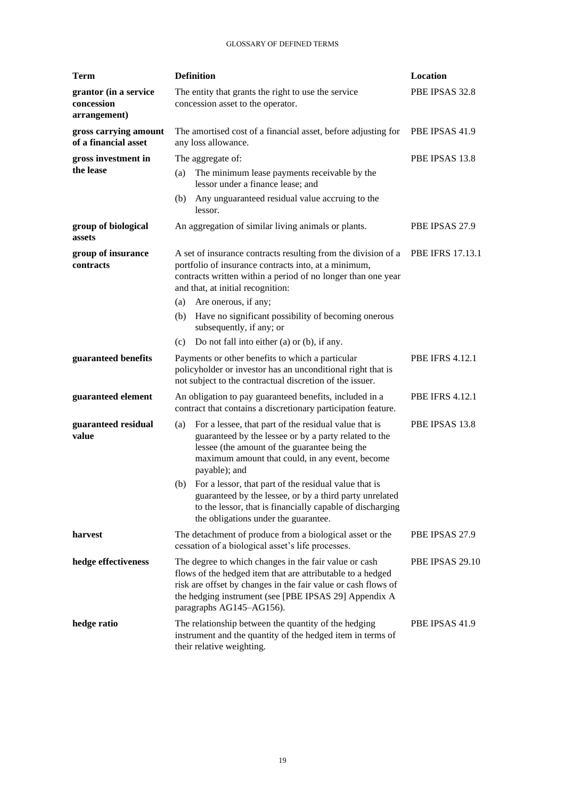| Term                                                |     | <b>Definition</b>                                                                                                                                                                                                                                                         | Location                |
|-----------------------------------------------------|-----|---------------------------------------------------------------------------------------------------------------------------------------------------------------------------------------------------------------------------------------------------------------------------|-------------------------|
| grantor (in a service<br>concession<br>arrangement) |     | The entity that grants the right to use the service<br>concession asset to the operator.                                                                                                                                                                                  | PBE IPSAS 32.8          |
| gross carrying amount<br>of a financial asset       |     | The amortised cost of a financial asset, before adjusting for<br>any loss allowance.                                                                                                                                                                                      | PBE IPSAS 41.9          |
| gross investment in                                 |     | The aggregate of:                                                                                                                                                                                                                                                         | PBE IPSAS 13.8          |
| the lease                                           | (a) | The minimum lease payments receivable by the<br>lessor under a finance lease; and                                                                                                                                                                                         |                         |
|                                                     | (b) | Any unguaranteed residual value accruing to the<br>lessor.                                                                                                                                                                                                                |                         |
| group of biological<br>assets                       |     | An aggregation of similar living animals or plants.                                                                                                                                                                                                                       | PBE IPSAS 27.9          |
| group of insurance<br>contracts                     |     | A set of insurance contracts resulting from the division of a<br>portfolio of insurance contracts into, at a minimum,<br>contracts written within a period of no longer than one year<br>and that, at initial recognition:                                                | <b>PBE IFRS 17.13.1</b> |
|                                                     | (a) | Are onerous, if any;                                                                                                                                                                                                                                                      |                         |
|                                                     |     | (b) Have no significant possibility of becoming onerous<br>subsequently, if any; or                                                                                                                                                                                       |                         |
|                                                     | (c) | Do not fall into either (a) or (b), if any.                                                                                                                                                                                                                               |                         |
| guaranteed benefits                                 |     | Payments or other benefits to which a particular<br>policyholder or investor has an unconditional right that is<br>not subject to the contractual discretion of the issuer.                                                                                               | <b>PBE IFRS 4.12.1</b>  |
| guaranteed element                                  |     | An obligation to pay guaranteed benefits, included in a<br>contract that contains a discretionary participation feature.                                                                                                                                                  | <b>PBE IFRS 4.12.1</b>  |
| guaranteed residual<br>value                        | (a) | For a lessee, that part of the residual value that is<br>guaranteed by the lessee or by a party related to the<br>lessee (the amount of the guarantee being the<br>maximum amount that could, in any event, become<br>payable); and                                       | PBE IPSAS 13.8          |
|                                                     |     | (b) For a lessor, that part of the residual value that is<br>guaranteed by the lessee, or by a third party unrelated<br>to the lessor, that is financially capable of discharging<br>the obligations under the guarantee.                                                 |                         |
| harvest                                             |     | The detachment of produce from a biological asset or the<br>cessation of a biological asset's life processes.                                                                                                                                                             | PBE IPSAS 27.9          |
| hedge effectiveness                                 |     | The degree to which changes in the fair value or cash<br>flows of the hedged item that are attributable to a hedged<br>risk are offset by changes in the fair value or cash flows of<br>the hedging instrument (see [PBE IPSAS 29] Appendix A<br>paragraphs AG145-AG156). | PBE IPSAS 29.10         |
| hedge ratio                                         |     | The relationship between the quantity of the hedging<br>instrument and the quantity of the hedged item in terms of<br>their relative weighting.                                                                                                                           | PBE IPSAS 41.9          |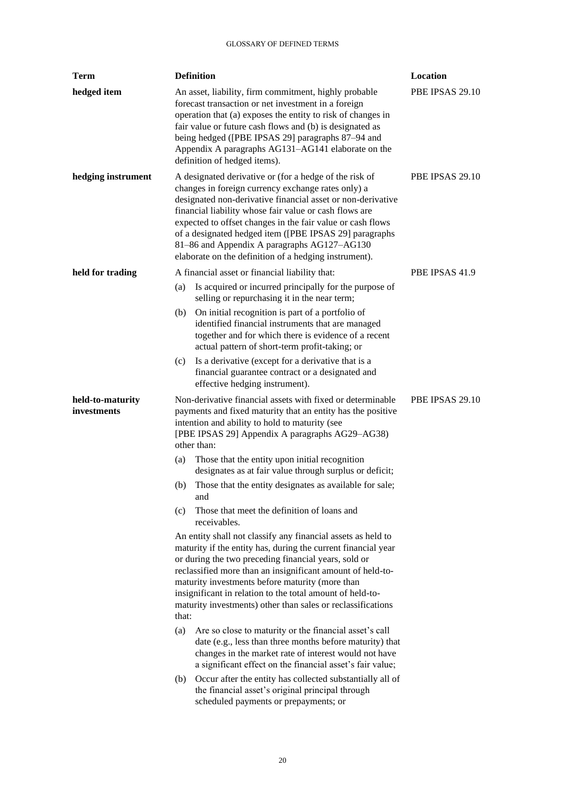| Term                            |       | <b>Definition</b>                                                                                                                                                                                                                                                                                                                                                                                                                                                     | Location        |  |  |
|---------------------------------|-------|-----------------------------------------------------------------------------------------------------------------------------------------------------------------------------------------------------------------------------------------------------------------------------------------------------------------------------------------------------------------------------------------------------------------------------------------------------------------------|-----------------|--|--|
| hedged item                     |       | An asset, liability, firm commitment, highly probable<br>forecast transaction or net investment in a foreign<br>operation that (a) exposes the entity to risk of changes in<br>fair value or future cash flows and (b) is designated as<br>being hedged ([PBE IPSAS 29] paragraphs 87-94 and<br>Appendix A paragraphs AG131-AG141 elaborate on the<br>definition of hedged items).                                                                                    | PBE IPSAS 29.10 |  |  |
| hedging instrument              |       | A designated derivative or (for a hedge of the risk of<br>changes in foreign currency exchange rates only) a<br>designated non-derivative financial asset or non-derivative<br>financial liability whose fair value or cash flows are<br>expected to offset changes in the fair value or cash flows<br>of a designated hedged item ([PBE IPSAS 29] paragraphs<br>81-86 and Appendix A paragraphs AG127-AG130<br>elaborate on the definition of a hedging instrument). | PBE IPSAS 29.10 |  |  |
| held for trading                |       | A financial asset or financial liability that:                                                                                                                                                                                                                                                                                                                                                                                                                        | PBE IPSAS 41.9  |  |  |
|                                 | (a)   | Is acquired or incurred principally for the purpose of<br>selling or repurchasing it in the near term;                                                                                                                                                                                                                                                                                                                                                                |                 |  |  |
|                                 | (b)   | On initial recognition is part of a portfolio of<br>identified financial instruments that are managed<br>together and for which there is evidence of a recent<br>actual pattern of short-term profit-taking; or                                                                                                                                                                                                                                                       |                 |  |  |
|                                 | (c)   | Is a derivative (except for a derivative that is a<br>financial guarantee contract or a designated and<br>effective hedging instrument).                                                                                                                                                                                                                                                                                                                              |                 |  |  |
| held-to-maturity<br>investments |       | Non-derivative financial assets with fixed or determinable<br>PBE IPSAS 29.10<br>payments and fixed maturity that an entity has the positive<br>intention and ability to hold to maturity (see<br>[PBE IPSAS 29] Appendix A paragraphs AG29-AG38)<br>other than:                                                                                                                                                                                                      |                 |  |  |
|                                 | (a)   | Those that the entity upon initial recognition<br>designates as at fair value through surplus or deficit;                                                                                                                                                                                                                                                                                                                                                             |                 |  |  |
|                                 | (b)   | Those that the entity designates as available for sale;<br>and                                                                                                                                                                                                                                                                                                                                                                                                        |                 |  |  |
|                                 | (c)   | Those that meet the definition of loans and<br>receivables.                                                                                                                                                                                                                                                                                                                                                                                                           |                 |  |  |
|                                 | that: | An entity shall not classify any financial assets as held to<br>maturity if the entity has, during the current financial year<br>or during the two preceding financial years, sold or<br>reclassified more than an insignificant amount of held-to-<br>maturity investments before maturity (more than<br>insignificant in relation to the total amount of held-to-<br>maturity investments) other than sales or reclassifications                                    |                 |  |  |
|                                 | (a)   | Are so close to maturity or the financial asset's call<br>date (e.g., less than three months before maturity) that<br>changes in the market rate of interest would not have<br>a significant effect on the financial asset's fair value;                                                                                                                                                                                                                              |                 |  |  |
|                                 | (b)   | Occur after the entity has collected substantially all of<br>the financial asset's original principal through<br>scheduled payments or prepayments; or                                                                                                                                                                                                                                                                                                                |                 |  |  |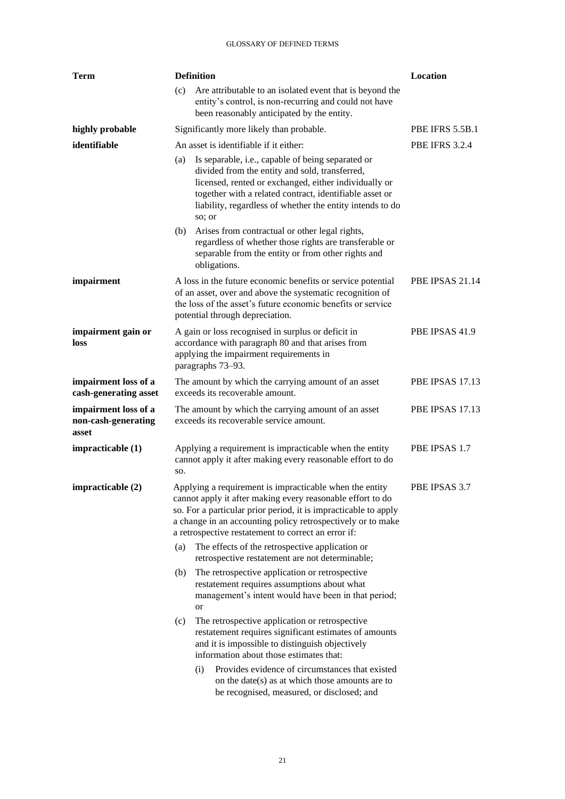| <b>Term</b>                                          |     | <b>Definition</b>                                                                                                                                                                                                                                                                                              | Location               |
|------------------------------------------------------|-----|----------------------------------------------------------------------------------------------------------------------------------------------------------------------------------------------------------------------------------------------------------------------------------------------------------------|------------------------|
|                                                      | (c) | Are attributable to an isolated event that is beyond the<br>entity's control, is non-recurring and could not have<br>been reasonably anticipated by the entity.                                                                                                                                                |                        |
| highly probable                                      |     | Significantly more likely than probable.                                                                                                                                                                                                                                                                       | <b>PBE IFRS 5.5B.1</b> |
| identifiable                                         |     | An asset is identifiable if it either:                                                                                                                                                                                                                                                                         | <b>PBE IFRS 3.2.4</b>  |
|                                                      | (a) | Is separable, i.e., capable of being separated or<br>divided from the entity and sold, transferred,<br>licensed, rented or exchanged, either individually or<br>together with a related contract, identifiable asset or<br>liability, regardless of whether the entity intends to do<br>so; or                 |                        |
|                                                      | (b) | Arises from contractual or other legal rights,<br>regardless of whether those rights are transferable or<br>separable from the entity or from other rights and<br>obligations.                                                                                                                                 |                        |
| impairment                                           |     | A loss in the future economic benefits or service potential<br>of an asset, over and above the systematic recognition of<br>the loss of the asset's future economic benefits or service<br>potential through depreciation.                                                                                     | PBE IPSAS 21.14        |
| impairment gain or<br>loss                           |     | A gain or loss recognised in surplus or deficit in<br>accordance with paragraph 80 and that arises from<br>applying the impairment requirements in<br>paragraphs 73-93.                                                                                                                                        | PBE IPSAS 41.9         |
| impairment loss of a<br>cash-generating asset        |     | The amount by which the carrying amount of an asset<br>exceeds its recoverable amount.                                                                                                                                                                                                                         | PBE IPSAS 17.13        |
| impairment loss of a<br>non-cash-generating<br>asset |     | The amount by which the carrying amount of an asset<br>exceeds its recoverable service amount.                                                                                                                                                                                                                 | PBE IPSAS 17.13        |
| impracticable (1)                                    | SO. | Applying a requirement is impracticable when the entity<br>cannot apply it after making every reasonable effort to do                                                                                                                                                                                          | PBE IPSAS 1.7          |
| impracticable (2)                                    |     | Applying a requirement is impracticable when the entity<br>cannot apply it after making every reasonable effort to do<br>so. For a particular prior period, it is impracticable to apply<br>a change in an accounting policy retrospectively or to make<br>a retrospective restatement to correct an error if: | PBE IPSAS 3.7          |
|                                                      | (a) | The effects of the retrospective application or<br>retrospective restatement are not determinable;                                                                                                                                                                                                             |                        |
|                                                      | (b) | The retrospective application or retrospective<br>restatement requires assumptions about what<br>management's intent would have been in that period;<br><b>or</b>                                                                                                                                              |                        |
|                                                      | (c) | The retrospective application or retrospective<br>restatement requires significant estimates of amounts<br>and it is impossible to distinguish objectively<br>information about those estimates that:                                                                                                          |                        |
|                                                      |     | Provides evidence of circumstances that existed<br>(i)<br>on the date(s) as at which those amounts are to<br>be recognised, measured, or disclosed; and                                                                                                                                                        |                        |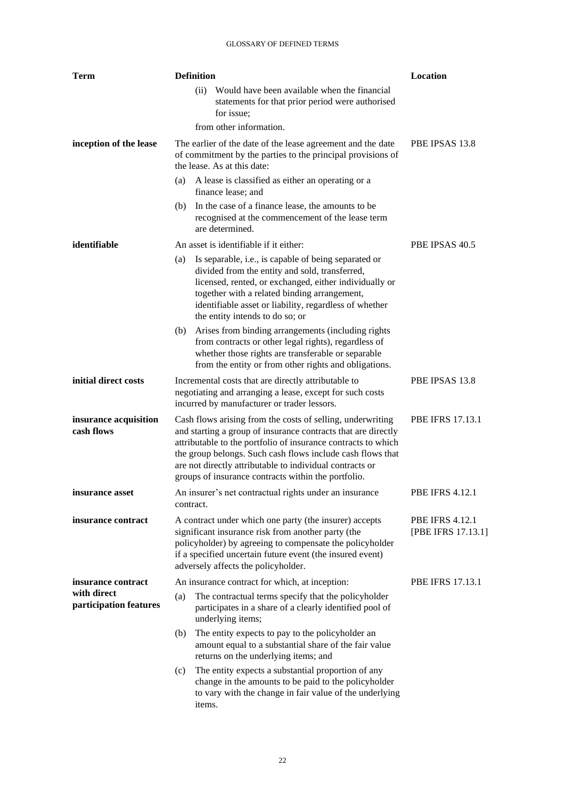| <b>Term</b>                           | <b>Definition</b>                                                                                                                                                                                                                                                                                                                                                             | Location                                     |
|---------------------------------------|-------------------------------------------------------------------------------------------------------------------------------------------------------------------------------------------------------------------------------------------------------------------------------------------------------------------------------------------------------------------------------|----------------------------------------------|
|                                       | Would have been available when the financial<br>(ii)<br>statements for that prior period were authorised<br>for issue;<br>from other information.                                                                                                                                                                                                                             |                                              |
| inception of the lease                | The earlier of the date of the lease agreement and the date<br>of commitment by the parties to the principal provisions of<br>the lease. As at this date:                                                                                                                                                                                                                     | PBE IPSAS 13.8                               |
|                                       | A lease is classified as either an operating or a<br>(a)<br>finance lease; and                                                                                                                                                                                                                                                                                                |                                              |
|                                       | In the case of a finance lease, the amounts to be<br>(b)<br>recognised at the commencement of the lease term<br>are determined.                                                                                                                                                                                                                                               |                                              |
| identifiable                          | An asset is identifiable if it either:                                                                                                                                                                                                                                                                                                                                        | PBE IPSAS 40.5                               |
|                                       | Is separable, i.e., is capable of being separated or<br>(a)<br>divided from the entity and sold, transferred,<br>licensed, rented, or exchanged, either individually or<br>together with a related binding arrangement,<br>identifiable asset or liability, regardless of whether<br>the entity intends to do so; or                                                          |                                              |
|                                       | Arises from binding arrangements (including rights<br>(b)<br>from contracts or other legal rights), regardless of<br>whether those rights are transferable or separable<br>from the entity or from other rights and obligations.                                                                                                                                              |                                              |
| initial direct costs                  | Incremental costs that are directly attributable to<br>negotiating and arranging a lease, except for such costs<br>incurred by manufacturer or trader lessors.                                                                                                                                                                                                                | PBE IPSAS 13.8                               |
| insurance acquisition<br>cash flows   | Cash flows arising from the costs of selling, underwriting<br>and starting a group of insurance contracts that are directly<br>attributable to the portfolio of insurance contracts to which<br>the group belongs. Such cash flows include cash flows that<br>are not directly attributable to individual contracts or<br>groups of insurance contracts within the portfolio. | PBE IFRS 17.13.1                             |
| insurance asset                       | An insurer's net contractual rights under an insurance<br>contract.                                                                                                                                                                                                                                                                                                           | <b>PBE IFRS 4.12.1</b>                       |
| insurance contract                    | A contract under which one party (the insurer) accepts<br>significant insurance risk from another party (the<br>policyholder) by agreeing to compensate the policyholder<br>if a specified uncertain future event (the insured event)<br>adversely affects the policyholder.                                                                                                  | <b>PBE IFRS 4.12.1</b><br>[PBE IFRS 17.13.1] |
| insurance contract                    | An insurance contract for which, at inception:                                                                                                                                                                                                                                                                                                                                | <b>PBE IFRS 17.13.1</b>                      |
| with direct<br>participation features | The contractual terms specify that the policyholder<br>(a)<br>participates in a share of a clearly identified pool of<br>underlying items;                                                                                                                                                                                                                                    |                                              |
|                                       | The entity expects to pay to the policyholder an<br>(b)<br>amount equal to a substantial share of the fair value<br>returns on the underlying items; and                                                                                                                                                                                                                      |                                              |
|                                       | The entity expects a substantial proportion of any<br>(c)<br>change in the amounts to be paid to the policyholder<br>to vary with the change in fair value of the underlying<br>items.                                                                                                                                                                                        |                                              |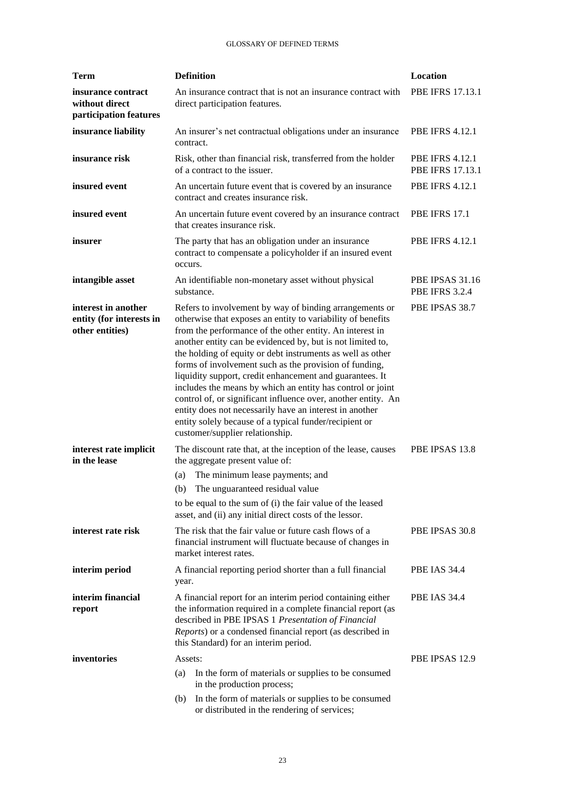| Term                                                               | <b>Definition</b>                                                                                                                                                                                                                                                                                                                                                                                                                                                                                                                                                                                                                                                                                                           | Location                                          |
|--------------------------------------------------------------------|-----------------------------------------------------------------------------------------------------------------------------------------------------------------------------------------------------------------------------------------------------------------------------------------------------------------------------------------------------------------------------------------------------------------------------------------------------------------------------------------------------------------------------------------------------------------------------------------------------------------------------------------------------------------------------------------------------------------------------|---------------------------------------------------|
| insurance contract<br>without direct<br>participation features     | An insurance contract that is not an insurance contract with<br>direct participation features.                                                                                                                                                                                                                                                                                                                                                                                                                                                                                                                                                                                                                              | <b>PBE IFRS 17.13.1</b>                           |
| insurance liability                                                | An insurer's net contractual obligations under an insurance<br>contract.                                                                                                                                                                                                                                                                                                                                                                                                                                                                                                                                                                                                                                                    | <b>PBE IFRS 4.12.1</b>                            |
| insurance risk                                                     | Risk, other than financial risk, transferred from the holder<br>of a contract to the issuer.                                                                                                                                                                                                                                                                                                                                                                                                                                                                                                                                                                                                                                | <b>PBE IFRS 4.12.1</b><br><b>PBE IFRS 17.13.1</b> |
| insured event                                                      | An uncertain future event that is covered by an insurance<br>contract and creates insurance risk.                                                                                                                                                                                                                                                                                                                                                                                                                                                                                                                                                                                                                           | <b>PBE IFRS 4.12.1</b>                            |
| insured event                                                      | An uncertain future event covered by an insurance contract<br>that creates insurance risk.                                                                                                                                                                                                                                                                                                                                                                                                                                                                                                                                                                                                                                  | <b>PBE IFRS 17.1</b>                              |
| insurer                                                            | The party that has an obligation under an insurance<br>contract to compensate a policyholder if an insured event<br>occurs.                                                                                                                                                                                                                                                                                                                                                                                                                                                                                                                                                                                                 | <b>PBE IFRS 4.12.1</b>                            |
| intangible asset                                                   | An identifiable non-monetary asset without physical<br>substance.                                                                                                                                                                                                                                                                                                                                                                                                                                                                                                                                                                                                                                                           | <b>PBE IPSAS 31.16</b><br><b>PBE IFRS 3.2.4</b>   |
| interest in another<br>entity (for interests in<br>other entities) | Refers to involvement by way of binding arrangements or<br>otherwise that exposes an entity to variability of benefits<br>from the performance of the other entity. An interest in<br>another entity can be evidenced by, but is not limited to,<br>the holding of equity or debt instruments as well as other<br>forms of involvement such as the provision of funding,<br>liquidity support, credit enhancement and guarantees. It<br>includes the means by which an entity has control or joint<br>control of, or significant influence over, another entity. An<br>entity does not necessarily have an interest in another<br>entity solely because of a typical funder/recipient or<br>customer/supplier relationship. | PBE IPSAS 38.7                                    |
| interest rate implicit<br>in the lease                             | The discount rate that, at the inception of the lease, causes<br>the aggregate present value of:<br>The minimum lease payments; and<br>(a)<br>The unguaranteed residual value<br>(b)<br>to be equal to the sum of (i) the fair value of the leased<br>asset, and (ii) any initial direct costs of the lessor.                                                                                                                                                                                                                                                                                                                                                                                                               | PBE IPSAS 13.8                                    |
| interest rate risk                                                 | The risk that the fair value or future cash flows of a<br>financial instrument will fluctuate because of changes in<br>market interest rates.                                                                                                                                                                                                                                                                                                                                                                                                                                                                                                                                                                               | PBE IPSAS 30.8                                    |
| interim period                                                     | A financial reporting period shorter than a full financial<br>year.                                                                                                                                                                                                                                                                                                                                                                                                                                                                                                                                                                                                                                                         | <b>PBE IAS 34.4</b>                               |
| interim financial<br>report                                        | A financial report for an interim period containing either<br>the information required in a complete financial report (as<br>described in PBE IPSAS 1 Presentation of Financial<br>Reports) or a condensed financial report (as described in<br>this Standard) for an interim period.                                                                                                                                                                                                                                                                                                                                                                                                                                       | <b>PBE IAS 34.4</b>                               |
| inventories                                                        | Assets:<br>In the form of materials or supplies to be consumed<br>(a)<br>in the production process;<br>In the form of materials or supplies to be consumed<br>(b)<br>or distributed in the rendering of services;                                                                                                                                                                                                                                                                                                                                                                                                                                                                                                           | PBE IPSAS 12.9                                    |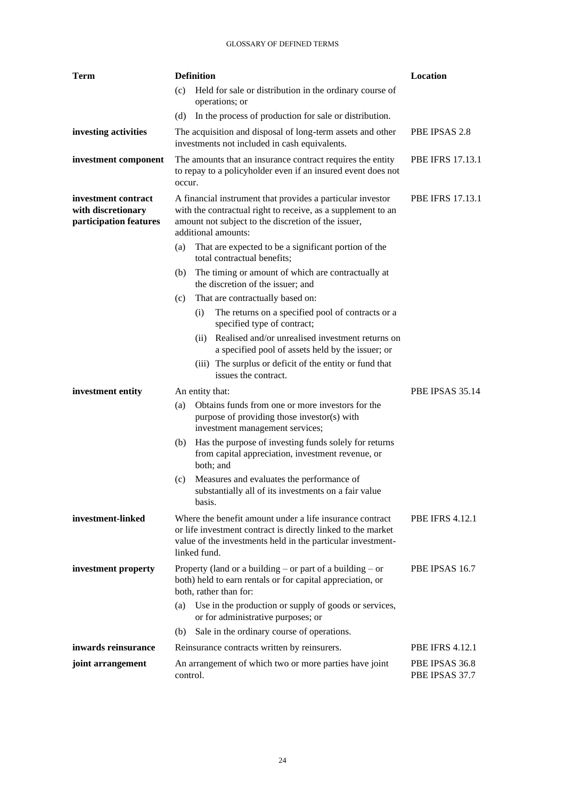| <b>Term</b>                                                         |          | <b>Definition</b>                                                                                                                                                                                        | Location                         |
|---------------------------------------------------------------------|----------|----------------------------------------------------------------------------------------------------------------------------------------------------------------------------------------------------------|----------------------------------|
|                                                                     | (c)      | Held for sale or distribution in the ordinary course of<br>operations; or                                                                                                                                |                                  |
|                                                                     | (d)      | In the process of production for sale or distribution.                                                                                                                                                   |                                  |
| investing activities                                                |          | The acquisition and disposal of long-term assets and other<br>investments not included in cash equivalents.                                                                                              | PBE IPSAS 2.8                    |
| investment component                                                | occur.   | The amounts that an insurance contract requires the entity<br>to repay to a policyholder even if an insured event does not                                                                               | <b>PBE IFRS 17.13.1</b>          |
| investment contract<br>with discretionary<br>participation features |          | A financial instrument that provides a particular investor<br>with the contractual right to receive, as a supplement to an<br>amount not subject to the discretion of the issuer,<br>additional amounts: | <b>PBE IFRS 17.13.1</b>          |
|                                                                     | (a)      | That are expected to be a significant portion of the<br>total contractual benefits;                                                                                                                      |                                  |
|                                                                     | (b)      | The timing or amount of which are contractually at<br>the discretion of the issuer; and                                                                                                                  |                                  |
|                                                                     | (c)      | That are contractually based on:                                                                                                                                                                         |                                  |
|                                                                     |          | The returns on a specified pool of contracts or a<br>(i)<br>specified type of contract;                                                                                                                  |                                  |
|                                                                     |          | Realised and/or unrealised investment returns on<br>(ii)<br>a specified pool of assets held by the issuer; or                                                                                            |                                  |
|                                                                     |          | (iii) The surplus or deficit of the entity or fund that<br>issues the contract.                                                                                                                          |                                  |
| investment entity                                                   |          | An entity that:                                                                                                                                                                                          | PBE IPSAS 35.14                  |
|                                                                     | (a)      | Obtains funds from one or more investors for the<br>purpose of providing those investor(s) with<br>investment management services;                                                                       |                                  |
|                                                                     | (b)      | Has the purpose of investing funds solely for returns<br>from capital appreciation, investment revenue, or<br>both; and                                                                                  |                                  |
|                                                                     | (c)      | Measures and evaluates the performance of<br>substantially all of its investments on a fair value<br>basis.                                                                                              |                                  |
| investment-linked                                                   |          | Where the benefit amount under a life insurance contract<br>or life investment contract is directly linked to the market<br>value of the investments held in the particular investment-<br>linked fund.  | <b>PBE IFRS 4.12.1</b>           |
| investment property                                                 |          | Property (land or a building $-$ or part of a building $-$ or<br>both) held to earn rentals or for capital appreciation, or<br>both, rather than for:                                                    | PBE IPSAS 16.7                   |
|                                                                     | (a)      | Use in the production or supply of goods or services,<br>or for administrative purposes; or                                                                                                              |                                  |
|                                                                     | (b)      | Sale in the ordinary course of operations.                                                                                                                                                               |                                  |
| inwards reinsurance                                                 |          | Reinsurance contracts written by reinsurers.                                                                                                                                                             | <b>PBE IFRS 4.12.1</b>           |
| joint arrangement                                                   | control. | An arrangement of which two or more parties have joint                                                                                                                                                   | PBE IPSAS 36.8<br>PBE IPSAS 37.7 |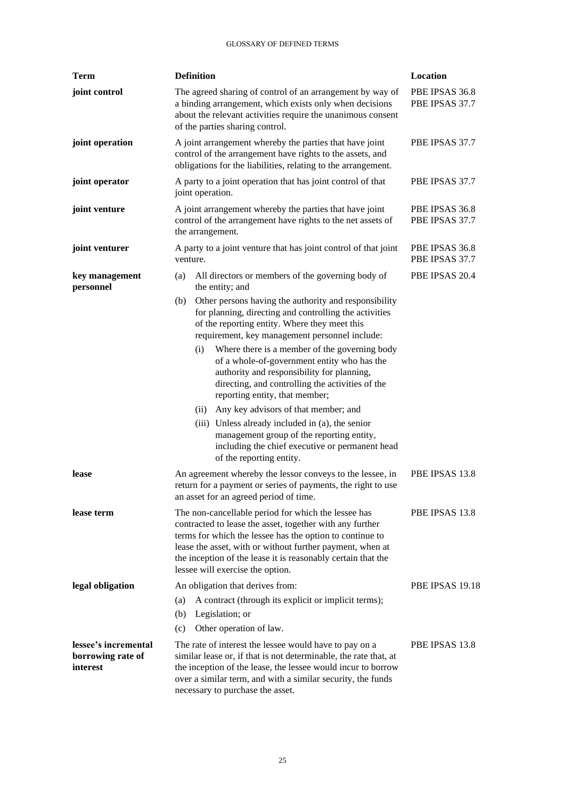| <b>Term</b>                                           | <b>Definition</b>                                                                                                                                                                                                                                                                                                                                                                                                                                                                                                                                                                                                                                                                                    | Location                         |
|-------------------------------------------------------|------------------------------------------------------------------------------------------------------------------------------------------------------------------------------------------------------------------------------------------------------------------------------------------------------------------------------------------------------------------------------------------------------------------------------------------------------------------------------------------------------------------------------------------------------------------------------------------------------------------------------------------------------------------------------------------------------|----------------------------------|
| joint control                                         | The agreed sharing of control of an arrangement by way of<br>a binding arrangement, which exists only when decisions<br>about the relevant activities require the unanimous consent<br>of the parties sharing control.                                                                                                                                                                                                                                                                                                                                                                                                                                                                               | PBE IPSAS 36.8<br>PBE IPSAS 37.7 |
| joint operation                                       | A joint arrangement whereby the parties that have joint<br>control of the arrangement have rights to the assets, and<br>obligations for the liabilities, relating to the arrangement.                                                                                                                                                                                                                                                                                                                                                                                                                                                                                                                | PBE IPSAS 37.7                   |
| joint operator                                        | A party to a joint operation that has joint control of that<br>joint operation.                                                                                                                                                                                                                                                                                                                                                                                                                                                                                                                                                                                                                      | PBE IPSAS 37.7                   |
| joint venture                                         | A joint arrangement whereby the parties that have joint<br>control of the arrangement have rights to the net assets of<br>the arrangement.                                                                                                                                                                                                                                                                                                                                                                                                                                                                                                                                                           | PBE IPSAS 36.8<br>PBE IPSAS 37.7 |
| joint venturer                                        | A party to a joint venture that has joint control of that joint<br>venture.                                                                                                                                                                                                                                                                                                                                                                                                                                                                                                                                                                                                                          | PBE IPSAS 36.8<br>PBE IPSAS 37.7 |
| key management<br>personnel                           | All directors or members of the governing body of<br>(a)<br>the entity; and                                                                                                                                                                                                                                                                                                                                                                                                                                                                                                                                                                                                                          | PBE IPSAS 20.4                   |
|                                                       | Other persons having the authority and responsibility<br>(b)<br>for planning, directing and controlling the activities<br>of the reporting entity. Where they meet this<br>requirement, key management personnel include:<br>Where there is a member of the governing body<br>(i)<br>of a whole-of-government entity who has the<br>authority and responsibility for planning,<br>directing, and controlling the activities of the<br>reporting entity, that member;<br>Any key advisors of that member; and<br>(ii)<br>(iii) Unless already included in (a), the senior<br>management group of the reporting entity,<br>including the chief executive or permanent head<br>of the reporting entity. |                                  |
| lease                                                 | An agreement whereby the lessor conveys to the lessee, in<br>return for a payment or series of payments, the right to use<br>an asset for an agreed period of time.                                                                                                                                                                                                                                                                                                                                                                                                                                                                                                                                  | PBE IPSAS 13.8                   |
| lease term                                            | The non-cancellable period for which the lessee has<br>contracted to lease the asset, together with any further<br>terms for which the lessee has the option to continue to<br>lease the asset, with or without further payment, when at<br>the inception of the lease it is reasonably certain that the<br>lessee will exercise the option.                                                                                                                                                                                                                                                                                                                                                         | PBE IPSAS 13.8                   |
| legal obligation                                      | An obligation that derives from:<br>A contract (through its explicit or implicit terms);<br>(a)<br>Legislation; or<br>(b)<br>Other operation of law.<br>(c)                                                                                                                                                                                                                                                                                                                                                                                                                                                                                                                                          | PBE IPSAS 19.18                  |
| lessee's incremental<br>borrowing rate of<br>interest | The rate of interest the lessee would have to pay on a<br>similar lease or, if that is not determinable, the rate that, at<br>the inception of the lease, the lessee would incur to borrow<br>over a similar term, and with a similar security, the funds<br>necessary to purchase the asset.                                                                                                                                                                                                                                                                                                                                                                                                        | PBE IPSAS 13.8                   |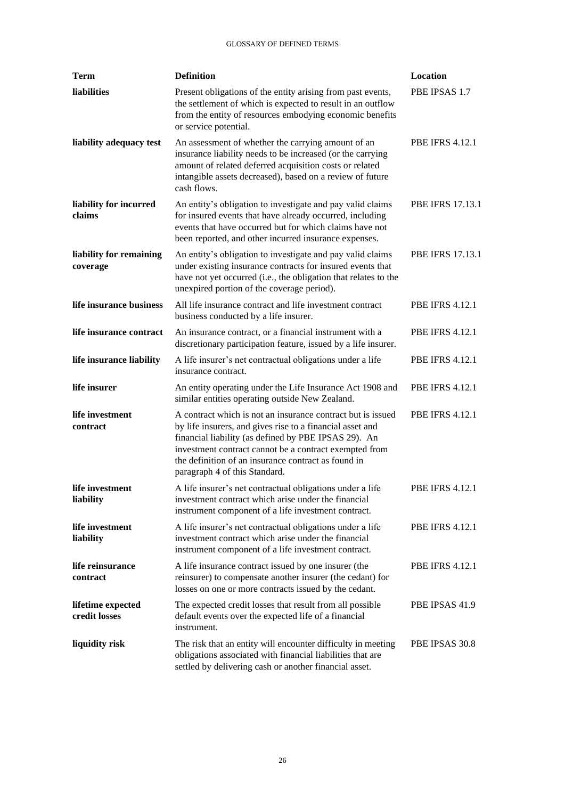| <b>Term</b>                         | <b>Definition</b>                                                                                                                                                                                                                                                                                                                  | Location                |
|-------------------------------------|------------------------------------------------------------------------------------------------------------------------------------------------------------------------------------------------------------------------------------------------------------------------------------------------------------------------------------|-------------------------|
| <b>liabilities</b>                  | Present obligations of the entity arising from past events,<br>the settlement of which is expected to result in an outflow<br>from the entity of resources embodying economic benefits<br>or service potential.                                                                                                                    | PBE IPSAS 1.7           |
| liability adequacy test             | An assessment of whether the carrying amount of an<br>insurance liability needs to be increased (or the carrying<br>amount of related deferred acquisition costs or related<br>intangible assets decreased), based on a review of future<br>cash flows.                                                                            | <b>PBE IFRS 4.12.1</b>  |
| liability for incurred<br>claims    | An entity's obligation to investigate and pay valid claims<br>for insured events that have already occurred, including<br>events that have occurred but for which claims have not<br>been reported, and other incurred insurance expenses.                                                                                         | <b>PBE IFRS 17.13.1</b> |
| liability for remaining<br>coverage | An entity's obligation to investigate and pay valid claims<br>under existing insurance contracts for insured events that<br>have not yet occurred (i.e., the obligation that relates to the<br>unexpired portion of the coverage period).                                                                                          | <b>PBE IFRS 17.13.1</b> |
| life insurance business             | All life insurance contract and life investment contract<br>business conducted by a life insurer.                                                                                                                                                                                                                                  | <b>PBE IFRS 4.12.1</b>  |
| life insurance contract             | An insurance contract, or a financial instrument with a<br>discretionary participation feature, issued by a life insurer.                                                                                                                                                                                                          | <b>PBE IFRS 4.12.1</b>  |
| life insurance liability            | A life insurer's net contractual obligations under a life<br>insurance contract.                                                                                                                                                                                                                                                   | <b>PBE IFRS 4.12.1</b>  |
| life insurer                        | An entity operating under the Life Insurance Act 1908 and<br>similar entities operating outside New Zealand.                                                                                                                                                                                                                       | <b>PBE IFRS 4.12.1</b>  |
| life investment<br>contract         | A contract which is not an insurance contract but is issued<br>by life insurers, and gives rise to a financial asset and<br>financial liability (as defined by PBE IPSAS 29). An<br>investment contract cannot be a contract exempted from<br>the definition of an insurance contract as found in<br>paragraph 4 of this Standard. | <b>PBE IFRS 4.12.1</b>  |
| life investment<br>liability        | A life insurer's net contractual obligations under a life<br>investment contract which arise under the financial<br>instrument component of a life investment contract.                                                                                                                                                            | <b>PBE IFRS 4.12.1</b>  |
| life investment<br>liability        | A life insurer's net contractual obligations under a life<br>investment contract which arise under the financial<br>instrument component of a life investment contract.                                                                                                                                                            | <b>PBE IFRS 4.12.1</b>  |
| life reinsurance<br>contract        | A life insurance contract issued by one insurer (the<br>reinsurer) to compensate another insurer (the cedant) for<br>losses on one or more contracts issued by the cedant.                                                                                                                                                         | <b>PBE IFRS 4.12.1</b>  |
| lifetime expected<br>credit losses  | The expected credit losses that result from all possible<br>default events over the expected life of a financial<br>instrument.                                                                                                                                                                                                    | PBE IPSAS 41.9          |
| liquidity risk                      | The risk that an entity will encounter difficulty in meeting<br>obligations associated with financial liabilities that are<br>settled by delivering cash or another financial asset.                                                                                                                                               | PBE IPSAS 30.8          |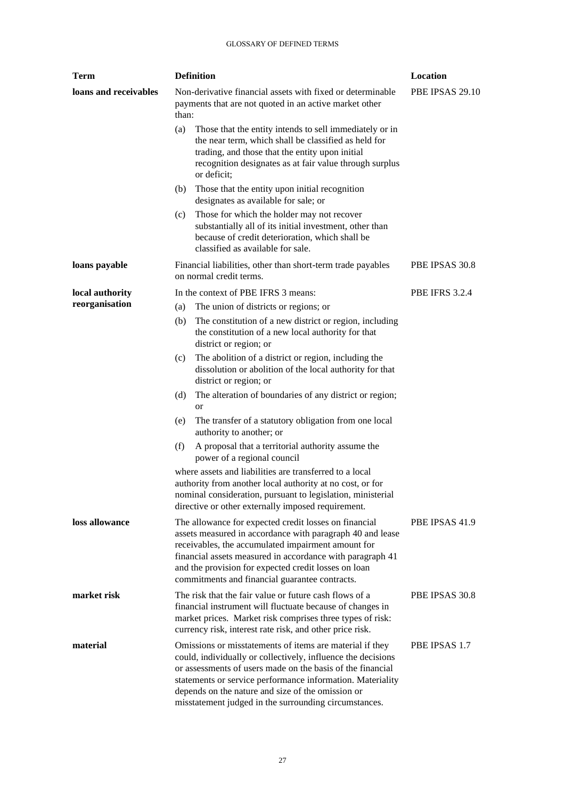| <b>Term</b>           | <b>Definition</b>                                                                                                                                                                                                                                                                                                                                                  | Location               |
|-----------------------|--------------------------------------------------------------------------------------------------------------------------------------------------------------------------------------------------------------------------------------------------------------------------------------------------------------------------------------------------------------------|------------------------|
| loans and receivables | Non-derivative financial assets with fixed or determinable<br>payments that are not quoted in an active market other<br>than:                                                                                                                                                                                                                                      | <b>PBE IPSAS 29.10</b> |
|                       | Those that the entity intends to sell immediately or in<br>(a)<br>the near term, which shall be classified as held for<br>trading, and those that the entity upon initial<br>recognition designates as at fair value through surplus<br>or deficit;                                                                                                                |                        |
|                       | Those that the entity upon initial recognition<br>(b)<br>designates as available for sale; or                                                                                                                                                                                                                                                                      |                        |
|                       | Those for which the holder may not recover<br>(c)<br>substantially all of its initial investment, other than<br>because of credit deterioration, which shall be<br>classified as available for sale.                                                                                                                                                               |                        |
| loans payable         | Financial liabilities, other than short-term trade payables<br>on normal credit terms.                                                                                                                                                                                                                                                                             | PBE IPSAS 30.8         |
| local authority       | In the context of PBE IFRS 3 means:                                                                                                                                                                                                                                                                                                                                | <b>PBE IFRS 3.2.4</b>  |
| reorganisation        | (a)<br>The union of districts or regions; or                                                                                                                                                                                                                                                                                                                       |                        |
|                       | The constitution of a new district or region, including<br>(b)<br>the constitution of a new local authority for that<br>district or region; or                                                                                                                                                                                                                     |                        |
|                       | The abolition of a district or region, including the<br>(c)<br>dissolution or abolition of the local authority for that<br>district or region; or                                                                                                                                                                                                                  |                        |
|                       | (d)<br>The alteration of boundaries of any district or region;<br><b>or</b>                                                                                                                                                                                                                                                                                        |                        |
|                       | The transfer of a statutory obligation from one local<br>(e)<br>authority to another; or                                                                                                                                                                                                                                                                           |                        |
|                       | A proposal that a territorial authority assume the<br>(f)<br>power of a regional council                                                                                                                                                                                                                                                                           |                        |
|                       | where assets and liabilities are transferred to a local<br>authority from another local authority at no cost, or for<br>nominal consideration, pursuant to legislation, ministerial<br>directive or other externally imposed requirement.                                                                                                                          |                        |
| loss allowance        | The allowance for expected credit losses on financial<br>assets measured in accordance with paragraph 40 and lease<br>receivables, the accumulated impairment amount for<br>financial assets measured in accordance with paragraph 41<br>and the provision for expected credit losses on loan<br>commitments and financial guarantee contracts.                    | PBE IPSAS 41.9         |
| market risk           | The risk that the fair value or future cash flows of a<br>financial instrument will fluctuate because of changes in<br>market prices. Market risk comprises three types of risk:<br>currency risk, interest rate risk, and other price risk.                                                                                                                       | PBE IPSAS 30.8         |
| material              | Omissions or misstatements of items are material if they<br>could, individually or collectively, influence the decisions<br>or assessments of users made on the basis of the financial<br>statements or service performance information. Materiality<br>depends on the nature and size of the omission or<br>misstatement judged in the surrounding circumstances. | PBE IPSAS 1.7          |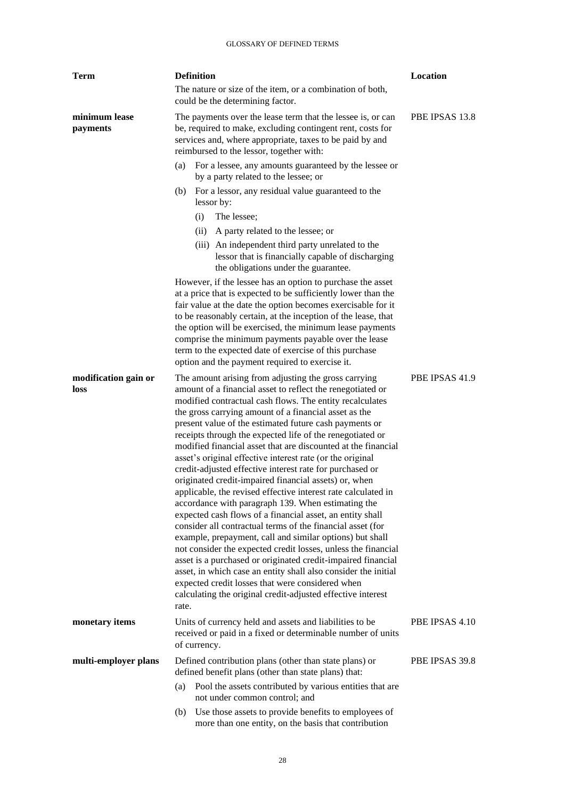| <b>Term</b>                  | <b>Definition</b>                                                                                                                                                                                                                                                                                                                                                                                                                                                                                                                                                                                                                                                                                                                                                                                                                                                                                                                                                                                                                                                                                                                                                                                                                                              | Location       |
|------------------------------|----------------------------------------------------------------------------------------------------------------------------------------------------------------------------------------------------------------------------------------------------------------------------------------------------------------------------------------------------------------------------------------------------------------------------------------------------------------------------------------------------------------------------------------------------------------------------------------------------------------------------------------------------------------------------------------------------------------------------------------------------------------------------------------------------------------------------------------------------------------------------------------------------------------------------------------------------------------------------------------------------------------------------------------------------------------------------------------------------------------------------------------------------------------------------------------------------------------------------------------------------------------|----------------|
|                              | The nature or size of the item, or a combination of both,<br>could be the determining factor.                                                                                                                                                                                                                                                                                                                                                                                                                                                                                                                                                                                                                                                                                                                                                                                                                                                                                                                                                                                                                                                                                                                                                                  |                |
| minimum lease<br>payments    | The payments over the lease term that the lessee is, or can<br>be, required to make, excluding contingent rent, costs for<br>services and, where appropriate, taxes to be paid by and<br>reimbursed to the lessor, together with:                                                                                                                                                                                                                                                                                                                                                                                                                                                                                                                                                                                                                                                                                                                                                                                                                                                                                                                                                                                                                              | PBE IPSAS 13.8 |
|                              | For a lessee, any amounts guaranteed by the lessee or<br>(a)<br>by a party related to the lessee; or                                                                                                                                                                                                                                                                                                                                                                                                                                                                                                                                                                                                                                                                                                                                                                                                                                                                                                                                                                                                                                                                                                                                                           |                |
|                              | For a lessor, any residual value guaranteed to the<br>(b)<br>lessor by:                                                                                                                                                                                                                                                                                                                                                                                                                                                                                                                                                                                                                                                                                                                                                                                                                                                                                                                                                                                                                                                                                                                                                                                        |                |
|                              | (i)<br>The lessee;                                                                                                                                                                                                                                                                                                                                                                                                                                                                                                                                                                                                                                                                                                                                                                                                                                                                                                                                                                                                                                                                                                                                                                                                                                             |                |
|                              | A party related to the lessee; or<br>(ii)                                                                                                                                                                                                                                                                                                                                                                                                                                                                                                                                                                                                                                                                                                                                                                                                                                                                                                                                                                                                                                                                                                                                                                                                                      |                |
|                              | (iii) An independent third party unrelated to the<br>lessor that is financially capable of discharging<br>the obligations under the guarantee.                                                                                                                                                                                                                                                                                                                                                                                                                                                                                                                                                                                                                                                                                                                                                                                                                                                                                                                                                                                                                                                                                                                 |                |
|                              | However, if the lessee has an option to purchase the asset<br>at a price that is expected to be sufficiently lower than the<br>fair value at the date the option becomes exercisable for it<br>to be reasonably certain, at the inception of the lease, that<br>the option will be exercised, the minimum lease payments<br>comprise the minimum payments payable over the lease<br>term to the expected date of exercise of this purchase<br>option and the payment required to exercise it.                                                                                                                                                                                                                                                                                                                                                                                                                                                                                                                                                                                                                                                                                                                                                                  |                |
| modification gain or<br>loss | The amount arising from adjusting the gross carrying<br>amount of a financial asset to reflect the renegotiated or<br>modified contractual cash flows. The entity recalculates<br>the gross carrying amount of a financial asset as the<br>present value of the estimated future cash payments or<br>receipts through the expected life of the renegotiated or<br>modified financial asset that are discounted at the financial<br>asset's original effective interest rate (or the original<br>credit-adjusted effective interest rate for purchased or<br>originated credit-impaired financial assets) or, when<br>applicable, the revised effective interest rate calculated in<br>accordance with paragraph 139. When estimating the<br>expected cash flows of a financial asset, an entity shall<br>consider all contractual terms of the financial asset (for<br>example, prepayment, call and similar options) but shall<br>not consider the expected credit losses, unless the financial<br>asset is a purchased or originated credit-impaired financial<br>asset, in which case an entity shall also consider the initial<br>expected credit losses that were considered when<br>calculating the original credit-adjusted effective interest<br>rate. | PBE IPSAS 41.9 |
| monetary items               | Units of currency held and assets and liabilities to be<br>received or paid in a fixed or determinable number of units<br>of currency.                                                                                                                                                                                                                                                                                                                                                                                                                                                                                                                                                                                                                                                                                                                                                                                                                                                                                                                                                                                                                                                                                                                         | PBE IPSAS 4.10 |
| multi-employer plans         | Defined contribution plans (other than state plans) or<br>defined benefit plans (other than state plans) that:                                                                                                                                                                                                                                                                                                                                                                                                                                                                                                                                                                                                                                                                                                                                                                                                                                                                                                                                                                                                                                                                                                                                                 | PBE IPSAS 39.8 |
|                              | Pool the assets contributed by various entities that are<br>(a)<br>not under common control; and                                                                                                                                                                                                                                                                                                                                                                                                                                                                                                                                                                                                                                                                                                                                                                                                                                                                                                                                                                                                                                                                                                                                                               |                |
|                              | Use those assets to provide benefits to employees of<br>(b)<br>more than one entity, on the basis that contribution                                                                                                                                                                                                                                                                                                                                                                                                                                                                                                                                                                                                                                                                                                                                                                                                                                                                                                                                                                                                                                                                                                                                            |                |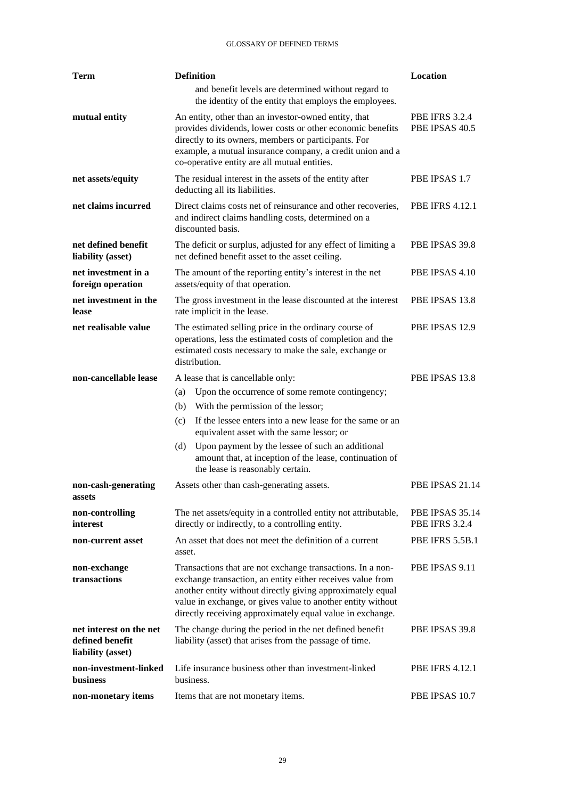| <b>Term</b>                                                     | <b>Definition</b>                                                                                                                                                                                                                                                                                                  | Location                                 |
|-----------------------------------------------------------------|--------------------------------------------------------------------------------------------------------------------------------------------------------------------------------------------------------------------------------------------------------------------------------------------------------------------|------------------------------------------|
|                                                                 | and benefit levels are determined without regard to<br>the identity of the entity that employs the employees.                                                                                                                                                                                                      |                                          |
| mutual entity                                                   | An entity, other than an investor-owned entity, that<br>provides dividends, lower costs or other economic benefits<br>directly to its owners, members or participants. For<br>example, a mutual insurance company, a credit union and a<br>co-operative entity are all mutual entities.                            | <b>PBE IFRS 3.2.4</b><br>PBE IPSAS 40.5  |
| net assets/equity                                               | The residual interest in the assets of the entity after<br>deducting all its liabilities.                                                                                                                                                                                                                          | PBE IPSAS 1.7                            |
| net claims incurred                                             | Direct claims costs net of reinsurance and other recoveries,<br>and indirect claims handling costs, determined on a<br>discounted basis.                                                                                                                                                                           | <b>PBE IFRS 4.12.1</b>                   |
| net defined benefit<br>liability (asset)                        | The deficit or surplus, adjusted for any effect of limiting a<br>net defined benefit asset to the asset ceiling.                                                                                                                                                                                                   | PBE IPSAS 39.8                           |
| net investment in a<br>foreign operation                        | The amount of the reporting entity's interest in the net<br>assets/equity of that operation.                                                                                                                                                                                                                       | PBE IPSAS 4.10                           |
| net investment in the<br>lease                                  | The gross investment in the lease discounted at the interest<br>rate implicit in the lease.                                                                                                                                                                                                                        | PBE IPSAS 13.8                           |
| net realisable value                                            | The estimated selling price in the ordinary course of<br>operations, less the estimated costs of completion and the<br>estimated costs necessary to make the sale, exchange or<br>distribution.                                                                                                                    | PBE IPSAS 12.9                           |
| non-cancellable lease                                           | A lease that is cancellable only:                                                                                                                                                                                                                                                                                  | PBE IPSAS 13.8                           |
|                                                                 | Upon the occurrence of some remote contingency;<br>(a)                                                                                                                                                                                                                                                             |                                          |
|                                                                 | With the permission of the lessor;<br>(b)                                                                                                                                                                                                                                                                          |                                          |
|                                                                 | If the lessee enters into a new lease for the same or an<br>(c)<br>equivalent asset with the same lessor; or                                                                                                                                                                                                       |                                          |
|                                                                 | Upon payment by the lessee of such an additional<br>(d)<br>amount that, at inception of the lease, continuation of<br>the lease is reasonably certain.                                                                                                                                                             |                                          |
| non-cash-generating<br>assets                                   | Assets other than cash-generating assets.                                                                                                                                                                                                                                                                          | PBE IPSAS 21.14                          |
| non-controlling<br>interest                                     | The net assets/equity in a controlled entity not attributable,<br>directly or indirectly, to a controlling entity.                                                                                                                                                                                                 | PBE IPSAS 35.14<br><b>PBE IFRS 3.2.4</b> |
| non-current asset                                               | An asset that does not meet the definition of a current<br>asset.                                                                                                                                                                                                                                                  | <b>PBE IFRS 5.5B.1</b>                   |
| non-exchange<br>transactions                                    | Transactions that are not exchange transactions. In a non-<br>exchange transaction, an entity either receives value from<br>another entity without directly giving approximately equal<br>value in exchange, or gives value to another entity without<br>directly receiving approximately equal value in exchange. | PBE IPSAS 9.11                           |
| net interest on the net<br>defined benefit<br>liability (asset) | The change during the period in the net defined benefit<br>liability (asset) that arises from the passage of time.                                                                                                                                                                                                 | PBE IPSAS 39.8                           |
| non-investment-linked<br><b>business</b>                        | Life insurance business other than investment-linked<br>business.                                                                                                                                                                                                                                                  | <b>PBE IFRS 4.12.1</b>                   |
| non-monetary items                                              | Items that are not monetary items.                                                                                                                                                                                                                                                                                 | PBE IPSAS 10.7                           |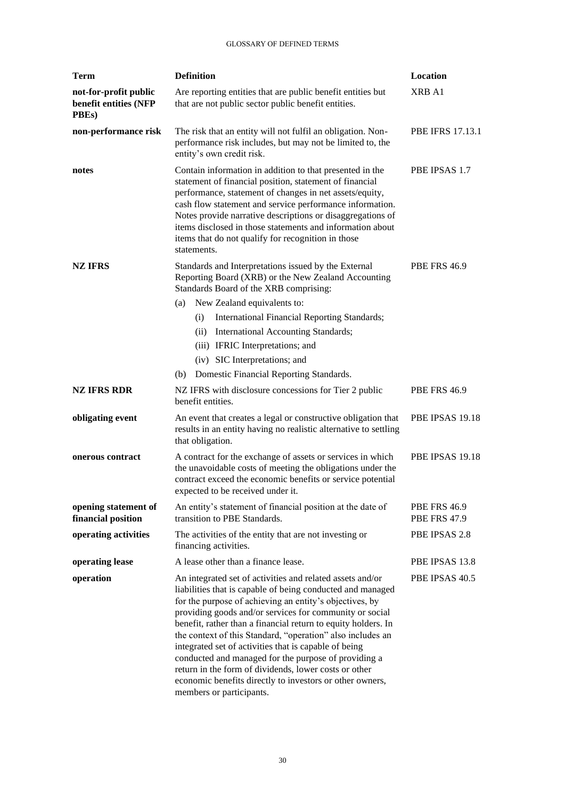| <b>Term</b>                                                     | <b>Definition</b>                                                                                                                                                                                                                                                                                                                                                                                                                                                                                                                                                                                                                              | Location                                   |
|-----------------------------------------------------------------|------------------------------------------------------------------------------------------------------------------------------------------------------------------------------------------------------------------------------------------------------------------------------------------------------------------------------------------------------------------------------------------------------------------------------------------------------------------------------------------------------------------------------------------------------------------------------------------------------------------------------------------------|--------------------------------------------|
| not-for-profit public<br>benefit entities (NFP<br><b>PBEs</b> ) | Are reporting entities that are public benefit entities but<br>that are not public sector public benefit entities.                                                                                                                                                                                                                                                                                                                                                                                                                                                                                                                             | XRB A1                                     |
| non-performance risk                                            | The risk that an entity will not fulfil an obligation. Non-<br>performance risk includes, but may not be limited to, the<br>entity's own credit risk.                                                                                                                                                                                                                                                                                                                                                                                                                                                                                          | PBE IFRS 17.13.1                           |
| notes                                                           | Contain information in addition to that presented in the<br>statement of financial position, statement of financial<br>performance, statement of changes in net assets/equity,<br>cash flow statement and service performance information.<br>Notes provide narrative descriptions or disaggregations of<br>items disclosed in those statements and information about<br>items that do not qualify for recognition in those<br>statements.                                                                                                                                                                                                     | PBE IPSAS 1.7                              |
| NZ IFRS                                                         | Standards and Interpretations issued by the External<br>Reporting Board (XRB) or the New Zealand Accounting<br>Standards Board of the XRB comprising:                                                                                                                                                                                                                                                                                                                                                                                                                                                                                          | <b>PBE FRS 46.9</b>                        |
|                                                                 | New Zealand equivalents to:<br>(a)                                                                                                                                                                                                                                                                                                                                                                                                                                                                                                                                                                                                             |                                            |
|                                                                 | International Financial Reporting Standards;<br>(i)                                                                                                                                                                                                                                                                                                                                                                                                                                                                                                                                                                                            |                                            |
|                                                                 | International Accounting Standards;<br>(ii)                                                                                                                                                                                                                                                                                                                                                                                                                                                                                                                                                                                                    |                                            |
|                                                                 | (iii) IFRIC Interpretations; and                                                                                                                                                                                                                                                                                                                                                                                                                                                                                                                                                                                                               |                                            |
|                                                                 | (iv) SIC Interpretations; and                                                                                                                                                                                                                                                                                                                                                                                                                                                                                                                                                                                                                  |                                            |
|                                                                 | Domestic Financial Reporting Standards.<br>(b)                                                                                                                                                                                                                                                                                                                                                                                                                                                                                                                                                                                                 |                                            |
| <b>NZ IFRS RDR</b>                                              | NZ IFRS with disclosure concessions for Tier 2 public<br>benefit entities.                                                                                                                                                                                                                                                                                                                                                                                                                                                                                                                                                                     | <b>PBE FRS 46.9</b>                        |
| obligating event                                                | An event that creates a legal or constructive obligation that<br>results in an entity having no realistic alternative to settling<br>that obligation.                                                                                                                                                                                                                                                                                                                                                                                                                                                                                          | PBE IPSAS 19.18                            |
| onerous contract                                                | A contract for the exchange of assets or services in which<br>the unavoidable costs of meeting the obligations under the<br>contract exceed the economic benefits or service potential<br>expected to be received under it.                                                                                                                                                                                                                                                                                                                                                                                                                    | PBE IPSAS 19.18                            |
| opening statement of<br>financial position                      | An entity's statement of financial position at the date of<br>transition to PBE Standards.                                                                                                                                                                                                                                                                                                                                                                                                                                                                                                                                                     | <b>PBE FRS 46.9</b><br><b>PBE FRS 47.9</b> |
| operating activities                                            | The activities of the entity that are not investing or<br>financing activities.                                                                                                                                                                                                                                                                                                                                                                                                                                                                                                                                                                | PBE IPSAS 2.8                              |
| operating lease                                                 | A lease other than a finance lease.                                                                                                                                                                                                                                                                                                                                                                                                                                                                                                                                                                                                            | PBE IPSAS 13.8                             |
| operation                                                       | An integrated set of activities and related assets and/or<br>liabilities that is capable of being conducted and managed<br>for the purpose of achieving an entity's objectives, by<br>providing goods and/or services for community or social<br>benefit, rather than a financial return to equity holders. In<br>the context of this Standard, "operation" also includes an<br>integrated set of activities that is capable of being<br>conducted and managed for the purpose of providing a<br>return in the form of dividends, lower costs or other<br>economic benefits directly to investors or other owners,<br>members or participants. | PBE IPSAS 40.5                             |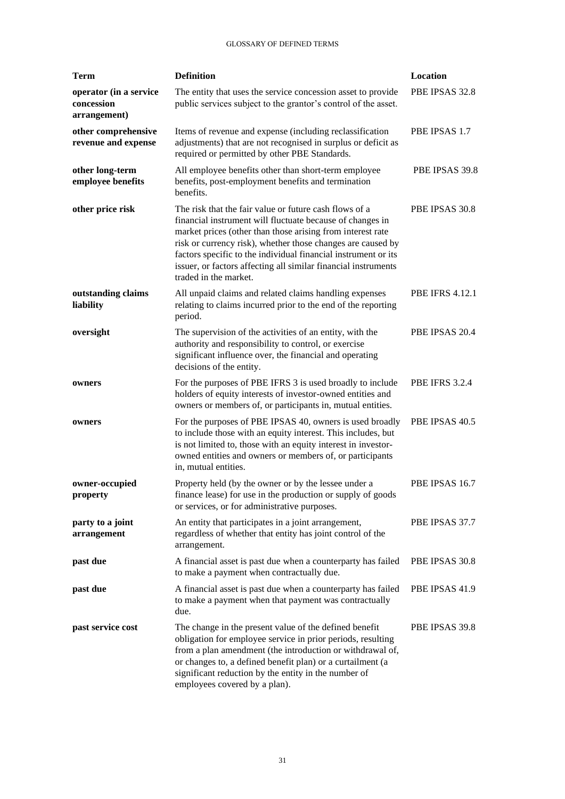| <b>Term</b>                                          | <b>Definition</b>                                                                                                                                                                                                                                                                                                                                                                                             | Location               |
|------------------------------------------------------|---------------------------------------------------------------------------------------------------------------------------------------------------------------------------------------------------------------------------------------------------------------------------------------------------------------------------------------------------------------------------------------------------------------|------------------------|
| operator (in a service<br>concession<br>arrangement) | The entity that uses the service concession asset to provide<br>public services subject to the grantor's control of the asset.                                                                                                                                                                                                                                                                                | PBE IPSAS 32.8         |
| other comprehensive<br>revenue and expense           | Items of revenue and expense (including reclassification<br>adjustments) that are not recognised in surplus or deficit as<br>required or permitted by other PBE Standards.                                                                                                                                                                                                                                    | PBE IPSAS 1.7          |
| other long-term<br>employee benefits                 | All employee benefits other than short-term employee<br>benefits, post-employment benefits and termination<br>henefits.                                                                                                                                                                                                                                                                                       | PBE IPSAS 39.8         |
| other price risk                                     | The risk that the fair value or future cash flows of a<br>financial instrument will fluctuate because of changes in<br>market prices (other than those arising from interest rate<br>risk or currency risk), whether those changes are caused by<br>factors specific to the individual financial instrument or its<br>issuer, or factors affecting all similar financial instruments<br>traded in the market. | PBE IPSAS 30.8         |
| outstanding claims<br>liability                      | All unpaid claims and related claims handling expenses<br>relating to claims incurred prior to the end of the reporting<br>period.                                                                                                                                                                                                                                                                            | <b>PBE IFRS 4.12.1</b> |
| oversight                                            | The supervision of the activities of an entity, with the<br>authority and responsibility to control, or exercise<br>significant influence over, the financial and operating<br>decisions of the entity.                                                                                                                                                                                                       | PBE IPSAS 20.4         |
| owners                                               | For the purposes of PBE IFRS 3 is used broadly to include<br>holders of equity interests of investor-owned entities and<br>owners or members of, or participants in, mutual entities.                                                                                                                                                                                                                         | <b>PBE IFRS 3.2.4</b>  |
| owners                                               | For the purposes of PBE IPSAS 40, owners is used broadly<br>to include those with an equity interest. This includes, but<br>is not limited to, those with an equity interest in investor-<br>owned entities and owners or members of, or participants<br>in, mutual entities.                                                                                                                                 | PBE IPSAS 40.5         |
| owner-occupied<br>property                           | Property held (by the owner or by the lessee under a<br>finance lease) for use in the production or supply of goods<br>or services, or for administrative purposes.                                                                                                                                                                                                                                           | PBE IPSAS 16.7         |
| party to a joint<br>arrangement                      | An entity that participates in a joint arrangement,<br>regardless of whether that entity has joint control of the<br>arrangement.                                                                                                                                                                                                                                                                             | PBE IPSAS 37.7         |
| past due                                             | A financial asset is past due when a counterparty has failed<br>to make a payment when contractually due.                                                                                                                                                                                                                                                                                                     | PBE IPSAS 30.8         |
| past due                                             | A financial asset is past due when a counterparty has failed<br>to make a payment when that payment was contractually<br>due.                                                                                                                                                                                                                                                                                 | PBE IPSAS 41.9         |
| past service cost                                    | The change in the present value of the defined benefit<br>obligation for employee service in prior periods, resulting<br>from a plan amendment (the introduction or withdrawal of,<br>or changes to, a defined benefit plan) or a curtailment (a<br>significant reduction by the entity in the number of<br>employees covered by a plan).                                                                     | PBE IPSAS 39.8         |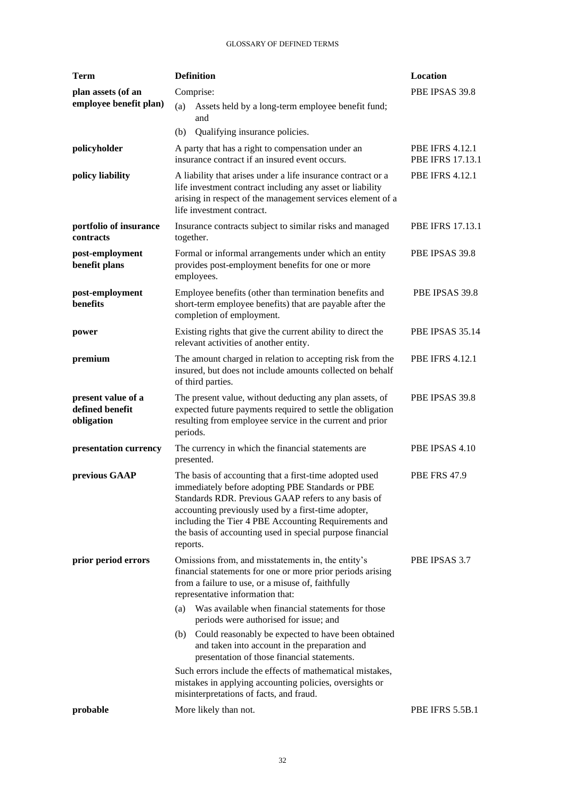| Term                                                | <b>Definition</b>                                                                                                                                                                                                                                                                                                                                                                                                          | Location                                          |
|-----------------------------------------------------|----------------------------------------------------------------------------------------------------------------------------------------------------------------------------------------------------------------------------------------------------------------------------------------------------------------------------------------------------------------------------------------------------------------------------|---------------------------------------------------|
| plan assets (of an                                  | Comprise:<br>PBE IPSAS 39.8                                                                                                                                                                                                                                                                                                                                                                                                |                                                   |
| employee benefit plan)                              | Assets held by a long-term employee benefit fund;<br>(a)<br>and                                                                                                                                                                                                                                                                                                                                                            |                                                   |
|                                                     | Qualifying insurance policies.<br>(b)                                                                                                                                                                                                                                                                                                                                                                                      |                                                   |
| policyholder                                        | A party that has a right to compensation under an<br>insurance contract if an insured event occurs.                                                                                                                                                                                                                                                                                                                        | <b>PBE IFRS 4.12.1</b><br><b>PBE IFRS 17.13.1</b> |
| policy liability                                    | A liability that arises under a life insurance contract or a<br>life investment contract including any asset or liability<br>arising in respect of the management services element of a<br>life investment contract.                                                                                                                                                                                                       | <b>PBE IFRS 4.12.1</b>                            |
| portfolio of insurance<br>contracts                 | Insurance contracts subject to similar risks and managed<br>together.                                                                                                                                                                                                                                                                                                                                                      | <b>PBE IFRS 17.13.1</b>                           |
| post-employment<br>benefit plans                    | Formal or informal arrangements under which an entity<br>provides post-employment benefits for one or more<br>employees.                                                                                                                                                                                                                                                                                                   | PBE IPSAS 39.8                                    |
| post-employment<br>benefits                         | Employee benefits (other than termination benefits and<br>short-term employee benefits) that are payable after the<br>completion of employment.                                                                                                                                                                                                                                                                            | PBE IPSAS 39.8                                    |
| power                                               | Existing rights that give the current ability to direct the<br>relevant activities of another entity.                                                                                                                                                                                                                                                                                                                      | PBE IPSAS 35.14                                   |
| premium                                             | The amount charged in relation to accepting risk from the<br>insured, but does not include amounts collected on behalf<br>of third parties.                                                                                                                                                                                                                                                                                | <b>PBE IFRS 4.12.1</b>                            |
| present value of a<br>defined benefit<br>obligation | The present value, without deducting any plan assets, of<br>expected future payments required to settle the obligation<br>resulting from employee service in the current and prior<br>periods.                                                                                                                                                                                                                             | PBE IPSAS 39.8                                    |
| presentation currency                               | The currency in which the financial statements are<br>presented.                                                                                                                                                                                                                                                                                                                                                           | PBE IPSAS 4.10                                    |
| previous GAAP                                       | The basis of accounting that a first-time adopted used<br>immediately before adopting PBE Standards or PBE<br>Standards RDR. Previous GAAP refers to any basis of<br>accounting previously used by a first-time adopter,<br>including the Tier 4 PBE Accounting Requirements and<br>the basis of accounting used in special purpose financial<br>reports.                                                                  | <b>PBE FRS 47.9</b>                               |
| prior period errors                                 | Omissions from, and misstatements in, the entity's<br>financial statements for one or more prior periods arising<br>from a failure to use, or a misuse of, faithfully<br>representative information that:<br>(a) Was available when financial statements for those<br>periods were authorised for issue; and<br>Could reasonably be expected to have been obtained<br>(b)<br>and taken into account in the preparation and | PBE IPSAS 3.7                                     |
|                                                     | presentation of those financial statements.<br>Such errors include the effects of mathematical mistakes,<br>mistakes in applying accounting policies, oversights or<br>misinterpretations of facts, and fraud.                                                                                                                                                                                                             |                                                   |
| probable                                            | More likely than not.                                                                                                                                                                                                                                                                                                                                                                                                      | PBE IFRS 5.5B.1                                   |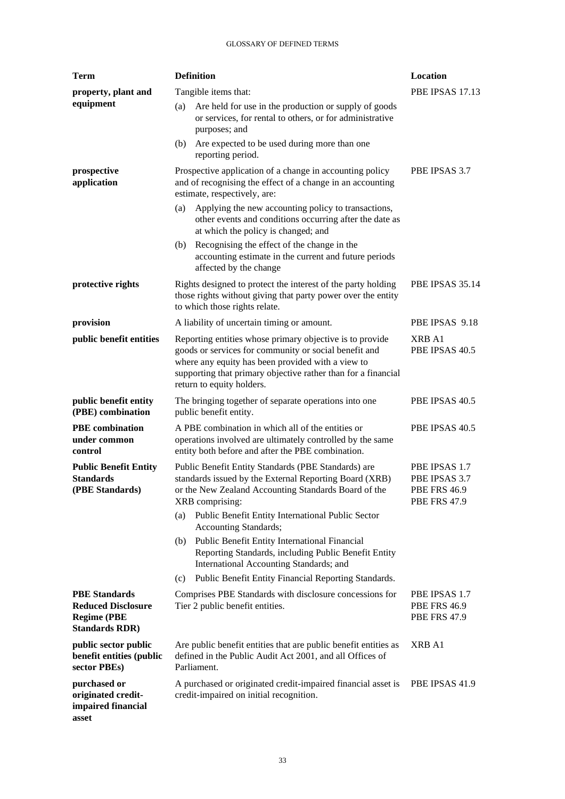| <b>Term</b>                                                                                      | <b>Definition</b>                                                                                                                                                                                                                                                    | Location                                                                     |
|--------------------------------------------------------------------------------------------------|----------------------------------------------------------------------------------------------------------------------------------------------------------------------------------------------------------------------------------------------------------------------|------------------------------------------------------------------------------|
| property, plant and                                                                              | Tangible items that:                                                                                                                                                                                                                                                 | <b>PBE IPSAS 17.13</b>                                                       |
| equipment                                                                                        | Are held for use in the production or supply of goods<br>(a)<br>or services, for rental to others, or for administrative<br>purposes; and                                                                                                                            |                                                                              |
|                                                                                                  | Are expected to be used during more than one<br>(b)<br>reporting period.                                                                                                                                                                                             |                                                                              |
| prospective<br>application                                                                       | Prospective application of a change in accounting policy<br>and of recognising the effect of a change in an accounting<br>estimate, respectively, are:                                                                                                               | PBE IPSAS 3.7                                                                |
|                                                                                                  | Applying the new accounting policy to transactions,<br>(a)<br>other events and conditions occurring after the date as<br>at which the policy is changed; and                                                                                                         |                                                                              |
|                                                                                                  | Recognising the effect of the change in the<br>(b)<br>accounting estimate in the current and future periods<br>affected by the change                                                                                                                                |                                                                              |
| protective rights                                                                                | Rights designed to protect the interest of the party holding<br>those rights without giving that party power over the entity<br>to which those rights relate.                                                                                                        | PBE IPSAS 35.14                                                              |
| provision                                                                                        | A liability of uncertain timing or amount.                                                                                                                                                                                                                           | PBE IPSAS 9.18                                                               |
| public benefit entities                                                                          | Reporting entities whose primary objective is to provide<br>goods or services for community or social benefit and<br>where any equity has been provided with a view to<br>supporting that primary objective rather than for a financial<br>return to equity holders. | XRB A1<br>PBE IPSAS 40.5                                                     |
| public benefit entity<br>(PBE) combination                                                       | The bringing together of separate operations into one<br>public benefit entity.                                                                                                                                                                                      | PBE IPSAS 40.5                                                               |
| <b>PBE</b> combination<br>under common<br>control                                                | A PBE combination in which all of the entities or<br>operations involved are ultimately controlled by the same<br>entity both before and after the PBE combination.                                                                                                  | PBE IPSAS 40.5                                                               |
| <b>Public Benefit Entity</b><br><b>Standards</b><br>(PBE Standards)                              | Public Benefit Entity Standards (PBE Standards) are<br>standards issued by the External Reporting Board (XRB)<br>or the New Zealand Accounting Standards Board of the<br>XRB comprising:                                                                             | PBE IPSAS 1.7<br>PBE IPSAS 3.7<br><b>PBE FRS 46.9</b><br><b>PBE FRS 47.9</b> |
|                                                                                                  | Public Benefit Entity International Public Sector<br>(a)<br>Accounting Standards;                                                                                                                                                                                    |                                                                              |
|                                                                                                  | Public Benefit Entity International Financial<br>(b)<br>Reporting Standards, including Public Benefit Entity<br>International Accounting Standards; and                                                                                                              |                                                                              |
|                                                                                                  | Public Benefit Entity Financial Reporting Standards.<br>(c)                                                                                                                                                                                                          |                                                                              |
| <b>PBE Standards</b><br><b>Reduced Disclosure</b><br><b>Regime (PBE</b><br><b>Standards RDR)</b> | Comprises PBE Standards with disclosure concessions for<br>Tier 2 public benefit entities.                                                                                                                                                                           | PBE IPSAS 1.7<br><b>PBE FRS 46.9</b><br><b>PBE FRS 47.9</b>                  |
| public sector public<br>benefit entities (public<br>sector PBEs)                                 | Are public benefit entities that are public benefit entities as<br>defined in the Public Audit Act 2001, and all Offices of<br>Parliament.                                                                                                                           | XRB A1                                                                       |
| purchased or<br>originated credit-<br>impaired financial<br>asset                                | A purchased or originated credit-impaired financial asset is<br>credit-impaired on initial recognition.                                                                                                                                                              | PBE IPSAS 41.9                                                               |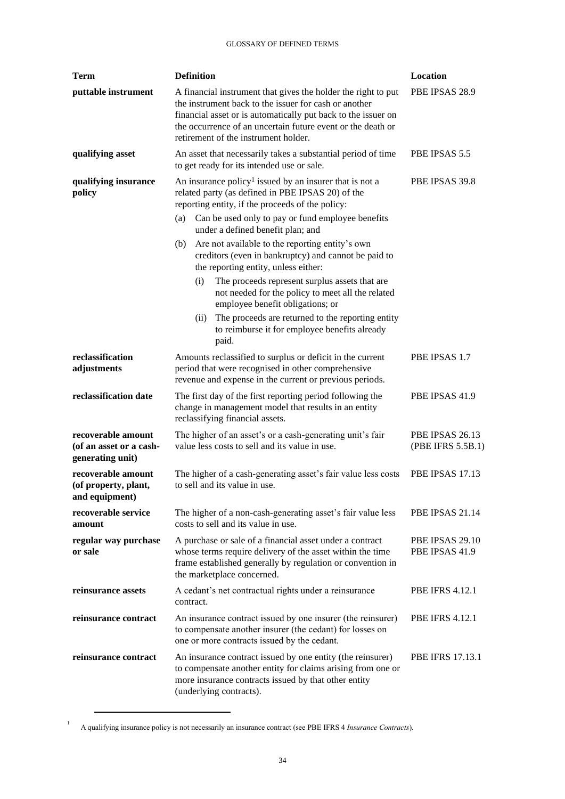| <b>Term</b>                                                       | <b>Definition</b>                                                                                                                                                                                                                                                                              | Location                                    |
|-------------------------------------------------------------------|------------------------------------------------------------------------------------------------------------------------------------------------------------------------------------------------------------------------------------------------------------------------------------------------|---------------------------------------------|
| puttable instrument                                               | A financial instrument that gives the holder the right to put<br>the instrument back to the issuer for cash or another<br>financial asset or is automatically put back to the issuer on<br>the occurrence of an uncertain future event or the death or<br>retirement of the instrument holder. | PBE IPSAS 28.9                              |
| qualifying asset                                                  | An asset that necessarily takes a substantial period of time<br>to get ready for its intended use or sale.                                                                                                                                                                                     | PBE IPSAS 5.5                               |
| qualifying insurance<br>policy                                    | An insurance policy <sup>1</sup> issued by an insurer that is not a<br>related party (as defined in PBE IPSAS 20) of the<br>reporting entity, if the proceeds of the policy:                                                                                                                   | PBE IPSAS 39.8                              |
|                                                                   | Can be used only to pay or fund employee benefits<br>(a)<br>under a defined benefit plan; and                                                                                                                                                                                                  |                                             |
|                                                                   | Are not available to the reporting entity's own<br>(b)<br>creditors (even in bankruptcy) and cannot be paid to<br>the reporting entity, unless either:                                                                                                                                         |                                             |
|                                                                   | The proceeds represent surplus assets that are<br>(i)<br>not needed for the policy to meet all the related<br>employee benefit obligations; or                                                                                                                                                 |                                             |
|                                                                   | The proceeds are returned to the reporting entity<br>(ii)<br>to reimburse it for employee benefits already<br>paid.                                                                                                                                                                            |                                             |
| reclassification<br>adjustments                                   | Amounts reclassified to surplus or deficit in the current<br>period that were recognised in other comprehensive<br>revenue and expense in the current or previous periods.                                                                                                                     | PBE IPSAS 1.7                               |
| reclassification date                                             | The first day of the first reporting period following the<br>change in management model that results in an entity<br>reclassifying financial assets.                                                                                                                                           | PBE IPSAS 41.9                              |
| recoverable amount<br>(of an asset or a cash-<br>generating unit) | The higher of an asset's or a cash-generating unit's fair<br>value less costs to sell and its value in use.                                                                                                                                                                                    | <b>PBE IPSAS 26.13</b><br>(PBE IFRS 5.5B.1) |
| recoverable amount<br>(of property, plant,<br>and equipment)      | The higher of a cash-generating asset's fair value less costs<br>to sell and its value in use.                                                                                                                                                                                                 | PBE IPSAS 17.13                             |
| recoverable service<br>amount                                     | The higher of a non-cash-generating asset's fair value less<br>costs to sell and its value in use.                                                                                                                                                                                             | PBE IPSAS 21.14                             |
| regular way purchase<br>or sale                                   | A purchase or sale of a financial asset under a contract<br>whose terms require delivery of the asset within the time<br>frame established generally by regulation or convention in<br>the marketplace concerned.                                                                              | PBE IPSAS 29.10<br>PBE IPSAS 41.9           |
| reinsurance assets                                                | A cedant's net contractual rights under a reinsurance<br>contract.                                                                                                                                                                                                                             | <b>PBE IFRS 4.12.1</b>                      |
| reinsurance contract                                              | An insurance contract issued by one insurer (the reinsurer)<br>to compensate another insurer (the cedant) for losses on<br>one or more contracts issued by the cedant.                                                                                                                         | <b>PBE IFRS 4.12.1</b>                      |
| reinsurance contract                                              | An insurance contract issued by one entity (the reinsurer)<br>to compensate another entity for claims arising from one or<br>more insurance contracts issued by that other entity<br>(underlying contracts).                                                                                   | <b>PBE IFRS 17.13.1</b>                     |

A qualifying insurance policy is not necessarily an insurance contract (see PBE IFRS 4 *Insurance Contracts*).

1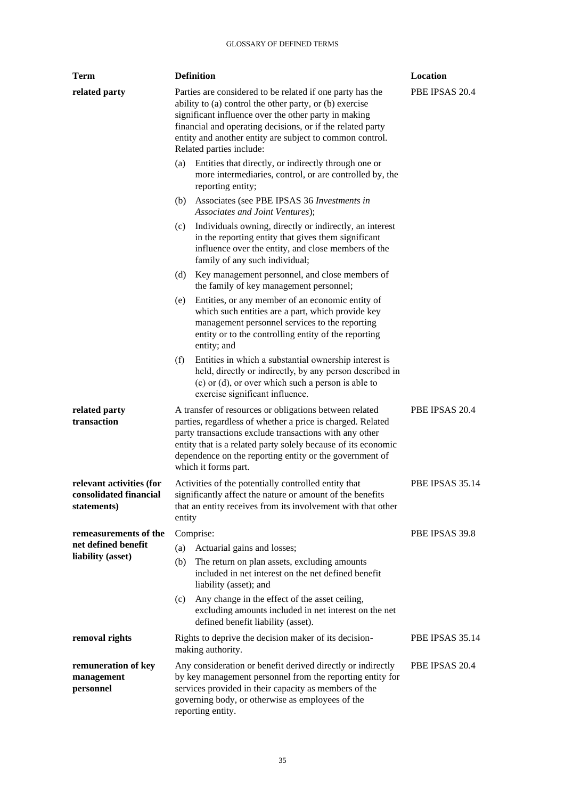| <b>Term</b>                                                       |                                                                                                                                                                                                                                                            | <b>Definition</b>                                                                                                                                                                                                                                                                                                                  | Location        |
|-------------------------------------------------------------------|------------------------------------------------------------------------------------------------------------------------------------------------------------------------------------------------------------------------------------------------------------|------------------------------------------------------------------------------------------------------------------------------------------------------------------------------------------------------------------------------------------------------------------------------------------------------------------------------------|-----------------|
| related party                                                     |                                                                                                                                                                                                                                                            | Parties are considered to be related if one party has the<br>ability to (a) control the other party, or (b) exercise<br>significant influence over the other party in making<br>financial and operating decisions, or if the related party<br>entity and another entity are subject to common control.<br>Related parties include: | PBE IPSAS 20.4  |
|                                                                   | (a)                                                                                                                                                                                                                                                        | Entities that directly, or indirectly through one or<br>more intermediaries, control, or are controlled by, the<br>reporting entity;                                                                                                                                                                                               |                 |
|                                                                   | (b)                                                                                                                                                                                                                                                        | Associates (see PBE IPSAS 36 Investments in<br>Associates and Joint Ventures);                                                                                                                                                                                                                                                     |                 |
|                                                                   | (c)                                                                                                                                                                                                                                                        | Individuals owning, directly or indirectly, an interest<br>in the reporting entity that gives them significant<br>influence over the entity, and close members of the<br>family of any such individual;                                                                                                                            |                 |
|                                                                   | (d)                                                                                                                                                                                                                                                        | Key management personnel, and close members of<br>the family of key management personnel;                                                                                                                                                                                                                                          |                 |
|                                                                   | (e)                                                                                                                                                                                                                                                        | Entities, or any member of an economic entity of<br>which such entities are a part, which provide key<br>management personnel services to the reporting<br>entity or to the controlling entity of the reporting<br>entity; and                                                                                                     |                 |
|                                                                   | (f)                                                                                                                                                                                                                                                        | Entities in which a substantial ownership interest is<br>held, directly or indirectly, by any person described in<br>(c) or (d), or over which such a person is able to<br>exercise significant influence.                                                                                                                         |                 |
| related party<br>transaction                                      |                                                                                                                                                                                                                                                            | A transfer of resources or obligations between related<br>parties, regardless of whether a price is charged. Related<br>party transactions exclude transactions with any other<br>entity that is a related party solely because of its economic<br>dependence on the reporting entity or the government of<br>which it forms part. | PBE IPSAS 20.4  |
| relevant activities (for<br>consolidated financial<br>statements) | Activities of the potentially controlled entity that<br>significantly affect the nature or amount of the benefits<br>that an entity receives from its involvement with that other<br>entity                                                                |                                                                                                                                                                                                                                                                                                                                    | PBE IPSAS 35.14 |
| remeasurements of the                                             |                                                                                                                                                                                                                                                            | Comprise:                                                                                                                                                                                                                                                                                                                          | PBE IPSAS 39.8  |
| net defined benefit<br>liability (asset)                          | (a)                                                                                                                                                                                                                                                        | Actuarial gains and losses;                                                                                                                                                                                                                                                                                                        |                 |
|                                                                   | (b)                                                                                                                                                                                                                                                        | The return on plan assets, excluding amounts<br>included in net interest on the net defined benefit<br>liability (asset); and                                                                                                                                                                                                      |                 |
|                                                                   | (c)                                                                                                                                                                                                                                                        | Any change in the effect of the asset ceiling,<br>excluding amounts included in net interest on the net<br>defined benefit liability (asset).                                                                                                                                                                                      |                 |
| removal rights                                                    |                                                                                                                                                                                                                                                            | Rights to deprive the decision maker of its decision-<br>making authority.                                                                                                                                                                                                                                                         | PBE IPSAS 35.14 |
| remuneration of key<br>management<br>personnel                    | Any consideration or benefit derived directly or indirectly<br>by key management personnel from the reporting entity for<br>services provided in their capacity as members of the<br>governing body, or otherwise as employees of the<br>reporting entity. |                                                                                                                                                                                                                                                                                                                                    | PBE IPSAS 20.4  |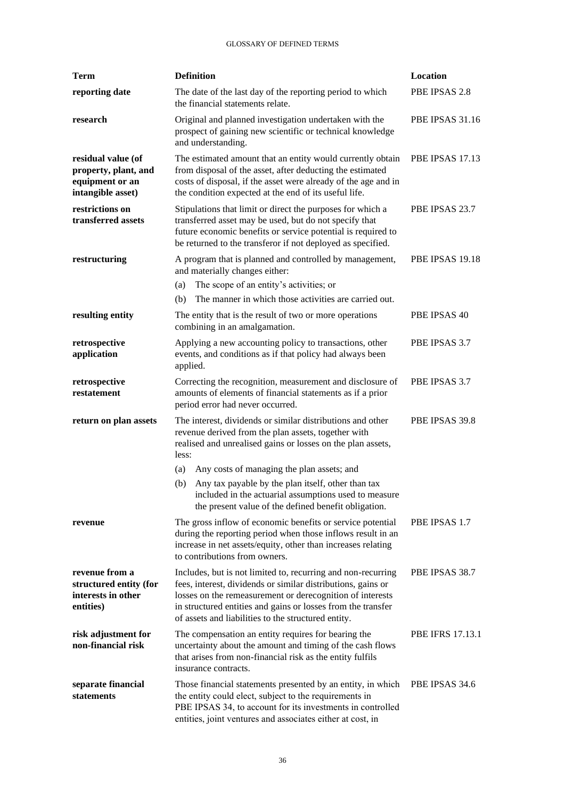| <b>Term</b>                                                                        | <b>Definition</b>                                                                                                                                                                                                                                                                                                | Location                |
|------------------------------------------------------------------------------------|------------------------------------------------------------------------------------------------------------------------------------------------------------------------------------------------------------------------------------------------------------------------------------------------------------------|-------------------------|
| reporting date                                                                     | The date of the last day of the reporting period to which<br>the financial statements relate.                                                                                                                                                                                                                    | PBE IPSAS 2.8           |
| research                                                                           | Original and planned investigation undertaken with the<br>prospect of gaining new scientific or technical knowledge<br>and understanding.                                                                                                                                                                        | <b>PBE IPSAS 31.16</b>  |
| residual value (of<br>property, plant, and<br>equipment or an<br>intangible asset) | The estimated amount that an entity would currently obtain<br>from disposal of the asset, after deducting the estimated<br>costs of disposal, if the asset were already of the age and in<br>the condition expected at the end of its useful life.                                                               | <b>PBE IPSAS 17.13</b>  |
| restrictions on<br>transferred assets                                              | Stipulations that limit or direct the purposes for which a<br>transferred asset may be used, but do not specify that<br>future economic benefits or service potential is required to<br>be returned to the transferor if not deployed as specified.                                                              | PBE IPSAS 23.7          |
| restructuring                                                                      | A program that is planned and controlled by management,<br>and materially changes either:                                                                                                                                                                                                                        | PBE IPSAS 19.18         |
|                                                                                    | The scope of an entity's activities; or<br>(a)                                                                                                                                                                                                                                                                   |                         |
|                                                                                    | The manner in which those activities are carried out.<br>(b)                                                                                                                                                                                                                                                     |                         |
| resulting entity                                                                   | The entity that is the result of two or more operations<br>combining in an amalgamation.                                                                                                                                                                                                                         | PBE IPSAS 40            |
| retrospective<br>application                                                       | Applying a new accounting policy to transactions, other<br>events, and conditions as if that policy had always been<br>applied.                                                                                                                                                                                  | PBE IPSAS 3.7           |
| retrospective<br>restatement                                                       | Correcting the recognition, measurement and disclosure of<br>amounts of elements of financial statements as if a prior<br>period error had never occurred.                                                                                                                                                       | PBE IPSAS 3.7           |
| return on plan assets                                                              | The interest, dividends or similar distributions and other<br>revenue derived from the plan assets, together with<br>realised and unrealised gains or losses on the plan assets,<br>less:                                                                                                                        | PBE IPSAS 39.8          |
|                                                                                    | Any costs of managing the plan assets; and<br>(a)                                                                                                                                                                                                                                                                |                         |
|                                                                                    | Any tax payable by the plan itself, other than tax<br>(b)<br>included in the actuarial assumptions used to measure<br>the present value of the defined benefit obligation.                                                                                                                                       |                         |
| revenue                                                                            | The gross inflow of economic benefits or service potential<br>during the reporting period when those inflows result in an<br>increase in net assets/equity, other than increases relating<br>to contributions from owners.                                                                                       | PBE IPSAS 1.7           |
| revenue from a<br>structured entity (for<br>interests in other<br>entities)        | Includes, but is not limited to, recurring and non-recurring<br>fees, interest, dividends or similar distributions, gains or<br>losses on the remeasurement or derecognition of interests<br>in structured entities and gains or losses from the transfer<br>of assets and liabilities to the structured entity. | PBE IPSAS 38.7          |
| risk adjustment for<br>non-financial risk                                          | The compensation an entity requires for bearing the<br>uncertainty about the amount and timing of the cash flows<br>that arises from non-financial risk as the entity fulfils<br>insurance contracts.                                                                                                            | <b>PBE IFRS 17.13.1</b> |
| separate financial<br>statements                                                   | Those financial statements presented by an entity, in which<br>the entity could elect, subject to the requirements in<br>PBE IPSAS 34, to account for its investments in controlled<br>entities, joint ventures and associates either at cost, in                                                                | PBE IPSAS 34.6          |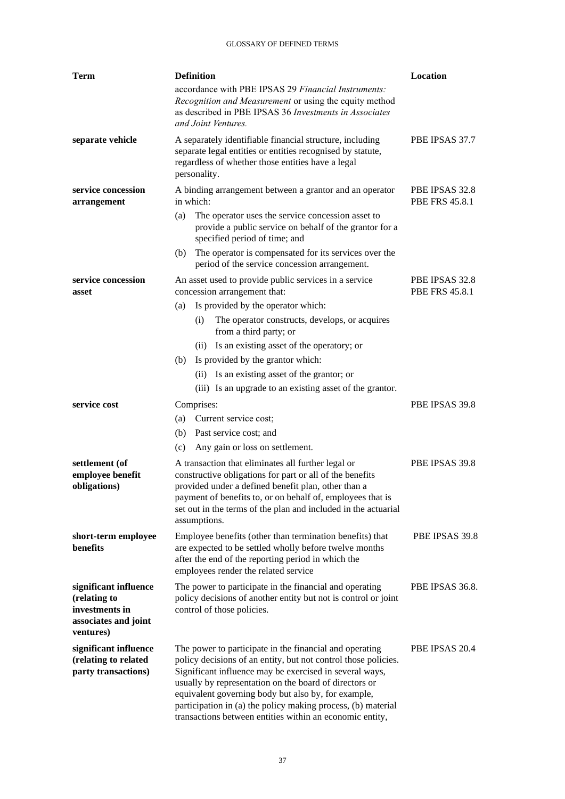| Term                                                                                         | <b>Definition</b>                                                                                                                                                                                                                                                                                                     | Location                                |
|----------------------------------------------------------------------------------------------|-----------------------------------------------------------------------------------------------------------------------------------------------------------------------------------------------------------------------------------------------------------------------------------------------------------------------|-----------------------------------------|
|                                                                                              | accordance with PBE IPSAS 29 Financial Instruments:<br>Recognition and Measurement or using the equity method<br>as described in PBE IPSAS 36 Investments in Associates<br>and Joint Ventures.                                                                                                                        |                                         |
| separate vehicle                                                                             | A separately identifiable financial structure, including<br>separate legal entities or entities recognised by statute,<br>regardless of whether those entities have a legal<br>personality.                                                                                                                           | PBE IPSAS 37.7                          |
| service concession<br>arrangement                                                            | A binding arrangement between a grantor and an operator<br>in which:                                                                                                                                                                                                                                                  | PBE IPSAS 32.8<br><b>PBE FRS 45.8.1</b> |
|                                                                                              | The operator uses the service concession asset to<br>(a)<br>provide a public service on behalf of the grantor for a<br>specified period of time; and                                                                                                                                                                  |                                         |
|                                                                                              | The operator is compensated for its services over the<br>(b)<br>period of the service concession arrangement.                                                                                                                                                                                                         |                                         |
| service concession<br>asset                                                                  | An asset used to provide public services in a service<br>concession arrangement that:                                                                                                                                                                                                                                 | PBE IPSAS 32.8<br><b>PBE FRS 45.8.1</b> |
|                                                                                              | Is provided by the operator which:<br>(a)                                                                                                                                                                                                                                                                             |                                         |
|                                                                                              | The operator constructs, develops, or acquires<br>(i)<br>from a third party; or                                                                                                                                                                                                                                       |                                         |
|                                                                                              | Is an existing asset of the operatory; or<br>(i)                                                                                                                                                                                                                                                                      |                                         |
|                                                                                              | Is provided by the grantor which:<br>(b)                                                                                                                                                                                                                                                                              |                                         |
|                                                                                              | (ii) Is an existing asset of the grantor; or                                                                                                                                                                                                                                                                          |                                         |
|                                                                                              | (iii) Is an upgrade to an existing asset of the grantor.                                                                                                                                                                                                                                                              |                                         |
| service cost                                                                                 | Comprises:                                                                                                                                                                                                                                                                                                            | PBE IPSAS 39.8                          |
|                                                                                              | Current service cost;<br>(a)                                                                                                                                                                                                                                                                                          |                                         |
|                                                                                              | Past service cost; and<br>(b)                                                                                                                                                                                                                                                                                         |                                         |
|                                                                                              |                                                                                                                                                                                                                                                                                                                       |                                         |
|                                                                                              | Any gain or loss on settlement.<br>(c)                                                                                                                                                                                                                                                                                |                                         |
| settlement (of<br>employee benefit<br>obligations)                                           | A transaction that eliminates all further legal or<br>constructive obligations for part or all of the benefits<br>provided under a defined benefit plan, other than a<br>payment of benefits to, or on behalf of, employees that is<br>set out in the terms of the plan and included in the actuarial<br>assumptions. | PBE IPSAS 39.8                          |
| short-term employee<br>benefits                                                              | Employee benefits (other than termination benefits) that<br>are expected to be settled wholly before twelve months<br>after the end of the reporting period in which the<br>employees render the related service                                                                                                      | PBE IPSAS 39.8                          |
| significant influence<br>(relating to<br>investments in<br>associates and joint<br>ventures) | The power to participate in the financial and operating<br>policy decisions of another entity but not is control or joint<br>control of those policies.                                                                                                                                                               | PBE IPSAS 36.8.                         |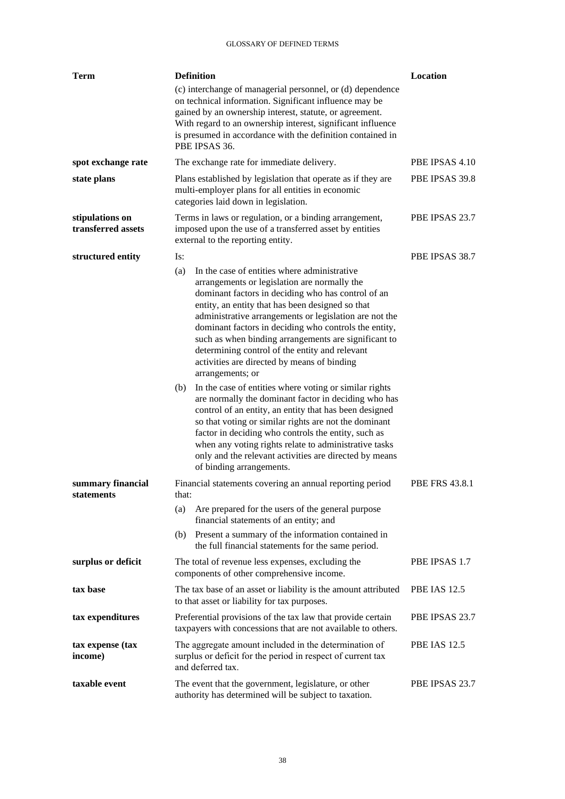| <b>Term</b>                           | <b>Definition</b>                                                                                                                                                                                                                                                                                                                                                                                                                                                                                             | Location              |
|---------------------------------------|---------------------------------------------------------------------------------------------------------------------------------------------------------------------------------------------------------------------------------------------------------------------------------------------------------------------------------------------------------------------------------------------------------------------------------------------------------------------------------------------------------------|-----------------------|
|                                       | (c) interchange of managerial personnel, or (d) dependence<br>on technical information. Significant influence may be<br>gained by an ownership interest, statute, or agreement.<br>With regard to an ownership interest, significant influence<br>is presumed in accordance with the definition contained in<br>PBE IPSAS 36.                                                                                                                                                                                 |                       |
| spot exchange rate                    | The exchange rate for immediate delivery.                                                                                                                                                                                                                                                                                                                                                                                                                                                                     | PBE IPSAS 4.10        |
| state plans                           | Plans established by legislation that operate as if they are<br>multi-employer plans for all entities in economic<br>categories laid down in legislation.                                                                                                                                                                                                                                                                                                                                                     | PBE IPSAS 39.8        |
| stipulations on<br>transferred assets | Terms in laws or regulation, or a binding arrangement,<br>imposed upon the use of a transferred asset by entities<br>external to the reporting entity.                                                                                                                                                                                                                                                                                                                                                        | PBE IPSAS 23.7        |
| structured entity                     | Is:                                                                                                                                                                                                                                                                                                                                                                                                                                                                                                           | PBE IPSAS 38.7        |
|                                       | (a)<br>In the case of entities where administrative<br>arrangements or legislation are normally the<br>dominant factors in deciding who has control of an<br>entity, an entity that has been designed so that<br>administrative arrangements or legislation are not the<br>dominant factors in deciding who controls the entity,<br>such as when binding arrangements are significant to<br>determining control of the entity and relevant<br>activities are directed by means of binding<br>arrangements; or |                       |
|                                       | In the case of entities where voting or similar rights<br>(b)<br>are normally the dominant factor in deciding who has<br>control of an entity, an entity that has been designed<br>so that voting or similar rights are not the dominant<br>factor in deciding who controls the entity, such as<br>when any voting rights relate to administrative tasks<br>only and the relevant activities are directed by means<br>of binding arrangements.                                                                |                       |
| summary financial<br>statements       | Financial statements covering an annual reporting period<br>that:                                                                                                                                                                                                                                                                                                                                                                                                                                             | <b>PBE FRS 43.8.1</b> |
|                                       | Are prepared for the users of the general purpose<br>(a)<br>financial statements of an entity; and                                                                                                                                                                                                                                                                                                                                                                                                            |                       |
|                                       | Present a summary of the information contained in<br>(b)<br>the full financial statements for the same period.                                                                                                                                                                                                                                                                                                                                                                                                |                       |
| surplus or deficit                    | The total of revenue less expenses, excluding the<br>components of other comprehensive income.                                                                                                                                                                                                                                                                                                                                                                                                                | PBE IPSAS 1.7         |
| tax base                              | The tax base of an asset or liability is the amount attributed<br>to that asset or liability for tax purposes.                                                                                                                                                                                                                                                                                                                                                                                                | <b>PBE IAS 12.5</b>   |
| tax expenditures                      | Preferential provisions of the tax law that provide certain<br>taxpayers with concessions that are not available to others.                                                                                                                                                                                                                                                                                                                                                                                   | PBE IPSAS 23.7        |
| tax expense (tax<br>income)           | The aggregate amount included in the determination of<br>surplus or deficit for the period in respect of current tax<br>and deferred tax.                                                                                                                                                                                                                                                                                                                                                                     | <b>PBE IAS 12.5</b>   |
| taxable event                         | The event that the government, legislature, or other<br>authority has determined will be subject to taxation.                                                                                                                                                                                                                                                                                                                                                                                                 | PBE IPSAS 23.7        |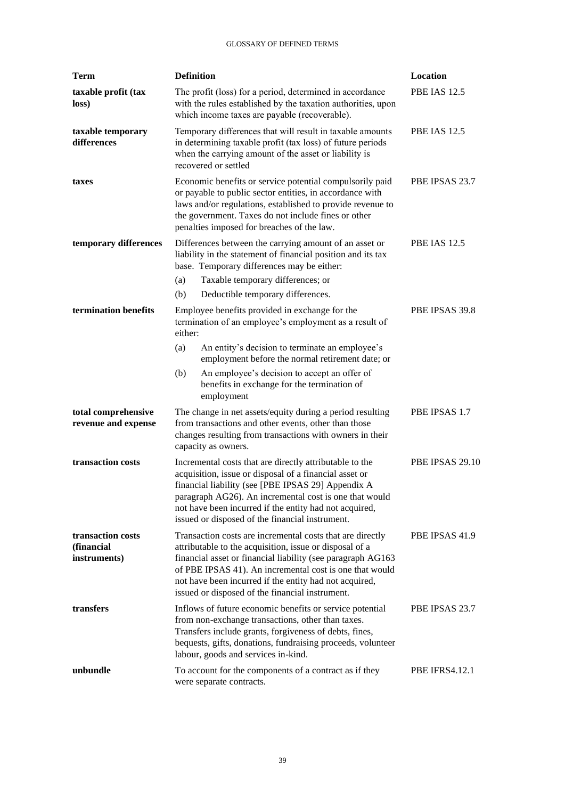| <b>Term</b>                                     | <b>Definition</b>                                                                                                                                                                                                                                                                                                                                           | Location              |
|-------------------------------------------------|-------------------------------------------------------------------------------------------------------------------------------------------------------------------------------------------------------------------------------------------------------------------------------------------------------------------------------------------------------------|-----------------------|
| taxable profit (tax<br>loss)                    | The profit (loss) for a period, determined in accordance<br>with the rules established by the taxation authorities, upon<br>which income taxes are payable (recoverable).                                                                                                                                                                                   | <b>PBE IAS 12.5</b>   |
| taxable temporary<br>differences                | Temporary differences that will result in taxable amounts<br>in determining taxable profit (tax loss) of future periods<br>when the carrying amount of the asset or liability is<br>recovered or settled                                                                                                                                                    | <b>PBE IAS 12.5</b>   |
| taxes                                           | Economic benefits or service potential compulsorily paid<br>or payable to public sector entities, in accordance with<br>laws and/or regulations, established to provide revenue to<br>the government. Taxes do not include fines or other<br>penalties imposed for breaches of the law.                                                                     | PBE IPSAS 23.7        |
| temporary differences                           | Differences between the carrying amount of an asset or<br>liability in the statement of financial position and its tax<br>base. Temporary differences may be either:<br>(a)<br>Taxable temporary differences; or<br>(b)<br>Deductible temporary differences.                                                                                                | <b>PBE IAS 12.5</b>   |
| termination benefits                            | Employee benefits provided in exchange for the<br>termination of an employee's employment as a result of<br>either:                                                                                                                                                                                                                                         | PBE IPSAS 39.8        |
|                                                 | An entity's decision to terminate an employee's<br>(a)<br>employment before the normal retirement date; or<br>An employee's decision to accept an offer of<br>(b)<br>benefits in exchange for the termination of<br>employment                                                                                                                              |                       |
| total comprehensive<br>revenue and expense      | The change in net assets/equity during a period resulting<br>from transactions and other events, other than those<br>changes resulting from transactions with owners in their<br>capacity as owners.                                                                                                                                                        | PBE IPSAS 1.7         |
| transaction costs                               | Incremental costs that are directly attributable to the<br>acquisition, issue or disposal of a financial asset or<br>financial liability (see [PBE IPSAS 29] Appendix A<br>paragraph AG26). An incremental cost is one that would<br>not have been incurred if the entity had not acquired,<br>issued or disposed of the financial instrument.              | PBE IPSAS 29.10       |
| transaction costs<br>(financial<br>instruments) | Transaction costs are incremental costs that are directly<br>attributable to the acquisition, issue or disposal of a<br>financial asset or financial liability (see paragraph AG163<br>of PBE IPSAS 41). An incremental cost is one that would<br>not have been incurred if the entity had not acquired,<br>issued or disposed of the financial instrument. | PBE IPSAS 41.9        |
| transfers                                       | Inflows of future economic benefits or service potential<br>from non-exchange transactions, other than taxes.<br>Transfers include grants, forgiveness of debts, fines,<br>bequests, gifts, donations, fundraising proceeds, volunteer<br>labour, goods and services in-kind.                                                                               | PBE IPSAS 23.7        |
| unbundle                                        | To account for the components of a contract as if they<br>were separate contracts.                                                                                                                                                                                                                                                                          | <b>PBE IFRS4.12.1</b> |